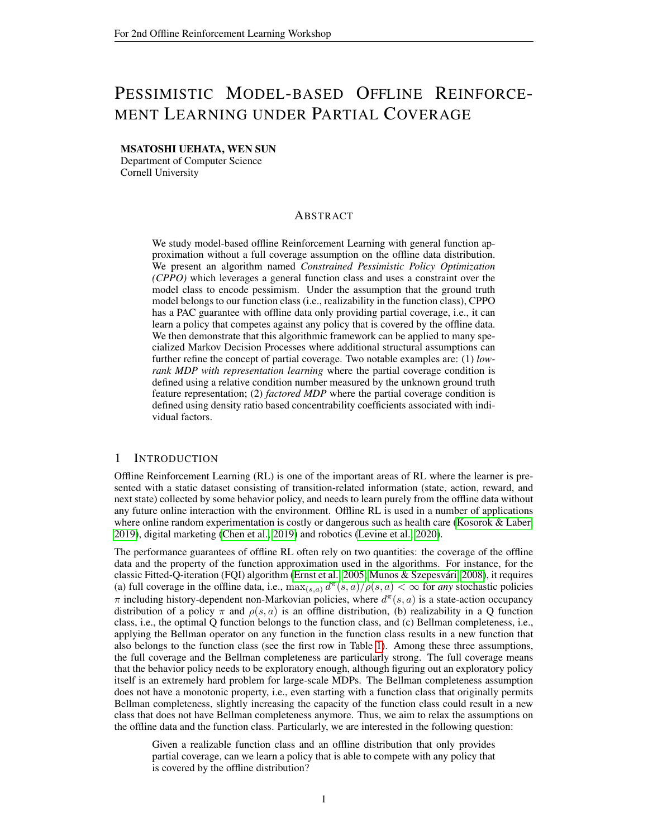# PESSIMISTIC MODEL-BASED OFFLINE REINFORCE-MENT LEARNING UNDER PARTIAL COVERAGE

#### MSATOSHI UEHATA, WEN SUN

Department of Computer Science Cornell University

# ABSTRACT

We study model-based offline Reinforcement Learning with general function approximation without a full coverage assumption on the offline data distribution. We present an algorithm named *Constrained Pessimistic Policy Optimization (CPPO)* which leverages a general function class and uses a constraint over the model class to encode pessimism. Under the assumption that the ground truth model belongs to our function class (i.e., realizability in the function class), CPPO has a PAC guarantee with offline data only providing partial coverage, i.e., it can learn a policy that competes against any policy that is covered by the offline data. We then demonstrate that this algorithmic framework can be applied to many specialized Markov Decision Processes where additional structural assumptions can further refine the concept of partial coverage. Two notable examples are: (1) *lowrank MDP with representation learning* where the partial coverage condition is defined using a relative condition number measured by the unknown ground truth feature representation; (2) *factored MDP* where the partial coverage condition is defined using density ratio based concentrability coefficients associated with individual factors.

# <span id="page-0-0"></span>1 INTRODUCTION

Offline Reinforcement Learning (RL) is one of the important areas of RL where the learner is presented with a static dataset consisting of transition-related information (state, action, reward, and next state) collected by some behavior policy, and needs to learn purely from the offline data without any future online interaction with the environment. Offline RL is used in a number of applications where online random experimentation is costly or dangerous such as health care [\(Kosorok & Laber,](#page-9-0) [2019\)](#page-9-0), digital marketing [\(Chen et al., 2019\)](#page-8-0) and robotics [\(Levine et al., 2020\)](#page-9-1).

The performance guarantees of offline RL often rely on two quantities: the coverage of the offline data and the property of the function approximation used in the algorithms. For instance, for the classic Fitted-Q-iteration (FQI) algorithm [\(Ernst et al., 2005;](#page-8-1) [Munos & Szepesvari, 2008\)](#page-9-2), it requires ´ (a) full coverage in the offline data, i.e.,  $\max_{(s,a)} d^{\pi}(s,a)/\rho(s,a) < \infty$  for *any* stochastic policies  $\pi$  including history-dependent non-Markovian policies, where  $d^{\pi}(s, a)$  is a state-action occupancy distribution of a policy  $\pi$  and  $\rho(s, a)$  is an offline distribution, (b) realizability in a Q function class, i.e., the optimal Q function belongs to the function class, and (c) Bellman completeness, i.e., applying the Bellman operator on any function in the function class results in a new function that also belongs to the function class (see the first row in Table [1\)](#page-0-0). Among these three assumptions, the full coverage and the Bellman completeness are particularly strong. The full coverage means that the behavior policy needs to be exploratory enough, although figuring out an exploratory policy itself is an extremely hard problem for large-scale MDPs. The Bellman completeness assumption does not have a monotonic property, i.e., even starting with a function class that originally permits Bellman completeness, slightly increasing the capacity of the function class could result in a new class that does not have Bellman completeness anymore. Thus, we aim to relax the assumptions on the offline data and the function class. Particularly, we are interested in the following question:

Given a realizable function class and an offline distribution that only provides partial coverage, can we learn a policy that is able to compete with any policy that is covered by the offline distribution?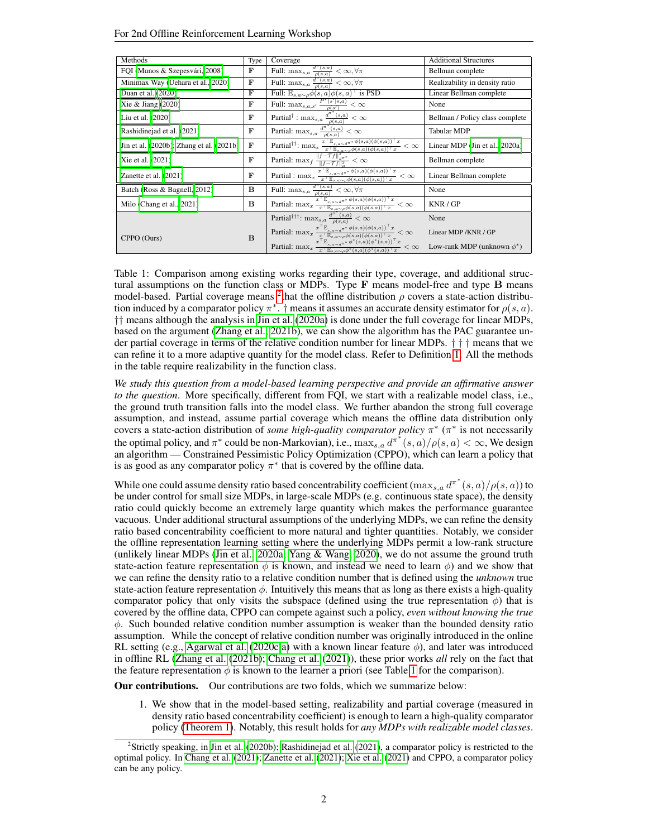|  |  | For 2nd Offline Reinforcement Learning Workshop |
|--|--|-------------------------------------------------|
|--|--|-------------------------------------------------|

| Methods                                  | Type         | Coverage                                                                                                                                                                                                                                                                                                                                                                                    | <b>Additional Structures</b>     |
|------------------------------------------|--------------|---------------------------------------------------------------------------------------------------------------------------------------------------------------------------------------------------------------------------------------------------------------------------------------------------------------------------------------------------------------------------------------------|----------------------------------|
| FQI (Munos & Szepesvári, 2008)           | $\mathbf{F}$ | Full: max <sub>s,a</sub> $\frac{d^{\pi}(s,a)}{\rho(s,a)} < \infty, \forall \pi$                                                                                                                                                                                                                                                                                                             | Bellman complete                 |
| Minimax Way (Uehara et al., 2020)        | F            | Full: max <sub>s,a</sub> $\frac{d^{\pi}(s,a)}{\rho(s,a)} < \infty, \forall \pi$                                                                                                                                                                                                                                                                                                             | Realizability in density ratio   |
| Duan et al. (2020)                       | F            | Full: $\mathbb{E}_{s,a\sim\rho}\phi(s,a)\phi(s,a)^\top$ is PSD                                                                                                                                                                                                                                                                                                                              | Linear Bellman complete          |
| Xie & Jiang $(2020)$                     | F            | Full: $\max_{s,a,s'} \frac{P^*(s' s,a)}{\rho(s')} < \infty$                                                                                                                                                                                                                                                                                                                                 | None                             |
| Liu et al. (2020)                        | F            | $\overline{\operatorname{Partial}^\dagger : \max_{s,a} \frac{d^{\pi^*}(s,a)}{\rho(s,a)} < \infty}$                                                                                                                                                                                                                                                                                          | Bellman / Policy class complete  |
| Rashidinejad et al. (2021)               | F            |                                                                                                                                                                                                                                                                                                                                                                                             | <b>Tabular MDP</b>               |
| Jin et al. (2020b); Zhang et al. (2021b) | F            | $\overline{\text{Partial: } \max_{s,a} \frac{d^{\pi^*}(s,a)}{\rho(s,a)} < \infty} \\ \overline{\text{Partial!}} \\ \overline{\text{Partial!}} \\ \overline{\text{[}}: \max_x \frac{x^{\top} \mathbb{E}_{s,a \sim d^{\pi^*}} \phi(s,a) (\phi(s,a))^{\top} x}{x^{\top} \mathbb{E}_{s,a \sim \rho} \phi(s,a) (\phi(s,a))^{\top} x} }$<br>$- < \infty$                                          | Linear MDP (Jin et al., 2020a)   |
| Xie et al. (2021)                        | F            | Partial: $\max_{f} \frac{\ f - \mathcal{T}f\ _{d^{\pi^*}}^2}{\ f - \mathcal{T}f\ _{u}^2} < \infty$                                                                                                                                                                                                                                                                                          | Bellman complete                 |
| Zanette et al. (2021)                    | F            | Partial : $\max_x \frac{x^{\top} \mathbb{E}_{s,a\sim d^{\pi^*}}\phi(s,a)(\phi(s,a))^{\top} x}{x^{\top} \mathbb{E}_{s,a\sim \rho}\phi(s,a)(\phi(s,a))^{\top} x} < \infty$                                                                                                                                                                                                                    | Linear Bellman complete          |
| Batch (Ross & Bagnell, 2012)             | B            | Full: $\max_{s,a} \frac{d^{\pi}(s,a)}{\rho(s,a)} < \infty, \forall \pi$                                                                                                                                                                                                                                                                                                                     | None                             |
| Milo (Chang et al., 2021)                | B            | Partial: $\max_x \frac{\frac{r}{x^+}\mathbb{E}_{s,a\sim d^{\pi^*}}\phi(s,a)(\phi(s,a))^{\top}x}{x^{\top}\mathbb{E}_{s,a\sim\rho}\phi(s,a)(\phi(s,a))^{\top}x} < \infty$                                                                                                                                                                                                                     | KNR/GP                           |
|                                          |              | Partial <sup>†††</sup> : max <sub>s,a</sub> $\frac{d^{\pi^*}(s,a)}{\rho(s,a)} < \infty$                                                                                                                                                                                                                                                                                                     | None                             |
| CPPO (Ours)                              | B            | Partial: $\max_x \frac{x^{-\frac{p}{\log_{10}x}}e^{(\frac{x}{\log_{10}x})^{\pi}}(\sin(\phi(s,a))^{\pi}x)}{x^{-\frac{p}{\log_{10}x}}e^{(\frac{x}{\log_{10}x})^{\pi}}e^{(\frac{x}{\log_{10}x})^{\pi}x}}$<br>Partial: $\max_x \frac{x^{-\frac{p}{\log_{10}x}}e^{(\frac{x}{\log_{10}x})^{\pi}}e^{(\frac{x}{\log_{10}x})^{\pi}x}}{x^{-\frac{p}{\log_{10}x}}e^{(\frac{x}{\log_{10}x})^{\pi}}(s,a$ | Linear MDP / KNR / GP            |
|                                          |              | $- < \infty$                                                                                                                                                                                                                                                                                                                                                                                | Low-rank MDP (unknown $\phi^*$ ) |

Table 1: Comparison among existing works regarding their type, coverage, and additional structural assumptions on the function class or MDPs. Type  $F$  means model-free and type  $B$  means model-based. Partial coverage means <sup>[2](#page-1-0)</sup> that the offline distribution  $\rho$  covers a state-action distribution induced by a comparator policy  $\pi^*$ . † means it assumes an accurate density estimator for  $\rho(s, a)$ . †† means although the analysis in [Jin et al.](#page-9-5) [\(2020a\)](#page-9-5) is done under the full coverage for linear MDPs, based on the argument [\(Zhang et al., 2021b\)](#page-11-1), we can show the algorithm has the PAC guarantee under partial coverage in terms of the relative condition number for linear MDPs. † † † means that we can refine it to a more adaptive quantity for the model class. Refer to Definition [1.](#page-4-0) All the methods in the table require realizability in the function class.

*We study this question from a model-based learning perspective and provide an affirmative answer to the question*. More specifically, different from FQI, we start with a realizable model class, i.e., the ground truth transition falls into the model class. We further abandon the strong full coverage assumption, and instead, assume partial coverage which means the offline data distribution only covers a state-action distribution of *some high-quality comparator policy*  $\pi^*$  ( $\pi^*$  is not necessarily the optimal policy, and  $\pi^*$  could be non-Markovian), i.e.,  $\max_{s,a} d^{\pi^*}(s,a)/\rho(s,a) < \infty$ , We design an algorithm — Constrained Pessimistic Policy Optimization (CPPO), which can learn a policy that is as good as any comparator policy  $\pi^*$  that is covered by the offline data.

While one could assume density ratio based concentrability coefficient  $(\max_{s,a} d^{\pi^*}(s,a)/\rho(s,a))$  to be under control for small size MDPs, in large-scale MDPs (e.g. continuous state space), the density ratio could quickly become an extremely large quantity which makes the performance guarantee vacuous. Under additional structural assumptions of the underlying MDPs, we can refine the density ratio based concentrability coefficient to more natural and tighter quantities. Notably, we consider the offline representation learning setting where the underlying MDPs permit a low-rank structure (unlikely linear MDPs [\(Jin et al., 2020a;](#page-9-5) [Yang & Wang, 2020\)](#page-11-4), we do not assume the ground truth state-action feature representation  $\phi$  is known, and instead we need to learn  $\phi$ ) and we show that we can refine the density ratio to a relative condition number that is defined using the *unknown* true state-action feature representation  $\phi$ . Intuitively this means that as long as there exists a high-quality comparator policy that only visits the subspace (defined using the true representation  $\phi$ ) that is covered by the offline data, CPPO can compete against such a policy, *even without knowing the true*  $\phi$ . Such bounded relative condition number assumption is weaker than the bounded density ratio assumption. While the concept of relative condition number was originally introduced in the online RL setting (e.g., [Agarwal et al.](#page-8-4) [\(2020c;](#page-8-4)[a\)](#page-8-5) with a known linear feature  $\phi$ ), and later was introduced in offline RL [\(Zhang et al.](#page-11-1) [\(2021b\)](#page-11-1); [Chang et al.](#page-8-3) [\(2021\)](#page-8-3)), these prior works *all* rely on the fact that the feature representation  $\phi$  is known to the learner a priori (see Table [1](#page-0-0) for the comparison).

Our contributions. Our contributions are two folds, which we summarize below:

1. We show that in the model-based setting, realizability and partial coverage (measured in density ratio based concentrability coefficient) is enough to learn a high-quality comparator policy [\(Theorem 1\)](#page-4-1). Notably, this result holds for *any MDPs with realizable model classes*.

<span id="page-1-0"></span><sup>&</sup>lt;sup>2</sup>Strictly speaking, in [Jin et al.](#page-9-4) [\(2020b\)](#page-9-4); [Rashidinejad et al.](#page-10-1) [\(2021\)](#page-10-1), a comparator policy is restricted to the optimal policy. In [Chang et al.](#page-8-3) [\(2021\)](#page-8-3); [Zanette et al.](#page-11-3) [\(2021\)](#page-11-3); [Xie et al.](#page-11-2) [\(2021\)](#page-11-2) and CPPO, a comparator policy can be any policy.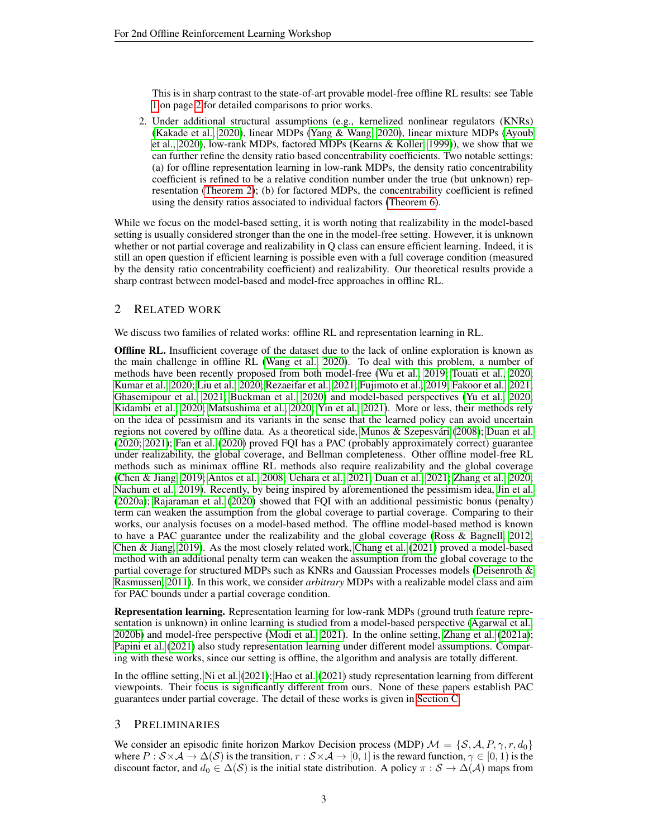This is in sharp contrast to the state-of-art provable model-free offline RL results: see Table [1](#page-0-0) on page [2](#page-0-0) for detailed comparisons to prior works.

2. Under additional structural assumptions (e.g., kernelized nonlinear regulators (KNRs) [\(Kakade et al., 2020\)](#page-9-6), linear MDPs [\(Yang & Wang, 2020\)](#page-11-4), linear mixture MDPs [\(Ayoub](#page-8-6) [et al., 2020\)](#page-8-6), low-rank MDPs, factored MDPs [\(Kearns & Koller, 1999\)](#page-9-7)), we show that we can further refine the density ratio based concentrability coefficients. Two notable settings: (a) for offline representation learning in low-rank MDPs, the density ratio concentrability coefficient is refined to be a relative condition number under the true (but unknown) representation [\(Theorem 2\)](#page-7-0); (b) for factored MDPs, the concentrability coefficient is refined using the density ratios associated to individual factors [\(Theorem 6\)](#page-17-0).

While we focus on the model-based setting, it is worth noting that realizability in the model-based setting is usually considered stronger than the one in the model-free setting. However, it is unknown whether or not partial coverage and realizability in Q class can ensure efficient learning. Indeed, it is still an open question if efficient learning is possible even with a full coverage condition (measured by the density ratio concentrability coefficient) and realizability. Our theoretical results provide a sharp contrast between model-based and model-free approaches in offline RL.

## 2 RELATED WORK

We discuss two families of related works: offline RL and representation learning in RL.

Offline RL. Insufficient coverage of the dataset due to the lack of online exploration is known as the main challenge in offline RL [\(Wang et al., 2020\)](#page-10-3). To deal with this problem, a number of methods have been recently proposed from both model-free [\(Wu et al., 2019;](#page-11-5) [Touati et al., 2020;](#page-10-4) [Kumar et al., 2020;](#page-9-8) [Liu et al., 2020;](#page-9-3) [Rezaeifar et al., 2021;](#page-10-5) [Fujimoto et al., 2019;](#page-9-9) [Fakoor et al., 2021;](#page-8-7) [Ghasemipour et al., 2021;](#page-9-10) [Buckman et al., 2020\)](#page-8-8) and model-based perspectives [\(Yu et al., 2020;](#page-11-6) [Kidambi et al., 2020;](#page-9-11) [Matsushima et al., 2020;](#page-9-12) [Yin et al., 2021\)](#page-11-7). More or less, their methods rely on the idea of pessimism and its variants in the sense that the learned policy can avoid uncertain regions not covered by offline data. As a theoretical side, Munos & Szepesvári [\(2008\)](#page-9-2); [Duan et al.](#page-8-2) [\(2020;](#page-8-2) [2021\)](#page-8-9); [Fan et al.](#page-8-10) [\(2020\)](#page-8-10) proved FQI has a PAC (probably approximately correct) guarantee under realizability, the global coverage, and Bellman completeness. Other offline model-free RL methods such as minimax offline RL methods also require realizability and the global coverage [\(Chen & Jiang, 2019;](#page-8-11) [Antos et al., 2008;](#page-8-12) [Uehara et al., 2021;](#page-10-6) [Duan et al., 2021;](#page-8-9) [Zhang et al., 2020;](#page-11-8) [Nachum et al., 2019\)](#page-10-7). Recently, by being inspired by aforementioned the pessimism idea, [Jin et al.](#page-9-5) [\(2020a\)](#page-9-5); [Rajaraman et al.](#page-10-8) [\(2020\)](#page-10-8) showed that FQI with an additional pessimistic bonus (penalty) term can weaken the assumption from the global coverage to partial coverage. Comparing to their works, our analysis focuses on a model-based method. The offline model-based method is known to have a PAC guarantee under the realizability and the global coverage [\(Ross & Bagnell, 2012;](#page-10-2) [Chen & Jiang, 2019\)](#page-8-11). As the most closely related work, [Chang et al.](#page-8-3) [\(2021\)](#page-8-3) proved a model-based method with an additional penalty term can weaken the assumption from the global coverage to the partial coverage for structured MDPs such as KNRs and Gaussian Processes models [\(Deisenroth &](#page-8-13) [Rasmussen, 2011\)](#page-8-13). In this work, we consider *arbitrary* MDPs with a realizable model class and aim for PAC bounds under a partial coverage condition.

Representation learning. Representation learning for low-rank MDPs (ground truth feature representation is unknown) in online learning is studied from a model-based perspective [\(Agarwal et al.,](#page-8-14) [2020b\)](#page-8-14) and model-free perspective [\(Modi et al., 2021\)](#page-9-13). In the online setting, [Zhang et al.](#page-11-9) [\(2021a\)](#page-11-9); [Papini et al.](#page-10-9) [\(2021\)](#page-10-9) also study representation learning under different model assumptions. Comparing with these works, since our setting is offline, the algorithm and analysis are totally different.

In the offline setting, [Ni et al.](#page-10-10) [\(2021\)](#page-10-10); [Hao et al.](#page-9-14) [\(2021\)](#page-9-14) study representation learning from different viewpoints. Their focus is significantly different from ours. None of these papers establish PAC guarantees under partial coverage. The detail of these works is given in [Section C.](#page-15-0)

#### 3 PRELIMINARIES

We consider an episodic finite horizon Markov Decision process (MDP)  $\mathcal{M} = \{S, A, P, \gamma, r, d_0\}$ where  $P : S \times A \to \Delta(S)$  is the transition,  $r : S \times A \to [0, 1]$  is the reward function,  $\gamma \in [0, 1)$  is the discount factor, and  $d_0 \in \Delta(\mathcal{S})$  is the initial state distribution. A policy  $\pi : \mathcal{S} \to \Delta(\mathcal{A})$  maps from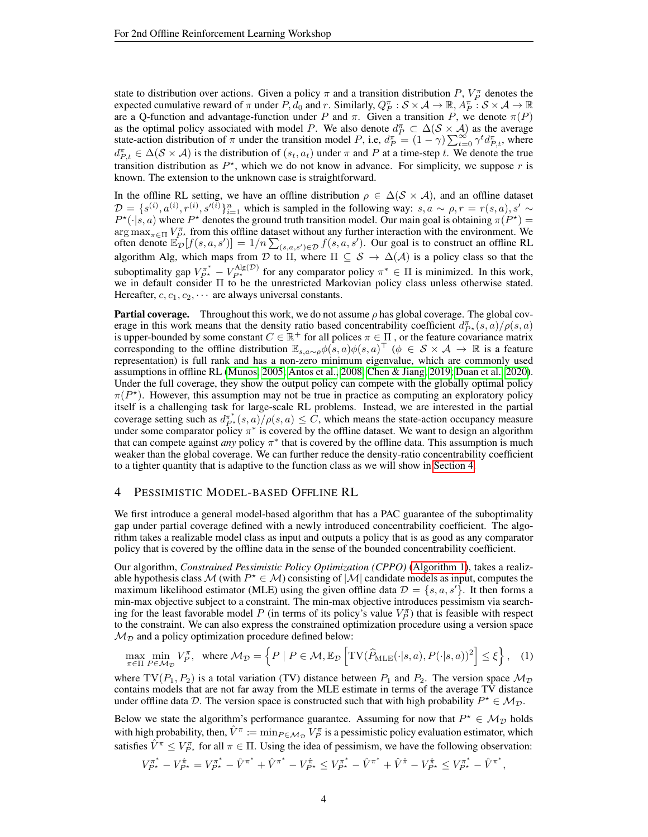state to distribution over actions. Given a policy  $\pi$  and a transition distribution P,  $V_P^{\pi}$  denotes the expected cumulative reward of  $\pi$  under  $P, d_0$  and  $r$ . Similarly,  $Q_P^{\pi}: \mathcal{S} \times \mathcal{A} \to \mathbb{R}, A_P^{\pi}: \mathcal{S} \times \mathcal{A} \to \mathbb{R}$ are a Q-function and advantage-function under P and  $\pi$ . Given a transition P, we denote  $\pi(P)$ as the optimal policy associated with model P. We also denote  $d_P^{\pi} \subset \Delta(\mathcal{S} \times \mathcal{A})$  as the average state-action distribution of  $\pi$  under the transition model P, i.e,  $d_P^{\pi} = (1 - \gamma) \sum_{t=0}^{\infty} \gamma^t d_{P,t}^{\pi}$ , where  $d_{P,t}^{\pi} \in \Delta(\mathcal{S} \times \mathcal{A})$  is the distribution of  $(s_t, a_t)$  under  $\pi$  and  $P$  at a time-step  $t$ . We denote the true transition distribution as  $P^*$ , which we do not know in advance. For simplicity, we suppose r is known. The extension to the unknown case is straightforward.

In the offline RL setting, we have an offline distribution  $\rho \in \Delta(\mathcal{S} \times \mathcal{A})$ , and an offline dataset  $\mathcal{D} = \{s^{(i)}, a^{(i)}, r^{(i)}, s'^{(i)}\}_{i=1}^n$  which is sampled in the following way:  $s, a \sim \rho, r = r(s, a), s' \sim$  $P^{\star}(\cdot|s, a)$  where  $P^{\star}$  denotes the ground truth transition model. Our main goal is obtaining  $\pi(P^{\star}) =$  $\arg \max_{\pi \in \Pi} V_{P^*}^{\pi}$  from this offline dataset without any further interaction with the environment. We often denote  $\mathbb{E}_{\mathcal{D}}[f(s,a,s')] = 1/n \sum_{(s,a,s') \in \mathcal{D}} f(s,a,s')$ . Our goal is to construct an offline RL algorithm Alg, which maps from D to  $\Pi$ , where  $\Pi \subseteq S \to \Delta(\mathcal{A})$  is a policy class so that the suboptimality gap  $V_{P^*}^{\pi^*} - V_{P^*}^{\text{Alg}(\mathcal{D})}$  for any comparator policy  $\pi^* \in \Pi$  is minimized. In this work, we in default consider Π to be the unrestricted Markovian policy class unless otherwise stated. Hereafter,  $c, c_1, c_2, \cdots$  are always universal constants.

**Partial coverage.** Throughout this work, we do not assume  $\rho$  has global coverage. The global coverage in this work means that the density ratio based concentrability coefficient  $d_{P^*}^{\pi}(s, a)/\rho(s, a)$ is upper-bounded by some constant  $C \in \mathbb{R}^+$  for all polices  $\pi \in \Pi$ , or the feature covariance matrix corresponding to the offline distribution  $\mathbb{E}_{s,a\sim\rho}\phi(s,a)\phi(s,a)^\top$   $(\phi \in S \times A \rightarrow \mathbb{R}$  is a feature representation) is full rank and has a non-zero minimum eigenvalue, which are commonly used assumptions in offline RL [\(Munos, 2005;](#page-9-15) [Antos et al., 2008;](#page-8-12) [Chen & Jiang, 2019;](#page-8-11) [Duan et al., 2020\)](#page-8-2). Under the full coverage, they show the output policy can compete with the globally optimal policy  $\pi(P^*)$ . However, this assumption may not be true in practice as computing an exploratory policy itself is a challenging task for large-scale RL problems. Instead, we are interested in the partial coverage setting such as  $d_{P^*}^{\pi^*}(s, a) / \rho(s, a) \leq C$ , which means the state-action occupancy measure under some comparator policy  $\pi^*$  is covered by the offline dataset. We want to design an algorithm that can compete against *any* policy  $\pi^*$  that is covered by the offline data. This assumption is much weaker than the global coverage. We can further reduce the density-ratio concentrability coefficient to a tighter quantity that is adaptive to the function class as we will show in [Section 4.](#page-3-0)

#### <span id="page-3-0"></span>4 PESSIMISTIC MODEL-BASED OFFLINE RL

We first introduce a general model-based algorithm that has a PAC guarantee of the suboptimality gap under partial coverage defined with a newly introduced concentrability coefficient. The algorithm takes a realizable model class as input and outputs a policy that is as good as any comparator policy that is covered by the offline data in the sense of the bounded concentrability coefficient.

Our algorithm, *Constrained Pessimistic Policy Optimization (CPPO)* [\(Algorithm 1\)](#page-4-2), takes a realizable hypothesis class M (with  $P^* \in M$ ) consisting of  $|M|$  candidate models as input, computes the maximum likelihood estimator (MLE) using the given offline data  $\mathcal{D} = \{s, a, s'\}$ . It then forms a min-max objective subject to a constraint. The min-max objective introduces pessimism via searching for the least favorable model P (in terms of its policy's value  $V_P^{\pi}$ ) that is feasible with respect to the constraint. We can also express the constrained optimization procedure using a version space  $M_{\mathcal{D}}$  and a policy optimization procedure defined below:

$$
\max_{\pi \in \Pi} \min_{P \in \mathcal{M}_{\mathcal{D}}} V_P^{\pi}, \text{ where } \mathcal{M}_{\mathcal{D}} = \left\{ P \mid P \in \mathcal{M}, \mathbb{E}_{\mathcal{D}} \left[ \text{TV}(\widehat{P}_{\text{MLE}}(\cdot | s, a), P(\cdot | s, a))^2 \right] \le \xi \right\}, \quad (1)
$$

where  $TV(P_1, P_2)$  is a total variation (TV) distance between  $P_1$  and  $P_2$ . The version space  $\mathcal{M}_{\mathcal{D}}$ contains models that are not far away from the MLE estimate in terms of the average TV distance under offline data D. The version space is constructed such that with high probability  $P^* \in M_{\mathcal{D}}$ .

Below we state the algorithm's performance guarantee. Assuming for now that  $P^* \in M_{\mathcal{D}}$  holds with high probability, then,  $\hat{V}^{\pi} := \min_{P \in \mathcal{M}_{\mathcal{D}}} V_P^{\pi}$  is a pessimistic policy evaluation estimator, which satisfies  $\hat{V}^{\pi} \le V_{P^*}^{\pi}$  for all  $\pi \in \Pi$ . Using the idea of pessimism, we have the following observation:

$$
V_{P^\star}^{\pi^\ast} - V_{P^\star}^{\hat{\pi}} = V_{P^\star}^{\pi^\ast} - \hat{V}^{\pi^\ast} + \hat{V}^{\pi^\ast} - V_{P^\star}^{\hat{\pi}} \leq V_{P^\star}^{\pi^\ast} - \hat{V}^{\pi^\ast} + \hat{V}^{\hat{\pi}} - V_{P^\star}^{\hat{\pi}} \leq V_{P^\star}^{\pi^\ast} - \hat{V}^{\pi^\ast},
$$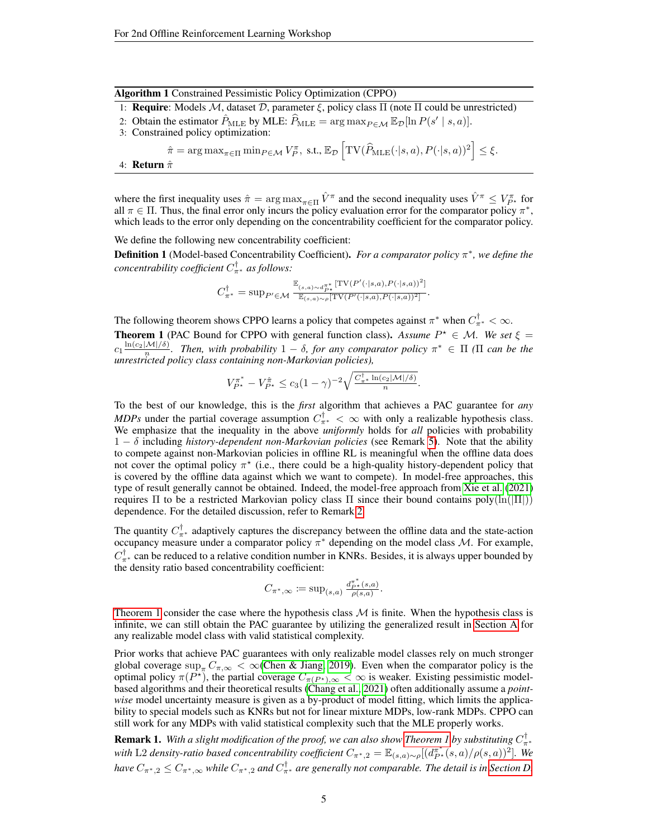|  | Algorithm 1 Constrained Pessimistic Policy Optimization (CPPO) |  |  |  |  |
|--|----------------------------------------------------------------|--|--|--|--|
|--|----------------------------------------------------------------|--|--|--|--|

- <span id="page-4-2"></span>1: Require: Models M, dataset  $D$ , parameter  $\xi$ , policy class  $\Pi$  (note  $\Pi$  could be unrestricted)
- 2: Obtain the estimator  $\hat{P}_{\text{MLE}}$  by MLE:  $\hat{P}_{\text{MLE}} = \arg \max_{P \in \mathcal{M}} \mathbb{E}_{\mathcal{D}}[\ln P(s' \mid s, a)].$
- 3: Constrained policy optimization:
	- $\hat{\pi} = \arg \max_{\pi \in \Pi} \min_{P \in \mathcal{M}} V_P^{\pi}, \text{ s.t., } \mathbb{E}_{\mathcal{D}} \left[ \text{TV}(\widehat{P}_{\text{MLE}}(\cdot | s, a), P(\cdot | s, a))^2 \right] \leq \xi.$
- 4: Return  $\hat{\pi}$

where the first inequality uses  $\hat{\pi} = \arg \max_{\pi \in \Pi} \hat{V}^{\pi}$  and the second inequality uses  $\hat{V}^{\pi} \le V_{P^{\star}}^{\pi}$  for all  $\pi \in \Pi$ . Thus, the final error only incurs the policy evaluation error for the comparator policy  $\pi^*$ , which leads to the error only depending on the concentrability coefficient for the comparator policy.

We define the following new concentrability coefficient:

<span id="page-4-0"></span>**Definition 1** (Model-based Concentrability Coefficient). *For a comparator policy* π<sup>\*</sup>, we define the *concentrability coefficient* C † <sup>π</sup><sup>∗</sup> *as follows:*

$$
C_{\pi^*}^{\dagger} = \sup_{P' \in \mathcal{M}} \frac{\mathbb{E}_{(s,a) \sim d_{P^*}^{\pi^*}} [\text{TV}(P'(\cdot|s,a), P(\cdot|s,a))^2]}{\mathbb{E}_{(s,a) \sim \rho} [\text{TV}(P'(\cdot|s,a), P(\cdot|s,a))^2]}.
$$

The following theorem shows CPPO learns a policy that competes against  $\pi^*$  when  $C_{\pi^*}^{\dagger} < \infty$ .

<span id="page-4-1"></span>**Theorem 1** (PAC Bound for CPPO with general function class). Assume  $P^* \in M$ . We set  $\xi =$  $c_1 \frac{\ln(c_2 |M|/δ)}{n}$ . Then, with probability 1 − δ, for any comparator policy  $π^* ∈ Π$  (Π can be the *unrestricted policy class containing non-Markovian policies),*

$$
V_{P^*}^{\pi^*} - V_{P^*}^{\hat{\pi}} \le c_3 (1 - \gamma)^{-2} \sqrt{\frac{C_{\pi^*}^{\dagger} \ln(c_2|M|/\delta)}{n}}.
$$

To the best of our knowledge, this is the *first* algorithm that achieves a PAC guarantee for *any MDPs* under the partial coverage assumption  $C_{\pi^*}^{\dagger} < \infty$  with only a realizable hypothesis class. We emphasize that the inequality in the above *uniformly* holds for *all* policies with probability 1 − δ including *history-dependent non-Markovian policies* (see Remark [5\)](#page-20-0). Note that the ability to compete against non-Markovian policies in offline RL is meaningful when the offline data does not cover the optimal policy  $\pi^*$  (i.e., there could be a high-quality history-dependent policy that is covered by the offline data against which we want to compete). In model-free approaches, this type of result generally cannot be obtained. Indeed, the model-free approach from [Xie et al.](#page-11-2) [\(2021\)](#page-11-2) requires Π to be a restricted Markovian policy class Π since their bound contains  $poly(ln(|\Pi|))$ dependence. For the detailed discussion, refer to Remark [2.](#page-5-0)

The quantity  $C_{\pi^*}^{\dagger}$  adaptively captures the discrepancy between the offline data and the state-action occupancy measure under a comparator policy  $\pi^*$  depending on the model class M. For example,  $C^{\dagger}_{\pi^*}$  can be reduced to a relative condition number in KNRs. Besides, it is always upper bounded by the density ratio based concentrability coefficient:

$$
C_{\pi^*,\infty} := \sup_{(s,a)} \frac{d_{P^*}^{\pi^*(s,a)}}{\rho(s,a)}
$$
.

[Theorem 1](#page-4-1) consider the case where the hypothesis class  $M$  is finite. When the hypothesis class is infinite, we can still obtain the PAC guarantee by utilizing the generalized result in [Section A](#page-12-0) for any realizable model class with valid statistical complexity.

Prior works that achieve PAC guarantees with only realizable model classes rely on much stronger global coverage sup<sub> $\pi C_{\pi,\infty} < \infty$  [\(Chen & Jiang, 2019\)](#page-8-11). Even when the comparator policy is the</sub> optimal policy  $\pi(P^*)$ , the partial coverage  $C_{\pi(P^*)}, \infty < \infty$  is weaker. Existing pessimistic modelbased algorithms and their theoretical results [\(Chang et al., 2021\)](#page-8-3) often additionally assume a *pointwise* model uncertainty measure is given as a by-product of model fitting, which limits the applicability to special models such as KNRs but not for linear mixture MDPs, low-rank MDPs. CPPO can still work for any MDPs with valid statistical complexity such that the MLE properly works.

**Remark 1.** With a slight modification of the proof, we can also show [Theorem 1](#page-4-1) by substituting  $C^{\dagger}_{\pi*}$ *with* L2 *density-ratio based concentrability coefficient*  $C_{\pi^*,2} = \mathbb{E}_{(s,a)\sim\rho}[(d_{P^*}^{\pi^*}(s,a)/\rho(s,a))^2]$ . We *have*  $C_{\pi^*,2} \leq C_{\pi^*,\infty}$  *while*  $C_{\pi^*,2}$  *and*  $C_{\pi^*}^\dagger$  *are generally not comparable. The detail is in [Section D.](#page-16-0)*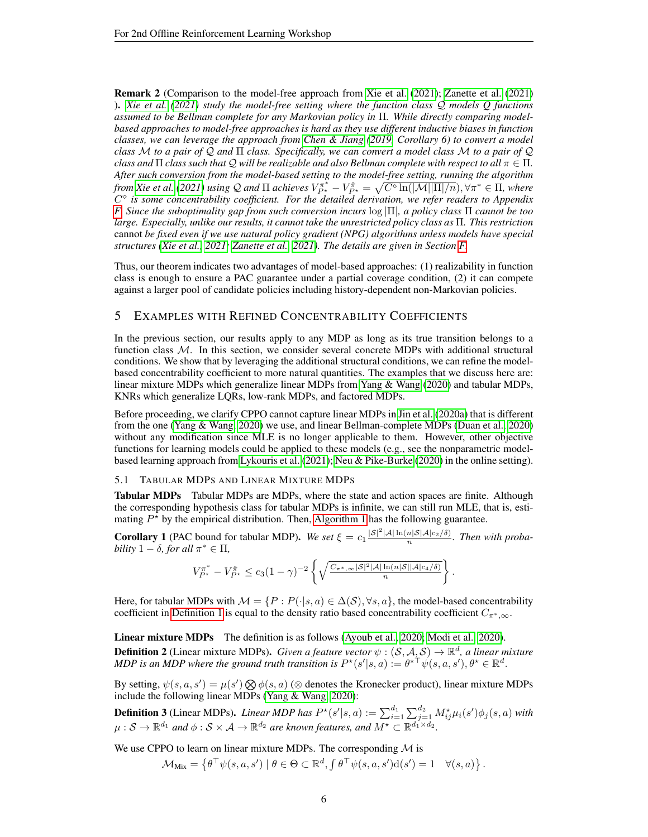<span id="page-5-0"></span>Remark 2 (Comparison to the model-free approach from [Xie et al.](#page-11-2) [\(2021\)](#page-11-2); [Zanette et al.](#page-11-3) [\(2021\)](#page-11-3) ). *[Xie et al.](#page-11-2) [\(2021\)](#page-11-2) study the model-free setting where the function class* Q *models Q functions assumed to be Bellman complete for any Markovian policy in* Π*. While directly comparing modelbased approaches to model-free approaches is hard as they use different inductive biases in function classes, we can leverage the approach from [Chen & Jiang](#page-8-11) [\(2019,](#page-8-11) Corollary 6) to convert a model class* M *to a pair of* Q *and* Π *class. Specifically, we can convert a model class* M *to a pair of* Q *class and*  $\Pi$  *class such that*  $Q$  *will be realizable and also Bellman complete with respect to all*  $\pi \in \Pi$ *. After such conversion from the model-based setting to the model-free setting, running the algorithm from [Xie et al.](#page-11-2)* [\(2021\)](#page-11-2) using Q and  $\Pi$  achieves  $V^{\pi^*}_{P^{\star}} - V^{\hat{\pi}}_{P^{\star}} = \sqrt{C^\diamond \ln(|\mathcal{M}||\Pi|/n}), \forall \pi^* \in \Pi$ , where  $C^{\diamond}$  is some concentrability coefficient. For the detailed derivation, we refer readers to Appendix *[F.](#page-17-1) Since the suboptimality gap from such conversion incurs* log |Π|*, a policy class* Π *cannot be too large. Especially, unlike our results, it cannot take the unrestricted policy class as* Π*. This restriction* cannot *be fixed even if we use natural policy gradient (NPG) algorithms unless models have special structures [\(Xie et al., 2021;](#page-11-2) [Zanette et al., 2021\)](#page-11-3). The details are given in Section [F.](#page-17-1)*

Thus, our theorem indicates two advantages of model-based approaches: (1) realizability in function class is enough to ensure a PAC guarantee under a partial coverage condition, (2) it can compete against a larger pool of candidate policies including history-dependent non-Markovian policies.

# 5 EXAMPLES WITH REFINED CONCENTRABILITY COEFFICIENTS

In the previous section, our results apply to any MDP as long as its true transition belongs to a function class  $M$ . In this section, we consider several concrete MDPs with additional structural conditions. We show that by leveraging the additional structural conditions, we can refine the modelbased concentrability coefficient to more natural quantities. The examples that we discuss here are: linear mixture MDPs which generalize linear MDPs from [Yang & Wang](#page-11-4) [\(2020\)](#page-11-4) and tabular MDPs, KNRs which generalize LQRs, low-rank MDPs, and factored MDPs.

Before proceeding, we clarify CPPO cannot capture linear MDPs in [Jin et al.](#page-9-5) [\(2020a\)](#page-9-5) that is different from the one [\(Yang & Wang, 2020\)](#page-11-4) we use, and linear Bellman-complete MDPs [\(Duan et al., 2020\)](#page-8-2) without any modification since MLE is no longer applicable to them. However, other objective functions for learning models could be applied to these models (e.g., see the nonparametric modelbased learning approach from [Lykouris et al.](#page-9-16) [\(2021\)](#page-9-16); [Neu & Pike-Burke](#page-10-11) [\(2020\)](#page-10-11) in the online setting).

#### 5.1 TABULAR MDPS AND LINEAR MIXTURE MDPS

Tabular MDPs Tabular MDPs are MDPs, where the state and action spaces are finite. Although the corresponding hypothesis class for tabular MDPs is infinite, we can still run MLE, that is, estimating  $P^*$  by the empirical distribution. Then, [Algorithm 1](#page-4-2) has the following guarantee.

<span id="page-5-1"></span>**Corollary 1** (PAC bound for tabular MDP). We set  $\xi = c_1 \frac{|S|^2 |A| \ln(n|S|A|c_2/\delta)}{n}$ . Then with proba*bility*  $1 - \delta$ *, for all*  $\pi^* \in \Pi$ *,* 

$$
V_{P^\star}^{\pi^\ast} - V_{P^\star}^{\hat{\pi}} \le c_3 (1-\gamma)^{-2} \left\{ \sqrt{\frac{C_{\pi^\ast,\infty} |\mathcal{S}|^2 |\mathcal{A}| \ln(n|\mathcal{S}||\mathcal{A}|c_4/\delta)}{n}} \right\}
$$

.

Here, for tabular MDPs with  $\mathcal{M} = \{P : P(\cdot|s, a) \in \Delta(\mathcal{S}), \forall s, a\}$ , the model-based concentrability coefficient in [Definition 1](#page-4-0) is equal to the density ratio based concentrability coefficient  $C_{\pi^*,\infty}$ .

Linear mixture MDPs The definition is as follows [\(Ayoub et al., 2020;](#page-8-6) [Modi et al., 2020\)](#page-9-17). **Definition 2** (Linear mixture MDPs). *Given a feature vector*  $\psi$  :  $(S, \mathcal{A}, \mathcal{S}) \to \mathbb{R}^d$ , a linear mixture *MDP is an MDP where the ground truth transition is*  $P^{\star}(s'|s, a) := \theta^{\star \top} \psi(s, a, s'), \theta^{\star} \in \mathbb{R}^d$ .

By setting,  $\psi(s, a, s') = \mu(s') \bigotimes \phi(s, a)$  ( $\otimes$  denotes the Kronecker product), linear mixture MDPs include the following linear MDPs [\(Yang & Wang, 2020\)](#page-11-4):

**Definition 3** (Linear MDPs). *Linear MDP has*  $P^{\star}(s'|s, a) := \sum_{i=1}^{d_1} \sum_{j=1}^{d_2} M^{\star}_{ij} \mu_i(s') \phi_j(s, a)$  *with*  $\mu: \mathcal{S} \to \mathbb{R}^{d_1}$  and  $\phi: \mathcal{S} \times \mathcal{A} \to \mathbb{R}^{d_2}$  are known features, and  $M^\star \subset \mathbb{R}^{d_1 \times d_2}.$ 

We use CPPO to learn on linear mixture MDPs. The corresponding  $M$  is

$$
\mathcal{M}_{\text{Mix}} = \left\{ \theta^\top \psi(s, a, s') \mid \theta \in \Theta \subset \mathbb{R}^d, \int \theta^\top \psi(s, a, s') d(s') = 1 \quad \forall (s, a) \right\}.
$$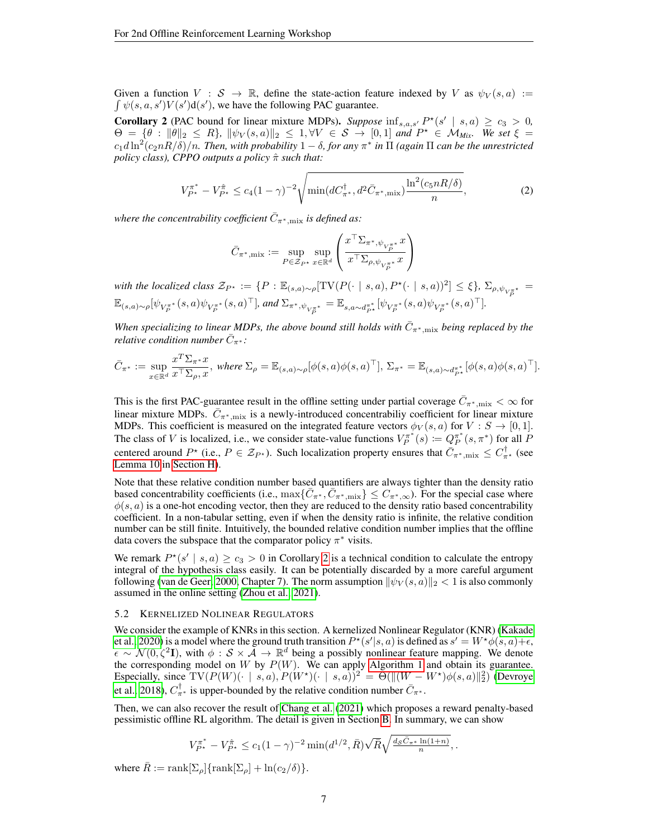Given a function  $V : S \to \mathbb{R}$ , define the state-action feature indexed by V as  $\psi_V(s, a) :=$  $\int \psi(s, a, s') V(s') d(s')$ , we have the following PAC guarantee.

<span id="page-6-0"></span>**Corollary 2** (PAC bound for linear mixture MDPs). Suppose  $\inf_{s,a,s'} P^*(s' | s,a) \ge c_3 > 0$ ,  $\Theta = \{\theta : \|\theta\|_2 \le R\}$ ,  $\|\psi_V(s, a)\|_2 \le 1$ ,  $\forall V \in S \rightarrow [0, 1]$  and  $P^{\star} \in \mathcal{M}_{Mix}$ . We set  $\xi =$  $c_1d\ln^2(c_{2}nR/\delta)/n$ . Then, with probability  $1-\delta$ , for any  $\pi^*$  in  $\Pi$  (again  $\Pi$  can be the unrestricted *policy class), CPPO outputs a policy*  $\hat{\pi}$  *such that:* 

$$
V_{P^*}^{\pi^*} - V_{P^*}^{\hat{\pi}} \le c_4 (1 - \gamma)^{-2} \sqrt{\min(dC_{\pi^*}^{\dagger}, d^2 \bar{C}_{\pi^*, \text{mix}}) \frac{\ln^2(c_5 n R/\delta)}{n}},\tag{2}
$$

where the concentrability coefficient  $\bar{C}_{\pi^*,\text{mix}}$  is defined as:

$$
\bar{C}_{\pi^*,\text{mix}} := \sup_{P\in\mathcal{Z}_{P^*}}\sup_{x\in\mathbb{R}^d} \left(\frac{x^\top \Sigma_{\pi^*,\psi_{V_P^{\pi^*}}} x}{x^\top \Sigma_{\rho,\psi_{V_P^{\pi^*}}} x}\right)
$$

*with the localized class*  $\mathcal{Z}_{P^*} := \{P : \mathbb{E}_{(s,a)\sim \rho}[\text{TV}(P(\cdot \mid s, a), P^\star(\cdot \mid s, a))^2] \leq \xi\}, \ \Sigma_{\rho, \psi_{V_P^{\pi^*}}} =$  $\mathbb{E}_{(s,a)\sim \rho}[\psi_{V_P^{\pi^*}}(s,a)\psi_{V_P^{\pi^*}}(s,a)^\top], \text{ and } \Sigma_{\pi^*,\psi_{V_P^{\pi^*}}} = \mathbb{E}_{s,a\sim d_{P^*}^{\pi^*}}[\psi_{V_P^{\pi^*}}(s,a)\psi_{V_P^{\pi^*}}(s,a)^\top].$ 

When specializing to linear MDPs, the above bound still holds with  $\bar{C}_{\pi^*,\text{mix}}$  being replaced by the  $\vec{r}$  *relative condition number*  $\vec{C}_{\pi^*}$ :

$$
\bar{C}_{\pi^*}:=\sup_{x\in\mathbb{R}^d}\frac{x^T\Sigma_{\pi^*}x}{x^{\top}\Sigma_{\rho},x},\text{ where }\Sigma_{\rho}=\mathbb{E}_{(s,a)\sim\rho}[\phi(s,a)\phi(s,a)^{\top}],\ \Sigma_{\pi^*}=\mathbb{E}_{(s,a)\sim d_{P^*}^{\pi^*}}[\phi(s,a)\phi(s,a)^{\top}].
$$

This is the first PAC-guarantee result in the offline setting under partial coverage  $\bar{C}_{\pi^*,\text{mix}} < \infty$  for linear mixture MDPs.  $\bar{C}_{\pi^*,\text{mix}}$  is a newly-introduced concentrabiliy coefficient for linear mixture MDPs. This coefficient is measured on the integrated feature vectors  $\phi_V(s, a)$  for  $V : S \to [0, 1]$ . The class of V is localized, i.e., we consider state-value functions  $V_P^{\pi^*}(s) := Q_P^{\pi^*}(s, \pi^*)$  for all P centered around  $P^*$  (i.e.,  $P \in \mathcal{Z}_{P^*}$ ). Such localization property ensures that  $\bar{C}_{\pi^*,\text{mix}} \leq C_{\pi^*}^{\dagger}$  (see [Lemma 10](#page-35-0) in [Section H\)](#page-34-0).

Note that these relative condition number based quantifiers are always tighter than the density ratio based concentrability coefficients (i.e.,  $\max{\{\overline{C}_{\pi^*}, \overline{C}_{\pi^*,\text{mix}}\}} \leq C_{\pi^*,\infty}$ ). For the special case where  $\phi(s, a)$  is a one-hot encoding vector, then they are reduced to the density ratio based concentrability coefficient. In a non-tabular setting, even if when the density ratio is infinite, the relative condition number can be still finite. Intuitively, the bounded relative condition number implies that the offline data covers the subspace that the comparator policy  $\pi^*$  visits.

We remark  $P^*(s' | s, a) \ge c_3 > 0$  in Corollary [2](#page-6-0) is a technical condition to calculate the entropy integral of the hypothesis class easily. It can be potentially discarded by a more careful argument following [\(van de Geer, 2000,](#page-10-12) Chapter 7). The norm assumption  $\|\psi_V(s, a)\|_2 < 1$  is also commonly assumed in the online setting [\(Zhou et al., 2021\)](#page-11-10).

#### 5.2 KERNELIZED NOLINEAR REGULATORS

We consider the example of KNRs in this section. A kernelized Nonlinear Regulator (KNR) [\(Kakade](#page-9-6) [et al., 2020\)](#page-9-6) is a model where the ground truth transition  $P^*(s'|s, a)$  is defined as  $s' = W^*(s, a) + \epsilon$ ,  $\epsilon \sim \mathcal{N}(0,\zeta^2 I)$ , with  $\phi: \mathcal{S} \times \tilde{\mathcal{A}} \to \mathbb{R}^d$  being a possibly nonlinear feature mapping. We denote the corresponding model on  $W$  by  $P(W)$ . We can apply [Algorithm 1](#page-4-2) and obtain its guarantee. Especially, since  $TV(P(W)(\cdot \mid s, a), P(W^*)(\cdot \mid s, a))^2 = \Theta(||(W - W^*)\phi(s, a)||_2^2)$  [\(Devroye](#page-8-15) [et al., 2018\)](#page-8-15),  $C^{\dagger}_{\pi^*}$  is upper-bounded by the relative condition number  $\bar{C}_{\pi^*}$ .

Then, we can also recover the result of [Chang et al.](#page-8-3) [\(2021\)](#page-8-3) which proposes a reward penalty-based pessimistic offline RL algorithm. The detail is given in Section [B.](#page-14-0) In summary, we can show

$$
V_{P^{\star}}^{\pi^*} - V_{P^{\star}}^{\hat{\pi}} \le c_1 (1 - \gamma)^{-2} \min(d^{1/2}, \bar{R}) \sqrt{\bar{R}} \sqrt{\frac{d_S \bar{C}_{\pi^*} \ln(1+n)}{n}},
$$

where  $\bar{R} := \text{rank}[\Sigma_{\rho}] {\text{rank}[\Sigma_{\rho}] + \ln(c_2/\delta)}.$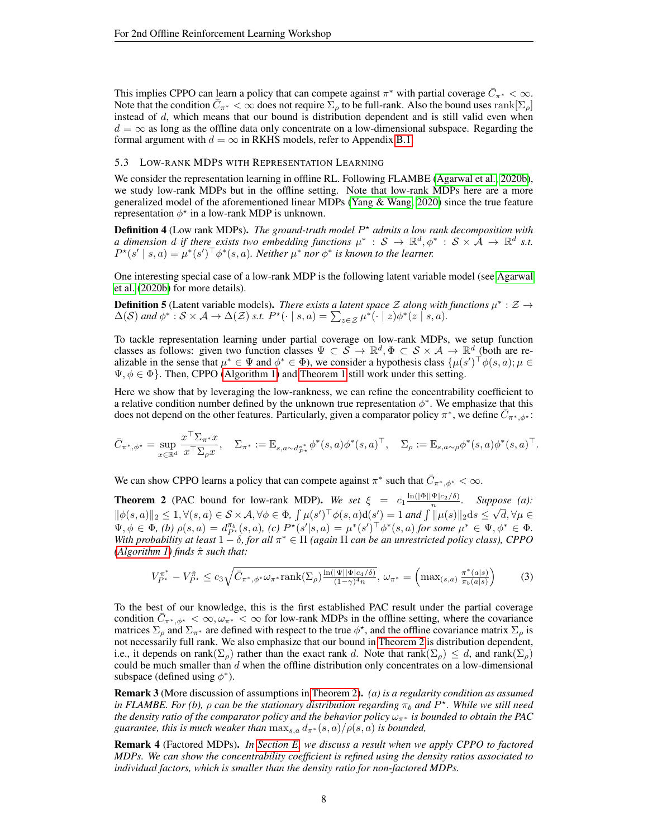This implies CPPO can learn a policy that can compete against  $\pi^*$  with partial coverage  $\bar{C}_{\pi^*}<\infty$ . Note that the condition  $\bar{C}_{\pi^*}<\infty$  does not require  $\sum_{\rho}$  to be full-rank. Also the bound uses rank  $[\Sigma_{\rho}]$ instead of  $d$ , which means that our bound is distribution dependent and is still valid even when  $d = \infty$  as long as the offline data only concentrate on a low-dimensional subspace. Regarding the formal argument with  $d = \infty$  in RKHS models, refer to Appendix [B.1.](#page-14-1)

#### 5.3 LOW-RANK MDPS WITH REPRESENTATION LEARNING

We consider the representation learning in offline RL. Following FLAMBE [\(Agarwal et al., 2020b\)](#page-8-14), we study low-rank MDPs but in the offline setting. Note that low-rank MDPs here are a more generalized model of the aforementioned linear MDPs [\(Yang & Wang, 2020\)](#page-11-4) since the true feature representation  $\phi^*$  in a low-rank MDP is unknown.

Definition 4 (Low rank MDPs). *The ground-truth model P<sup>\*</sup> admits a low rank decomposition with a* dimension d if there exists two embedding functions  $\mu^*$  :  $S \to \mathbb{R}^d$ ,  $\phi^*$  :  $S \times \mathcal{A} \to \mathbb{R}^d$  s.t.  $P^{\star}(s' \mid s, a) = \mu^*(s')^{\top} \phi^*(s, a)$ . Neither  $\mu^*$  nor  $\phi^*$  is known to the learner.

One interesting special case of a low-rank MDP is the following latent variable model (see [Agarwal](#page-8-14) [et al.](#page-8-14) [\(2020b\)](#page-8-14) for more details).

**Definition 5** (Latent variable models). *There exists a latent space Z along with functions*  $\mu^*$  :  $\mathcal{Z} \rightarrow$  $\Delta(\mathcal{S})$  and  $\phi^*: \mathcal{S} \times \mathcal{A} \to \Delta(\mathcal{Z})$  *s.t.*  $P^{\star}(\cdot \mid s, a) = \sum_{z \in \mathcal{Z}} \mu^{\star}(\cdot \mid z) \phi^*(z \mid s, a)$ .

To tackle representation learning under partial coverage on low-rank MDPs, we setup function classes as follows: given two function classes  $\Psi \subset \mathcal{S} \to \mathbb{R}^d, \Phi \subset \mathcal{S} \times \mathcal{A} \to \mathbb{R}^d$  (both are realizable in the sense that  $\mu^* \in \Psi$  and  $\phi^* \in \Phi$ ), we consider a hypothesis class  $\{\mu(s')^\top \phi(s, a); \mu \in \Psi\}$  $\Psi, \phi \in \Phi$ . Then, CPPO [\(Algorithm 1\)](#page-4-2) and [Theorem 1](#page-4-1) still work under this setting.

Here we show that by leveraging the low-rankness, we can refine the concentrability coefficient to a relative condition number defined by the unknown true representation  $\phi^*$ . We emphasize that this does not depend on the other features. Particularly, given a comparator policy  $\pi^*$ , we define  $\bar{C}_{\pi^*,\phi^*}$ :

$$
\bar{C}_{\pi^*,\phi^\star}=\sup_{x\in\mathbb{R}^d}\frac{x^\top \Sigma_{\pi^*} x}{x^\top \Sigma_\rho x},\quad \Sigma_{\pi^*}:=\mathbb{E}_{s,a\sim d_{P^\star}^{\pi^*}}\phi^*(s,a)\phi^*(s,a)^\top,\quad \Sigma_\rho:=\mathbb{E}_{s,a\sim \rho}\phi^*(s,a)\phi^*(s,a)^\top.
$$

We can show CPPO learns a policy that can compete against  $\pi^*$  such that  $\overline{C}_{\pi^*,\phi^*} < \infty$ .

<span id="page-7-0"></span>**Theorem 2** (PAC bound for low-rank MDP). We set  $\xi = c_1 \frac{\ln(|\Phi||\Psi|c_2/\delta)}{n}$ . Suppose (a):  $\|\phi(s, a)\|_2 \leq 1, \forall (s, a) \in \mathcal{S} \times \mathcal{A}, \forall \phi \in \Phi, \int \mu(s')^{\top} \phi(s, a) d(s') = 1$  and  $\int \|\mu(s)\|_2 ds \leq \sqrt{d}, \forall \mu \in \mathcal{S}$  $\Psi, \phi \in \Phi$ , (b)  $\rho(s, a) = d_{P^*}^{\pi_b}(s, a)$ , (c)  $P^*(s'|s, a) = \mu^*(s')^\top \phi^*(s, a)$  for some  $\mu^* \in \Psi, \phi^* \in \Phi$ . *With probability at least* 1 − δ*, for all* π <sup>∗</sup> ∈ Π *(again* Π *can be an unrestricted policy class), CPPO [\(Algorithm 1\)](#page-4-2) finds* πˆ *such that:*

$$
V_{P^*}^{\pi^*} - V_{P^*}^{\hat{\pi}} \le c_3 \sqrt{\bar{C}_{\pi^*, \phi^*} \omega_{\pi^*} \text{rank}(\Sigma_\rho) \frac{\ln(|\Psi||\Phi|c_4/\delta)}{(1-\gamma)^4 n}}, \ \omega_{\pi^*} = \left(\max_{(s,a)} \frac{\pi^*(a|s)}{\pi_b(a|s)}\right) \tag{3}
$$

To the best of our knowledge, this is the first established PAC result under the partial coverage condition  $\bar{C}_{\pi^*,\phi^*} < \infty$ ,  $\omega_{\pi^*} < \infty$  for low-rank MDPs in the offline setting, where the covariance matrices  $\Sigma_\rho$  and  $\Sigma_{\pi^*}$  are defined with respect to the true  $\phi^*$ , and the offline covariance matrix  $\Sigma_\rho$  is not necessarily full rank. We also emphasize that our bound in [Theorem 2](#page-7-0) is distribution dependent, i.e., it depends on rank $(\Sigma_\rho)$  rather than the exact rank d. Note that rank $(\Sigma_\rho) \leq d$ , and rank $(\Sigma_\rho)$ could be much smaller than  $d$  when the offline distribution only concentrates on a low-dimensional subspace (defined using  $\phi^*$ ).

Remark 3 (More discussion of assumptions in [Theorem 2\)](#page-7-0). *(a) is a regularity condition as assumed in FLAMBE. For (b),*  $\rho$  *can be the stationary distribution regarding*  $\pi_b$  *and*  $P^*$ . While we still need *the density ratio of the comparator policy and the behavior policy* ωπ∗ *is bounded to obtain the PAC guarantee, this is much weaker than*  $\max_{s,a} d_{\pi^*}(s,a)/\rho(s,a)$  *is bounded,* 

Remark 4 (Factored MDPs). *In [Section E,](#page-16-1) we discuss a result when we apply CPPO to factored MDPs. We can show the concentrability coefficient is refined using the density ratios associated to individual factors, which is smaller than the density ratio for non-factored MDPs.*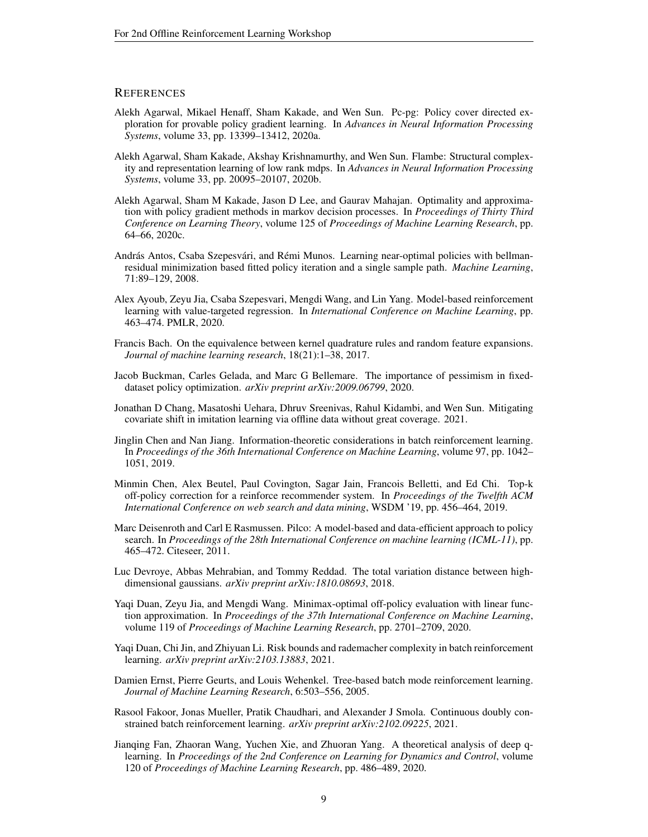## **REFERENCES**

- <span id="page-8-5"></span>Alekh Agarwal, Mikael Henaff, Sham Kakade, and Wen Sun. Pc-pg: Policy cover directed exploration for provable policy gradient learning. In *Advances in Neural Information Processing Systems*, volume 33, pp. 13399–13412, 2020a.
- <span id="page-8-14"></span>Alekh Agarwal, Sham Kakade, Akshay Krishnamurthy, and Wen Sun. Flambe: Structural complexity and representation learning of low rank mdps. In *Advances in Neural Information Processing Systems*, volume 33, pp. 20095–20107, 2020b.
- <span id="page-8-4"></span>Alekh Agarwal, Sham M Kakade, Jason D Lee, and Gaurav Mahajan. Optimality and approximation with policy gradient methods in markov decision processes. In *Proceedings of Thirty Third Conference on Learning Theory*, volume 125 of *Proceedings of Machine Learning Research*, pp. 64–66, 2020c.
- <span id="page-8-12"></span>András Antos, Csaba Szepesvári, and Rémi Munos. Learning near-optimal policies with bellmanresidual minimization based fitted policy iteration and a single sample path. *Machine Learning*, 71:89–129, 2008.
- <span id="page-8-6"></span>Alex Ayoub, Zeyu Jia, Csaba Szepesvari, Mengdi Wang, and Lin Yang. Model-based reinforcement learning with value-targeted regression. In *International Conference on Machine Learning*, pp. 463–474. PMLR, 2020.
- <span id="page-8-16"></span>Francis Bach. On the equivalence between kernel quadrature rules and random feature expansions. *Journal of machine learning research*, 18(21):1–38, 2017.
- <span id="page-8-8"></span>Jacob Buckman, Carles Gelada, and Marc G Bellemare. The importance of pessimism in fixeddataset policy optimization. *arXiv preprint arXiv:2009.06799*, 2020.
- <span id="page-8-3"></span>Jonathan D Chang, Masatoshi Uehara, Dhruv Sreenivas, Rahul Kidambi, and Wen Sun. Mitigating covariate shift in imitation learning via offline data without great coverage. 2021.
- <span id="page-8-11"></span>Jinglin Chen and Nan Jiang. Information-theoretic considerations in batch reinforcement learning. In *Proceedings of the 36th International Conference on Machine Learning*, volume 97, pp. 1042– 1051, 2019.
- <span id="page-8-0"></span>Minmin Chen, Alex Beutel, Paul Covington, Sagar Jain, Francois Belletti, and Ed Chi. Top-k off-policy correction for a reinforce recommender system. In *Proceedings of the Twelfth ACM International Conference on web search and data mining*, WSDM '19, pp. 456–464, 2019.
- <span id="page-8-13"></span>Marc Deisenroth and Carl E Rasmussen. Pilco: A model-based and data-efficient approach to policy search. In *Proceedings of the 28th International Conference on machine learning (ICML-11)*, pp. 465–472. Citeseer, 2011.
- <span id="page-8-15"></span>Luc Devroye, Abbas Mehrabian, and Tommy Reddad. The total variation distance between highdimensional gaussians. *arXiv preprint arXiv:1810.08693*, 2018.
- <span id="page-8-2"></span>Yaqi Duan, Zeyu Jia, and Mengdi Wang. Minimax-optimal off-policy evaluation with linear function approximation. In *Proceedings of the 37th International Conference on Machine Learning*, volume 119 of *Proceedings of Machine Learning Research*, pp. 2701–2709, 2020.
- <span id="page-8-9"></span>Yaqi Duan, Chi Jin, and Zhiyuan Li. Risk bounds and rademacher complexity in batch reinforcement learning. *arXiv preprint arXiv:2103.13883*, 2021.
- <span id="page-8-1"></span>Damien Ernst, Pierre Geurts, and Louis Wehenkel. Tree-based batch mode reinforcement learning. *Journal of Machine Learning Research*, 6:503–556, 2005.
- <span id="page-8-7"></span>Rasool Fakoor, Jonas Mueller, Pratik Chaudhari, and Alexander J Smola. Continuous doubly constrained batch reinforcement learning. *arXiv preprint arXiv:2102.09225*, 2021.
- <span id="page-8-10"></span>Jianqing Fan, Zhaoran Wang, Yuchen Xie, and Zhuoran Yang. A theoretical analysis of deep qlearning. In *Proceedings of the 2nd Conference on Learning for Dynamics and Control*, volume 120 of *Proceedings of Machine Learning Research*, pp. 486–489, 2020.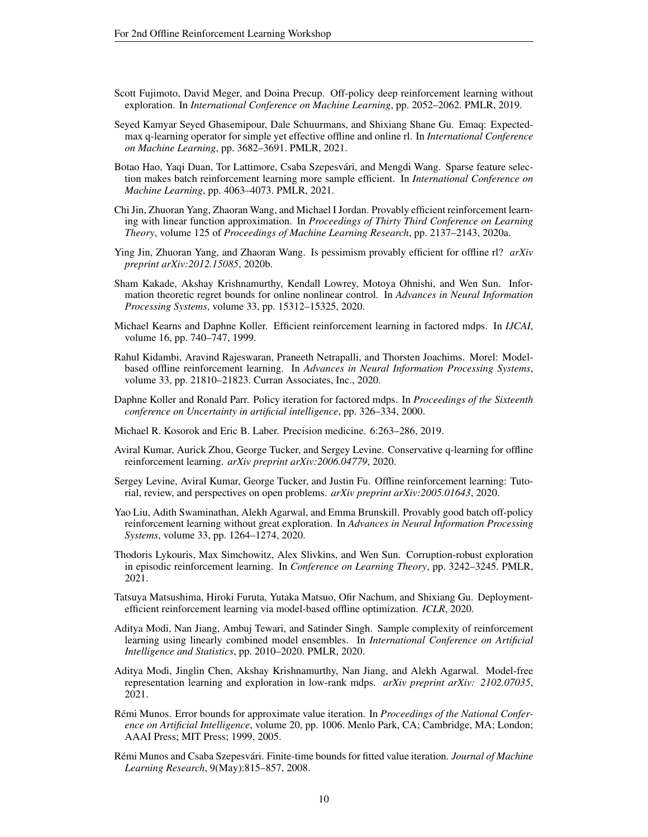- <span id="page-9-9"></span>Scott Fujimoto, David Meger, and Doina Precup. Off-policy deep reinforcement learning without exploration. In *International Conference on Machine Learning*, pp. 2052–2062. PMLR, 2019.
- <span id="page-9-10"></span>Seyed Kamyar Seyed Ghasemipour, Dale Schuurmans, and Shixiang Shane Gu. Emaq: Expectedmax q-learning operator for simple yet effective offline and online rl. In *International Conference on Machine Learning*, pp. 3682–3691. PMLR, 2021.
- <span id="page-9-14"></span>Botao Hao, Yaqi Duan, Tor Lattimore, Csaba Szepesvári, and Mengdi Wang. Sparse feature selection makes batch reinforcement learning more sample efficient. In *International Conference on Machine Learning*, pp. 4063–4073. PMLR, 2021.
- <span id="page-9-5"></span>Chi Jin, Zhuoran Yang, Zhaoran Wang, and Michael I Jordan. Provably efficient reinforcement learning with linear function approximation. In *Proceedings of Thirty Third Conference on Learning Theory*, volume 125 of *Proceedings of Machine Learning Research*, pp. 2137–2143, 2020a.
- <span id="page-9-4"></span>Ying Jin, Zhuoran Yang, and Zhaoran Wang. Is pessimism provably efficient for offline rl? *arXiv preprint arXiv:2012.15085*, 2020b.
- <span id="page-9-6"></span>Sham Kakade, Akshay Krishnamurthy, Kendall Lowrey, Motoya Ohnishi, and Wen Sun. Information theoretic regret bounds for online nonlinear control. In *Advances in Neural Information Processing Systems*, volume 33, pp. 15312–15325, 2020.
- <span id="page-9-7"></span>Michael Kearns and Daphne Koller. Efficient reinforcement learning in factored mdps. In *IJCAI*, volume 16, pp. 740–747, 1999.
- <span id="page-9-11"></span>Rahul Kidambi, Aravind Rajeswaran, Praneeth Netrapalli, and Thorsten Joachims. Morel: Modelbased offline reinforcement learning. In *Advances in Neural Information Processing Systems*, volume 33, pp. 21810–21823. Curran Associates, Inc., 2020.
- <span id="page-9-18"></span>Daphne Koller and Ronald Parr. Policy iteration for factored mdps. In *Proceedings of the Sixteenth conference on Uncertainty in artificial intelligence*, pp. 326–334, 2000.
- <span id="page-9-0"></span>Michael R. Kosorok and Eric B. Laber. Precision medicine. 6:263–286, 2019.
- <span id="page-9-8"></span>Aviral Kumar, Aurick Zhou, George Tucker, and Sergey Levine. Conservative q-learning for offline reinforcement learning. *arXiv preprint arXiv:2006.04779*, 2020.
- <span id="page-9-1"></span>Sergey Levine, Aviral Kumar, George Tucker, and Justin Fu. Offline reinforcement learning: Tutorial, review, and perspectives on open problems. *arXiv preprint arXiv:2005.01643*, 2020.
- <span id="page-9-3"></span>Yao Liu, Adith Swaminathan, Alekh Agarwal, and Emma Brunskill. Provably good batch off-policy reinforcement learning without great exploration. In *Advances in Neural Information Processing Systems*, volume 33, pp. 1264–1274, 2020.
- <span id="page-9-16"></span>Thodoris Lykouris, Max Simchowitz, Alex Slivkins, and Wen Sun. Corruption-robust exploration in episodic reinforcement learning. In *Conference on Learning Theory*, pp. 3242–3245. PMLR, 2021.
- <span id="page-9-12"></span>Tatsuya Matsushima, Hiroki Furuta, Yutaka Matsuo, Ofir Nachum, and Shixiang Gu. Deploymentefficient reinforcement learning via model-based offline optimization. *ICLR*, 2020.
- <span id="page-9-17"></span>Aditya Modi, Nan Jiang, Ambuj Tewari, and Satinder Singh. Sample complexity of reinforcement learning using linearly combined model ensembles. In *International Conference on Artificial Intelligence and Statistics*, pp. 2010–2020. PMLR, 2020.
- <span id="page-9-13"></span>Aditya Modi, Jinglin Chen, Akshay Krishnamurthy, Nan Jiang, and Alekh Agarwal. Model-free representation learning and exploration in low-rank mdps. *arXiv preprint arXiv: 2102.07035*, 2021.
- <span id="page-9-15"></span>Rémi Munos. Error bounds for approximate value iteration. In *Proceedings of the National Conference on Artificial Intelligence*, volume 20, pp. 1006. Menlo Park, CA; Cambridge, MA; London; AAAI Press; MIT Press; 1999, 2005.
- <span id="page-9-2"></span>Rémi Munos and Csaba Szepesvári. Finite-time bounds for fitted value iteration. *Journal of Machine Learning Research*, 9(May):815–857, 2008.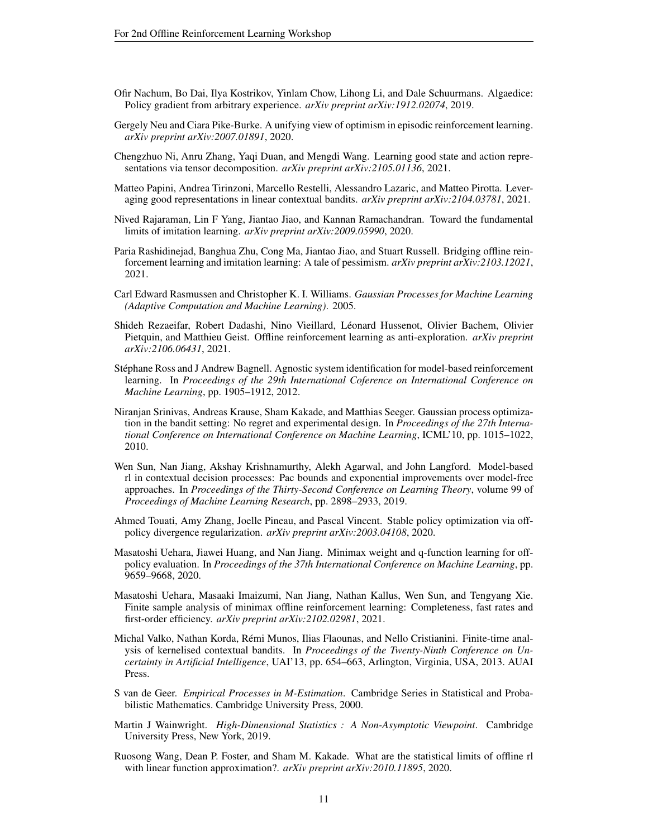- <span id="page-10-7"></span>Ofir Nachum, Bo Dai, Ilya Kostrikov, Yinlam Chow, Lihong Li, and Dale Schuurmans. Algaedice: Policy gradient from arbitrary experience. *arXiv preprint arXiv:1912.02074*, 2019.
- <span id="page-10-11"></span>Gergely Neu and Ciara Pike-Burke. A unifying view of optimism in episodic reinforcement learning. *arXiv preprint arXiv:2007.01891*, 2020.
- <span id="page-10-10"></span>Chengzhuo Ni, Anru Zhang, Yaqi Duan, and Mengdi Wang. Learning good state and action representations via tensor decomposition. *arXiv preprint arXiv:2105.01136*, 2021.
- <span id="page-10-9"></span>Matteo Papini, Andrea Tirinzoni, Marcello Restelli, Alessandro Lazaric, and Matteo Pirotta. Leveraging good representations in linear contextual bandits. *arXiv preprint arXiv:2104.03781*, 2021.
- <span id="page-10-8"></span>Nived Rajaraman, Lin F Yang, Jiantao Jiao, and Kannan Ramachandran. Toward the fundamental limits of imitation learning. *arXiv preprint arXiv:2009.05990*, 2020.
- <span id="page-10-1"></span>Paria Rashidinejad, Banghua Zhu, Cong Ma, Jiantao Jiao, and Stuart Russell. Bridging offline reinforcement learning and imitation learning: A tale of pessimism. *arXiv preprint arXiv:2103.12021*, 2021.
- <span id="page-10-15"></span>Carl Edward Rasmussen and Christopher K. I. Williams. *Gaussian Processes for Machine Learning (Adaptive Computation and Machine Learning)*. 2005.
- <span id="page-10-5"></span>Shideh Rezaeifar, Robert Dadashi, Nino Vieillard, Léonard Hussenot, Olivier Bachem, Olivier Pietquin, and Matthieu Geist. Offline reinforcement learning as anti-exploration. *arXiv preprint arXiv:2106.06431*, 2021.
- <span id="page-10-2"></span>Stephane Ross and J Andrew Bagnell. Agnostic system identification for model-based reinforcement ´ learning. In *Proceedings of the 29th International Coference on International Conference on Machine Learning*, pp. 1905–1912, 2012.
- <span id="page-10-14"></span>Niranjan Srinivas, Andreas Krause, Sham Kakade, and Matthias Seeger. Gaussian process optimization in the bandit setting: No regret and experimental design. In *Proceedings of the 27th International Conference on International Conference on Machine Learning*, ICML'10, pp. 1015–1022, 2010.
- <span id="page-10-17"></span>Wen Sun, Nan Jiang, Akshay Krishnamurthy, Alekh Agarwal, and John Langford. Model-based rl in contextual decision processes: Pac bounds and exponential improvements over model-free approaches. In *Proceedings of the Thirty-Second Conference on Learning Theory*, volume 99 of *Proceedings of Machine Learning Research*, pp. 2898–2933, 2019.
- <span id="page-10-4"></span>Ahmed Touati, Amy Zhang, Joelle Pineau, and Pascal Vincent. Stable policy optimization via offpolicy divergence regularization. *arXiv preprint arXiv:2003.04108*, 2020.
- <span id="page-10-0"></span>Masatoshi Uehara, Jiawei Huang, and Nan Jiang. Minimax weight and q-function learning for offpolicy evaluation. In *Proceedings of the 37th International Conference on Machine Learning*, pp. 9659–9668, 2020.
- <span id="page-10-6"></span>Masatoshi Uehara, Masaaki Imaizumi, Nan Jiang, Nathan Kallus, Wen Sun, and Tengyang Xie. Finite sample analysis of minimax offline reinforcement learning: Completeness, fast rates and first-order efficiency. *arXiv preprint arXiv:2102.02981*, 2021.
- <span id="page-10-16"></span>Michal Valko, Nathan Korda, Remi Munos, Ilias Flaounas, and Nello Cristianini. Finite-time anal- ´ ysis of kernelised contextual bandits. In *Proceedings of the Twenty-Ninth Conference on Uncertainty in Artificial Intelligence*, UAI'13, pp. 654–663, Arlington, Virginia, USA, 2013. AUAI Press.
- <span id="page-10-12"></span>S van de Geer. *Empirical Processes in M-Estimation*. Cambridge Series in Statistical and Probabilistic Mathematics. Cambridge University Press, 2000.
- <span id="page-10-13"></span>Martin J Wainwright. *High-Dimensional Statistics : A Non-Asymptotic Viewpoint*. Cambridge University Press, New York, 2019.
- <span id="page-10-3"></span>Ruosong Wang, Dean P. Foster, and Sham M. Kakade. What are the statistical limits of offline rl with linear function approximation?. *arXiv preprint arXiv:2010.11895*, 2020.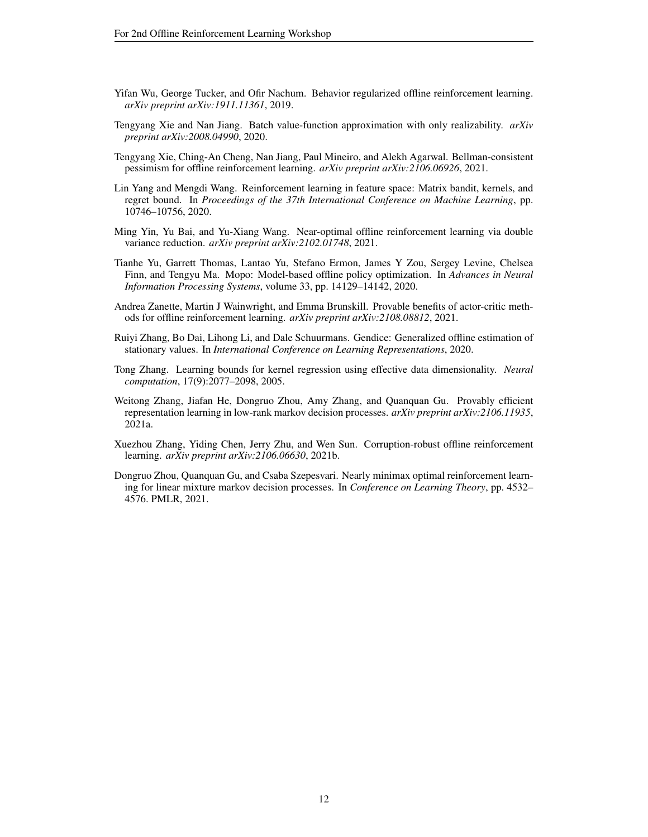- <span id="page-11-5"></span>Yifan Wu, George Tucker, and Ofir Nachum. Behavior regularized offline reinforcement learning. *arXiv preprint arXiv:1911.11361*, 2019.
- <span id="page-11-0"></span>Tengyang Xie and Nan Jiang. Batch value-function approximation with only realizability. *arXiv preprint arXiv:2008.04990*, 2020.
- <span id="page-11-2"></span>Tengyang Xie, Ching-An Cheng, Nan Jiang, Paul Mineiro, and Alekh Agarwal. Bellman-consistent pessimism for offline reinforcement learning. *arXiv preprint arXiv:2106.06926*, 2021.
- <span id="page-11-4"></span>Lin Yang and Mengdi Wang. Reinforcement learning in feature space: Matrix bandit, kernels, and regret bound. In *Proceedings of the 37th International Conference on Machine Learning*, pp. 10746–10756, 2020.
- <span id="page-11-7"></span>Ming Yin, Yu Bai, and Yu-Xiang Wang. Near-optimal offline reinforcement learning via double variance reduction. *arXiv preprint arXiv:2102.01748*, 2021.
- <span id="page-11-6"></span>Tianhe Yu, Garrett Thomas, Lantao Yu, Stefano Ermon, James Y Zou, Sergey Levine, Chelsea Finn, and Tengyu Ma. Mopo: Model-based offline policy optimization. In *Advances in Neural Information Processing Systems*, volume 33, pp. 14129–14142, 2020.
- <span id="page-11-3"></span>Andrea Zanette, Martin J Wainwright, and Emma Brunskill. Provable benefits of actor-critic methods for offline reinforcement learning. *arXiv preprint arXiv:2108.08812*, 2021.
- <span id="page-11-8"></span>Ruiyi Zhang, Bo Dai, Lihong Li, and Dale Schuurmans. Gendice: Generalized offline estimation of stationary values. In *International Conference on Learning Representations*, 2020.
- <span id="page-11-11"></span>Tong Zhang. Learning bounds for kernel regression using effective data dimensionality. *Neural computation*, 17(9):2077–2098, 2005.
- <span id="page-11-9"></span>Weitong Zhang, Jiafan He, Dongruo Zhou, Amy Zhang, and Quanquan Gu. Provably efficient representation learning in low-rank markov decision processes. *arXiv preprint arXiv:2106.11935*, 2021a.
- <span id="page-11-1"></span>Xuezhou Zhang, Yiding Chen, Jerry Zhu, and Wen Sun. Corruption-robust offline reinforcement learning. *arXiv preprint arXiv:2106.06630*, 2021b.
- <span id="page-11-10"></span>Dongruo Zhou, Quanquan Gu, and Csaba Szepesvari. Nearly minimax optimal reinforcement learning for linear mixture markov decision processes. In *Conference on Learning Theory*, pp. 4532– 4576. PMLR, 2021.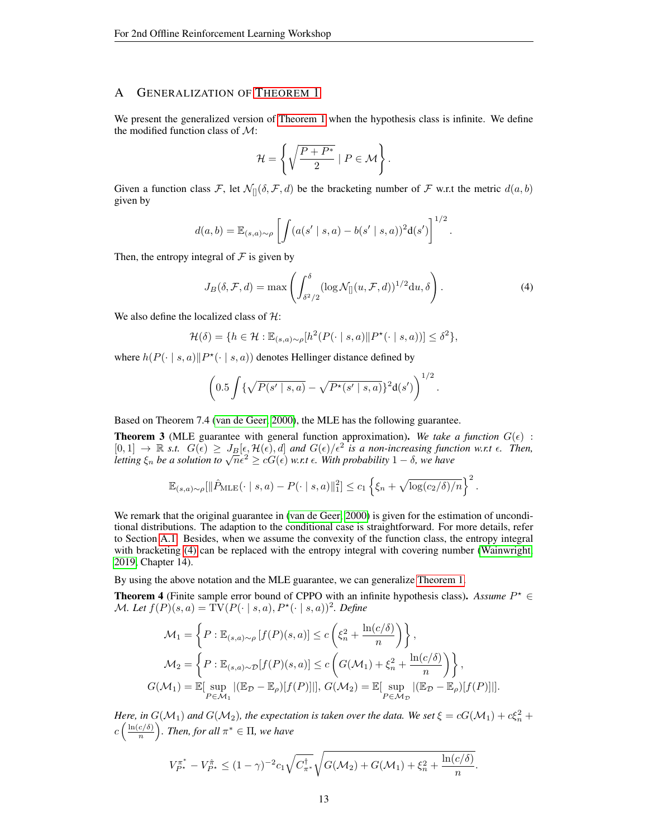# <span id="page-12-0"></span>A GENERALIZATION OF T[HEOREM](#page-4-1) 1

We present the generalized version of [Theorem 1](#page-4-1) when the hypothesis class is infinite. We define the modified function class of  $\mathcal{M}$ :

$$
\mathcal{H} = \left\{ \sqrt{\frac{P + P^*}{2}} \mid P \in \mathcal{M} \right\}.
$$

Given a function class F, let  $\mathcal{N}_{[]}(\delta, \mathcal{F}, d)$  be the bracketing number of F w.r.t the metric  $d(a, b)$ given by

$$
d(a,b) = \mathbb{E}_{(s,a)\sim\rho} \left[ \int (a(s' \mid s,a) - b(s' \mid s,a))^2 \mathbf{d}(s') \right]^{1/2}
$$

Then, the entropy integral of  $\mathcal F$  is given by

$$
J_B(\delta, \mathcal{F}, d) = \max \left( \int_{\delta^2/2}^{\delta} (\log \mathcal{N}_{[]}(u, \mathcal{F}, d))^{1/2} du, \delta \right). \tag{4}
$$

<span id="page-12-1"></span>.

We also define the localized class of  $H$ :

$$
\mathcal{H}(\delta) = \{ h \in \mathcal{H} : \mathbb{E}_{(s,a)\sim\rho}[h^2(P(\cdot \mid s,a) \| P^{\star}(\cdot \mid s,a))] \leq \delta^2 \},\
$$

where  $h(P(\cdot | s, a) || P^*(\cdot | s, a))$  denotes Hellinger distance defined by

$$
\left(0.5\int \{\sqrt{P(s'\mid s,a)} - \sqrt{P^{\star}(s'\mid s,a)}\}^{2} d(s')\right)^{1/2}.
$$

Based on Theorem 7.4 [\(van de Geer, 2000\)](#page-10-12), the MLE has the following guarantee.

<span id="page-12-3"></span>**Theorem 3** (MLE guarantee with general function approximation). We take a function  $G(\epsilon)$ :  $[0,1] \to \mathbb{R}$  s.t.  $G(\epsilon) \geq J_B[\epsilon, \mathcal{H}(\epsilon), d]$  and  $G(\epsilon)/\epsilon^2$  is a non-increasing function w.r.t  $\epsilon$ . Then, <br>letting  $\xi_n$  be a solution to  $\sqrt{n}\epsilon^2 \geq cG(\epsilon)$  w.r.t  $\epsilon$ . With probability  $1-\delta$ , we have

$$
\mathbb{E}_{(s,a)\sim\rho}[\|\hat{P}_{\text{MLE}}(\cdot \mid s,a) - P(\cdot \mid s,a)\|_1^2] \le c_1 \left\{\xi_n + \sqrt{\log(c_2/\delta)/n}\right\}^2.
$$

We remark that the original guarantee in [\(van de Geer, 2000\)](#page-10-12) is given for the estimation of unconditional distributions. The adaption to the conditional case is straightforward. For more details, refer to Section [A.1.](#page-13-0) Besides, when we assume the convexity of the function class, the entropy integral with bracketing [\(4\)](#page-12-1) can be replaced with the entropy integral with covering number [\(Wainwright,](#page-10-13) [2019,](#page-10-13) Chapter 14).

By using the above notation and the MLE guarantee, we can generalize [Theorem 1.](#page-4-1)

<span id="page-12-2"></span>**Theorem 4** (Finite sample error bound of CPPO with an infinite hypothesis class). Assume  $P^* \in$ *M. Let*  $f(P)(s, a) = \text{TV}(P(\cdot \mid s, a), P^*(\cdot \mid s, a))^2$ . Define

$$
\mathcal{M}_1 = \left\{ P : \mathbb{E}_{(s,a)\sim\rho} \left[ f(P)(s,a) \right] \le c \left( \xi_n^2 + \frac{\ln(c/\delta)}{n} \right) \right\},
$$
  

$$
\mathcal{M}_2 = \left\{ P : \mathbb{E}_{(s,a)\sim\mathcal{D}}[f(P)(s,a)] \le c \left( G(\mathcal{M}_1) + \xi_n^2 + \frac{\ln(c/\delta)}{n} \right) \right\},
$$
  

$$
G(\mathcal{M}_1) = \mathbb{E}[\sup_{P \in \mathcal{M}_1} |(\mathbb{E}_{\mathcal{D}} - \mathbb{E}_{\rho})[f(P)]|], G(\mathcal{M}_2) = \mathbb{E}[\sup_{P \in \mathcal{M}_{\mathcal{D}}} |(\mathbb{E}_{\mathcal{D}} - \mathbb{E}_{\rho})[f(P)]|].
$$

*Here, in*  $G(\mathcal{M}_1)$  *and*  $G(\mathcal{M}_2)$ *, the expectation is taken over the data. We set*  $\xi = cG(\mathcal{M}_1) + c\xi_n^2 + cG(\mathcal{M}_2)$  $c\left(\frac{\ln(c/\delta)}{n}\right)$  $\left(\frac{c}{\delta}\right)$  *Then, for all*  $\pi^* \in \Pi$ *, we have* 

$$
V_{P^*}^{\pi^*} - V_{P^*}^{\hat{\pi}} \le (1 - \gamma)^{-2} c_1 \sqrt{C_{\pi^*}^{\dagger}} \sqrt{G(\mathcal{M}_2) + G(\mathcal{M}_1) + \xi_n^2 + \frac{\ln(c/\delta)}{n}}.
$$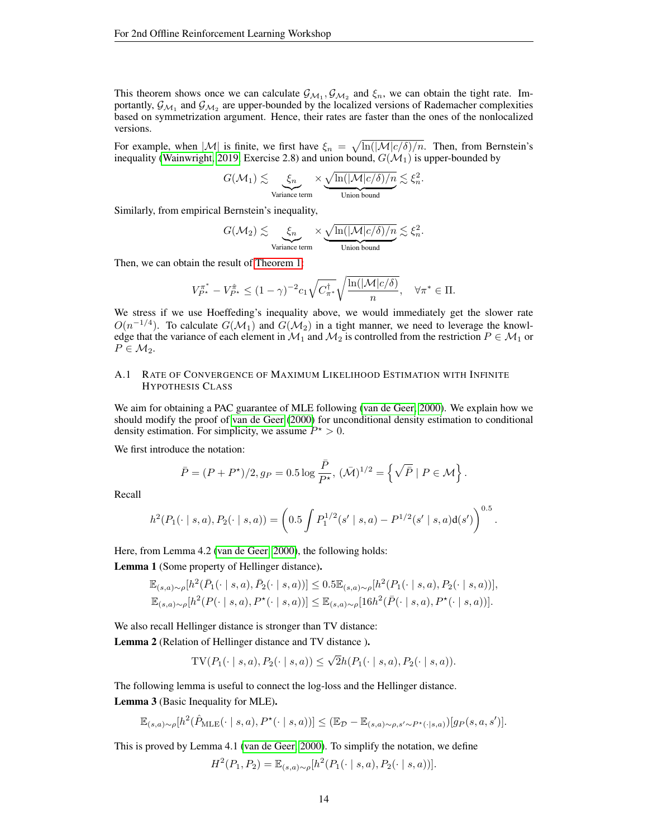This theorem shows once we can calculate  $\mathcal{G}_{M_1}, \mathcal{G}_{M_2}$  and  $\xi_n$ , we can obtain the tight rate. Importantly,  $\mathcal{G}_{M_1}$  and  $\mathcal{G}_{M_2}$  are upper-bounded by the localized versions of Rademacher complexities based on symmetrization argument. Hence, their rates are faster than the ones of the nonlocalized versions.

For example, when  $|\mathcal{M}|$  is finite, we first have  $\xi_n = \sqrt{\ln(|\mathcal{M}|c/\delta)/n}$ . Then, from Bernstein's inequality [\(Wainwright, 2019,](#page-10-13) Exercise 2.8) and union bound,  $G(\mathcal{M}_1)$  is upper-bounded by

$$
G(\mathcal{M}_1) \lesssim \underbrace{\xi_n}_{\text{Variance term}} \times \underbrace{\sqrt{\ln(|\mathcal{M}| c/\delta)/n}}_{\text{Union bound}} \lesssim \xi_n^2.
$$

Similarly, from empirical Bernstein's inequality,

$$
G(\mathcal{M}_2) \lesssim \underbrace{\xi_n}_{\text{Variance term}} \times \underbrace{\sqrt{\ln(|\mathcal{M}| c/\delta)/n}}_{\text{Union bound}} \lesssim \xi_n^2.
$$

Then, we can obtain the result of [Theorem 1:](#page-4-1)

$$
V_{P^*}^{\pi^*} - V_{P^*}^{\hat{\pi}} \le (1 - \gamma)^{-2} c_1 \sqrt{C_{\pi^*}^{\dagger}} \sqrt{\frac{\ln(|\mathcal{M}|c/\delta)}{n}}, \quad \forall \pi^* \in \Pi.
$$

We stress if we use Hoeffeding's inequality above, we would immediately get the slower rate  $O(n^{-1/4})$ . To calculate  $G(\mathcal{M}_1)$  and  $G(\mathcal{M}_2)$  in a tight manner, we need to leverage the knowledge that the variance of each element in  $\mathcal{M}_1$  and  $\mathcal{M}_2$  is controlled from the restriction  $P \in \mathcal{M}_1$  or  $P \in \mathcal{M}_2$ .

#### <span id="page-13-0"></span>A.1 RATE OF CONVERGENCE OF MAXIMUM LIKELIHOOD ESTIMATION WITH INFINITE HYPOTHESIS CLASS

We aim for obtaining a PAC guarantee of MLE following [\(van de Geer, 2000\)](#page-10-12). We explain how we should modify the proof of [van de Geer](#page-10-12) [\(2000\)](#page-10-12) for unconditional density estimation to conditional density estimation. For simplicity, we assume  $P^* > 0$ .

We first introduce the notation:

$$
\bar{P} = (P + P^*)/2, g_P = 0.5 \log \frac{\bar{P}}{P^*}, (\bar{\mathcal{M}})^{1/2} = \left\{ \sqrt{\bar{P}} \mid P \in \mathcal{M} \right\}.
$$

Recall

$$
h^{2}(P_{1}(\cdot \mid s, a), P_{2}(\cdot \mid s, a)) = \left(0.5 \int P_{1}^{1/2}(s' \mid s, a) - P^{1/2}(s' \mid s, a)d(s')\right)^{0.5}.
$$

Here, from Lemma 4.2 [\(van de Geer, 2000\)](#page-10-12), the following holds:

<span id="page-13-1"></span>Lemma 1 (Some property of Hellinger distance).

$$
\mathbb{E}_{(s,a)\sim\rho}[h^2(\bar{P}_1(\cdot \mid s, a), \bar{P}_2(\cdot \mid s, a))] \le 0.5 \mathbb{E}_{(s,a)\sim\rho}[h^2(P_1(\cdot \mid s, a), P_2(\cdot \mid s, a))],
$$
  

$$
\mathbb{E}_{(s,a)\sim\rho}[h^2(P(\cdot \mid s, a), P^{\star}(\cdot \mid s, a))] \le \mathbb{E}_{(s,a)\sim\rho}[16h^2(\bar{P}(\cdot \mid s, a), P^{\star}(\cdot \mid s, a))].
$$

We also recall Hellinger distance is stronger than TV distance:

Lemma 2 (Relation of Hellinger distance and TV distance ).

TV
$$
(P_1(\cdot | s, a), P_2(\cdot | s, a)) \le \sqrt{2}h(P_1(\cdot | s, a), P_2(\cdot | s, a)).
$$

<span id="page-13-2"></span>The following lemma is useful to connect the log-loss and the Hellinger distance. Lemma 3 (Basic Inequality for MLE).

$$
\mathbb{E}_{(s,a)\sim\rho}[h^2(\hat{P}_{\text{MLE}}(\cdot \mid s,a), P^{\star}(\cdot \mid s,a))] \leq (\mathbb{E}_{\mathcal{D}} - \mathbb{E}_{(s,a)\sim\rho,s'\sim P^{\star}(\cdot \mid s,a)})[g_P(s,a,s')].
$$

This is proved by Lemma 4.1 [\(van de Geer, 2000\)](#page-10-12). To simplify the notation, we define

$$
H^{2}(P_{1}, P_{2}) = \mathbb{E}_{(s,a)\sim\rho}[h^{2}(P_{1}(\cdot \mid s, a), P_{2}(\cdot \mid s, a))].
$$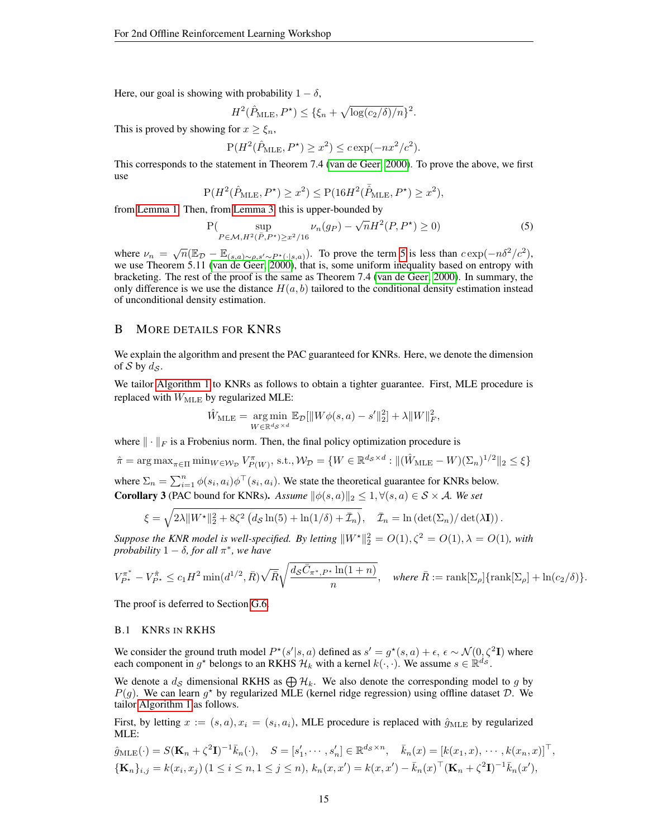Here, our goal is showing with probability  $1 - \delta$ ,

$$
H^{2}(\hat{P}_{\text{MLE}}, P^{\star}) \leq {\{\xi_{n} + \sqrt{\log(c_{2}/\delta)/n}\}^{2}}.
$$

This is proved by showing for  $x \geq \xi_n$ ,

<span id="page-14-2"></span>
$$
P(H^2(\hat{P}_{MLE}, P^*) \ge x^2) \le c \exp(-nx^2/c^2).
$$

This corresponds to the statement in Theorem 7.4 [\(van de Geer, 2000\)](#page-10-12). To prove the above, we first use

$$
\mathbf{P}(H^2(\hat{P}_{\mathrm{MLE}},P^\star)\geq x^2)\leq \mathbf{P}(16H^2(\bar{\hat{P}}_{\mathrm{MLE}},P^\star)\geq x^2),
$$

from [Lemma 1.](#page-13-1) Then, from [Lemma 3,](#page-13-2) this is upper-bounded by

$$
P(\sup_{P \in \mathcal{M}, H^2(\bar{P}, P^*) \ge x^2/16} \nu_n(g_P) - \sqrt{n}H^2(P, P^*) \ge 0)
$$
 (5)

where  $\nu_n = \sqrt{n} (\mathbb{E}_{\mathcal{D}} - \mathbb{E}_{(s,a)\sim\rho,s'\sim P^*(\cdot|s,a)})$ . To prove the term [5](#page-14-2) is less than  $c \exp(-n\delta^2/c^2)$ , we use Theorem 5.11 [\(van de Geer, 2000\)](#page-10-12), that is, some uniform inequality based on entropy with bracketing. The rest of the proof is the same as Theorem 7.4 [\(van de Geer, 2000\)](#page-10-12). In summary, the only difference is we use the distance  $H(a, b)$  tailored to the conditional density estimation instead of unconditional density estimation.

## <span id="page-14-0"></span>B MORE DETAILS FOR KNRS

We explain the algorithm and present the PAC guaranteed for KNRs. Here, we denote the dimension of S by  $d_{\mathcal{S}}$ .

We tailor [Algorithm 1](#page-4-2) to KNRs as follows to obtain a tighter guarantee. First, MLE procedure is replaced with  $\hat{W}_{\text{MLE}}$  by regularized MLE:

$$
\hat{W}_{\text{MLE}} = \underset{W \in \mathbb{R}^{d_{\mathcal{S}} \times d}}{\arg \min} \mathbb{E}_{\mathcal{D}}[\|W\phi(s, a) - s'\|_2^2] + \lambda \|W\|_F^2,
$$

where  $\|\cdot\|_F$  is a Frobenius norm. Then, the final policy optimization procedure is

$$
\hat{\pi} = \arg \max_{\pi \in \Pi} \min_{W \in \mathcal{W}_{\mathcal{D}}} V_{P(W)}^{\pi}, \text{ s.t., } \mathcal{W}_{\mathcal{D}} = \{ W \in \mathbb{R}^{d_{\mathcal{S}} \times d} : ||(\hat{W}_{\text{MLE}} - W)(\Sigma_n)^{1/2}||_2 \le \xi \}
$$

<span id="page-14-3"></span>where  $\Sigma_n = \sum_{i=1}^n \phi(s_i, a_i) \phi^\top(s_i, a_i)$ . We state the theoretical guarantee for KNRs below. **Corollary 3** (PAC bound for KNRs). Assume  $\|\phi(s, a)\|_2 \leq 1, \forall (s, a) \in S \times A$ . We set

$$
\xi = \sqrt{2\lambda \|W^{\star}\|_{2}^{2} + 8\zeta^{2} \left(d_{\mathcal{S}}\ln(5) + \ln(1/\delta) + \bar{\mathcal{I}}_{n}\right)}, \quad \bar{\mathcal{I}}_{n} = \ln\left(\det(\Sigma_{n})/\det(\lambda \mathbf{I})\right).
$$

*Suppose the KNR model is well-specified. By letting*  $\|W^*\|_2^2 = O(1), \zeta^2 = O(1), \lambda = O(1)$ , with  $\frac{1}{2}$  *probability*  $1 - \delta$ *, for all*  $\pi^*$ *, we have* 

$$
V_{P^*}^{\pi^*} - V_{P^*}^{\hat{\pi}} \le c_1 H^2 \min(d^{1/2}, \bar{R}) \sqrt{\bar{R}} \sqrt{\frac{d_S \bar{C}_{\pi^*, P^*} \ln(1+n)}{n}}, \quad \text{where } \bar{R} := \text{rank}[\Sigma_\rho] \{\text{rank}[\Sigma_\rho] + \ln(c_2/\delta)\}.
$$

The proof is deferred to Section [G.6.](#page-28-0)

#### <span id="page-14-1"></span>B.1 KNRS IN RKHS

We consider the ground truth model  $P^*(s'|s, a)$  defined as  $s' = g^*(s, a) + \epsilon, \epsilon \sim \mathcal{N}(0, \zeta^2 I)$  where each component in  $g^*$  belongs to an RKHS  $\mathcal{H}_k$  with a kernel  $k(\cdot, \cdot)$ . We assume  $s \in \mathbb{R}^{d_s}$ .

We denote a  $d_{\mathcal{S}}$  dimensional RKHS as  $\bigoplus \mathcal{H}_k$ . We also denote the corresponding model to g by  $P(g)$ . We can learn  $g^*$  by regularized MLE (kernel ridge regression) using offline dataset  $\mathcal{D}$ . We tailor [Algorithm 1](#page-4-2) as follows.

First, by letting  $x := (s, a), x_i = (s_i, a_i)$ , MLE procedure is replaced with  $\hat{g}_{MLE}$  by regularized MLE:

$$
\hat{g}_{\text{MLE}}(\cdot) = S(\mathbf{K}_n + \zeta^2 \mathbf{I})^{-1} \bar{k}_n(\cdot), \quad S = [s'_1, \cdots, s'_n] \in \mathbb{R}^{d_S \times n}, \quad \bar{k}_n(x) = [k(x_1, x), \cdots, k(x_n, x)]^\top,
$$
  

$$
\{\mathbf{K}_n\}_{i,j} = k(x_i, x_j) \ (1 \le i \le n, 1 \le j \le n), \ k_n(x, x') = k(x, x') - \bar{k}_n(x)^\top (\mathbf{K}_n + \zeta^2 \mathbf{I})^{-1} \bar{k}_n(x'),
$$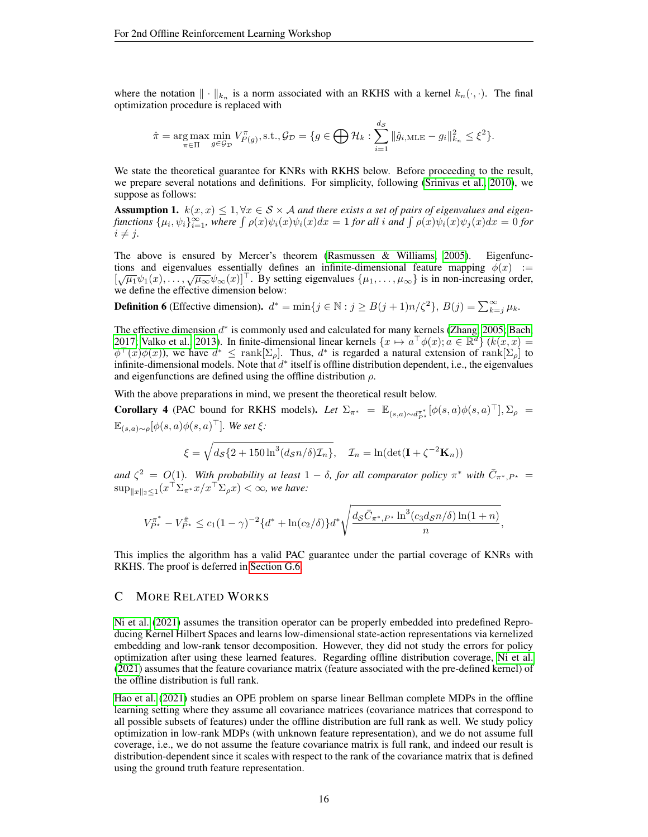where the notation  $\|\cdot\|_{k_n}$  is a norm associated with an RKHS with a kernel  $k_n(\cdot, \cdot)$ . The final optimization procedure is replaced with

$$
\hat{\pi} = \underset{\pi \in \Pi}{\arg \max} \ \underset{g \in \mathcal{G}_{\mathcal{D}}}{\min} \ V_{P(g)}^{\pi}, \text{s.t.,} \ \mathcal{G}_{\mathcal{D}} = \{ g \in \bigoplus \mathcal{H}_k : \sum_{i=1}^{d_{\mathcal{S}}} ||\hat{g}_{i,\text{MLE}} - g_i||_{k_n}^2 \leq \xi^2 \}.
$$

We state the theoretical guarantee for KNRs with RKHS below. Before proceeding to the result, we prepare several notations and definitions. For simplicity, following [\(Srinivas et al., 2010\)](#page-10-14), we suppose as follows:

**Assumption 1.**  $k(x, x) \leq 1, \forall x \in S \times A$  *and there exists a set of pairs of eigenvalues and eigenfunctions*  $\{\mu_i, \psi_i\}_{i=1}^{\infty}$ , where  $\int \rho(x)\psi_i(x)\psi_i(x)dx = 1$  *for all* i and  $\int \rho(x)\psi_i(x)\psi_j(x)dx = 0$  *for*  $i \neq j$ .

The above is ensured by Mercer's theorem [\(Rasmussen & Williams, 2005\)](#page-10-15). Eigenfunctions and eigenvalues essentially defines an infinite-dimensional feature mapping  $\phi(x) :=$ tions and eigenvalues essentially defined an infinite-dimensional readile mapping  $\varphi(x) := [\sqrt{\mu_1}\psi_1(x), \dots, \sqrt{\mu_\infty}\psi_\infty(x)]^\top$ . By setting eigenvalues  $\{\mu_1, \dots, \mu_\infty\}$  is in non-increasing order, we define the effective dimension below:

**Definition 6** (Effective dimension).  $d^* = \min\{j \in \mathbb{N} : j \geq B(j+1)n/\zeta^2\}$ ,  $B(j) = \sum_{k=j}^{\infty} \mu_k$ .

The effective dimension  $d^*$  is commonly used and calculated for many kernels [\(Zhang, 2005;](#page-11-11) [Bach,](#page-8-16) [2017;](#page-8-16) [Valko et al., 2013\)](#page-10-16). In finite-dimensional linear kernels  $\{x \mapsto a^{\top} \phi(x); a \in \mathbb{R}^d\}$  ( $k(x, x) =$  $\phi^{\top}(x)\phi(x)$ ), we have  $d^* \leq \text{rank}[\Sigma_\rho]$ . Thus,  $d^*$  is regarded a natural extension of rank $[\Sigma_\rho]$  to infinite-dimensional models. Note that  $d^*$  itself is offline distribution dependent, i.e., the eigenvalues and eigenfunctions are defined using the offline distribution  $\rho$ .

With the above preparations in mind, we present the theoretical result below.

<span id="page-15-1"></span>**Corollary 4** (PAC bound for RKHS models). Let  $\Sigma_{\pi^*} = \mathbb{E}_{(s,a)\sim d_{P^*}^{\pi^*}}[\phi(s,a)\phi(s,a)^{\top}], \Sigma_{\rho}$  $\mathbb{E}_{(s,a)\sim\rho}[\phi(s,a)\phi(s,a)^{\top}]$ *. We set*  $\xi$ *:* 

$$
\xi = \sqrt{d_{\mathcal{S}}\{2 + 150\ln^3(d_{\mathcal{S}}n/\delta)\mathcal{I}_n\}}, \quad \mathcal{I}_n = \ln(\det(\mathbf{I} + \zeta^{-2}\mathbf{K}_n))
$$

and  $\zeta^2 = O(1)$ . With probability at least  $1 - \delta$ , for all comparator policy  $\pi^*$  with  $\bar{C}_{\pi^*,P^*} =$  $\sup_{\|x\|_2\leq 1} (x^\top \Sigma_{\pi^*} x/x^\top \Sigma_\rho x)<\infty$ *, we have:* 

$$
V_{P^{\star}}^{\pi^*} - V_{P^{\star}}^{\hat{\pi}} \le c_1 (1 - \gamma)^{-2} \{ d^* + \ln(c_2/\delta) \} d^* \sqrt{\frac{d_S \bar{C}_{\pi^*, P^{\star}} \ln^3(c_3 d_S n/\delta) \ln(1 + n)}{n}},
$$

This implies the algorithm has a valid PAC guarantee under the partial coverage of KNRs with RKHS. The proof is deferred in [Section G.6.](#page-28-0)

#### <span id="page-15-0"></span>C MORE RELATED WORKS

[Ni et al.](#page-10-10) [\(2021\)](#page-10-10) assumes the transition operator can be properly embedded into predefined Reproducing Kernel Hilbert Spaces and learns low-dimensional state-action representations via kernelized embedding and low-rank tensor decomposition. However, they did not study the errors for policy optimization after using these learned features. Regarding offline distribution coverage, [Ni et al.](#page-10-10) [\(2021\)](#page-10-10) assumes that the feature covariance matrix (feature associated with the pre-defined kernel) of the offline distribution is full rank.

[Hao et al.](#page-9-14) [\(2021\)](#page-9-14) studies an OPE problem on sparse linear Bellman complete MDPs in the offline learning setting where they assume all covariance matrices (covariance matrices that correspond to all possible subsets of features) under the offline distribution are full rank as well. We study policy optimization in low-rank MDPs (with unknown feature representation), and we do not assume full coverage, i.e., we do not assume the feature covariance matrix is full rank, and indeed our result is distribution-dependent since it scales with respect to the rank of the covariance matrix that is defined using the ground truth feature representation.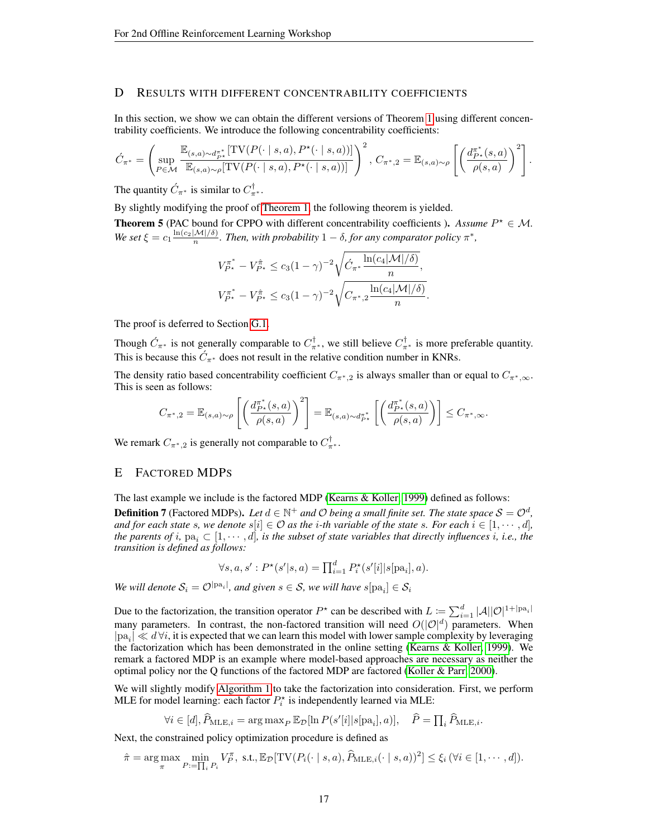# <span id="page-16-0"></span>D RESULTS WITH DIFFERENT CONCENTRABILITY COEFFICIENTS

In this section, we show we can obtain the different versions of Theorem [1](#page-4-1) using different concentrability coefficients. We introduce the following concentrability coefficients:

$$
\acute{C}_{\pi^*} = \left( \sup_{P \in \mathcal{M}} \frac{\mathbb{E}_{(s,a) \sim d_P^{\pi^*}}[\text{TV}(P(\cdot \mid s,a), P^\star(\cdot \mid s,a))]}{\mathbb{E}_{(s,a) \sim \rho}[\text{TV}(P(\cdot \mid s,a), P^\star(\cdot \mid s,a))]} \right)^2, \ C_{\pi^*,2} = \mathbb{E}_{(s,a) \sim \rho} \left[ \left( \frac{d_{P^\star}^{\pi^*}(s,a)}{\rho(s,a)} \right)^2 \right].
$$

The quantity  $\acute{C}_{\pi^*}$  is similar to  $C_{\pi^*}^{\dagger}$ .

By slightly modifying the proof of [Theorem 1,](#page-4-1) the following theorem is yielded.

<span id="page-16-2"></span>**Theorem 5** (PAC bound for CPPO with different concentrability coefficients ). Assume  $P^* \in M$ . *We set*  $\xi = c_1 \frac{\ln(c_2|M|/\delta)}{n}$ . *Then, with probability*  $1 - \delta$ *, for any comparator policy*  $\pi^*$ *,* 

$$
V_{P^{\star}}^{\pi^*} - V_{P^{\star}}^{\hat{\pi}} \le c_3 (1 - \gamma)^{-2} \sqrt{\hat{C}_{\pi^*} \frac{\ln(c_4 |\mathcal{M}|/\delta)}{n}},
$$
  

$$
V_{P^{\star}}^{\pi^*} - V_{P^{\star}}^{\hat{\pi}} \le c_3 (1 - \gamma)^{-2} \sqrt{C_{\pi^*,2} \frac{\ln(c_4 |\mathcal{M}|/\delta)}{n}}.
$$

The proof is deferred to Section [G.1.](#page-18-0)

Though  $\acute{C}_{\pi^*}$  is not generally comparable to  $C_{\pi^*}^{\dagger}$ , we still believe  $C_{\pi^*}^{\dagger}$  is more preferable quantity. This is because this  $\acute{C}_{\pi^*}$  does not result in the relative condition number in KNRs.

The density ratio based concentrability coefficient  $C_{\pi^*,2}$  is always smaller than or equal to  $C_{\pi^*,\infty}$ . This is seen as follows:

$$
C_{\pi^*,2} = \mathbb{E}_{(s,a)\sim\rho}\left[\left(\frac{d_{P^*}^{\pi^*}(s,a)}{\rho(s,a)}\right)^2\right] = \mathbb{E}_{(s,a)\sim d_{P^*}^{\pi^*}}\left[\left(\frac{d_{P^*}^{\pi^*}(s,a)}{\rho(s,a)}\right)\right] \leq C_{\pi^*,\infty}.
$$

We remark  $C_{\pi^*,2}$  is generally not comparable to  $C_{\pi^*}^{\dagger}$ .

#### <span id="page-16-1"></span>E FACTORED MDPS

The last example we include is the factored MDP [\(Kearns & Koller, 1999\)](#page-9-7) defined as follows:

**Definition 7** (Factored MDPs). Let  $d \in \mathbb{N}^+$  and  $\mathcal O$  being a small finite set. The state space  $\mathcal S = \mathcal O^d$ , *and for each state s, we denote*  $s[i] \in \mathcal{O}$  *as the i-th variable of the state s. For each*  $i \in [1, \dots, d]$ *, the parents of i*,  $pa_i \subset [1, \cdots, d]$ *, is the subset of state variables that directly influences i, i.e., the transition is defined as follows:*

$$
\forall s, a, s' : P^{\star}(s'|s, a) = \prod_{i=1}^{d} P_i^{\star}(s'[i]|s[pa_i], a).
$$

*We will denote*  $\mathcal{S}_i = \mathcal{O}^{|\text{pa}_i|}$ , and given  $s \in \mathcal{S}$ , we will have  $s[\text{pa}_i] \in \mathcal{S}_i$ 

Due to the factorization, the transition operator  $P^*$  can be described with  $L := \sum_{i=1}^d |\mathcal{A}||\mathcal{O}|^{1+|\text{pa}_i|}$ many parameters. In contrast, the non-factored transition will need  $O(|\mathcal{O}|^d)$  parameters. When  $|pa_i| \ll d\forall i$ , it is expected that we can learn this model with lower sample complexity by leveraging the factorization which has been demonstrated in the online setting [\(Kearns & Koller, 1999\)](#page-9-7). We remark a factored MDP is an example where model-based approaches are necessary as neither the optimal policy nor the Q functions of the factored MDP are factored [\(Koller & Parr, 2000\)](#page-9-18).

We will slightly modify [Algorithm 1](#page-4-2) to take the factorization into consideration. First, we perform MLE for model learning: each factor  $P_i^*$  is independently learned via MLE:

$$
\forall i \in [d], \widehat{P}_{\text{MLE},i} = \arg \max_{P} \mathbb{E}_{\mathcal{D}}[\ln P(s'[i]|s[\text{pa}_i], a)], \quad \widehat{P} = \prod_{i} \widehat{P}_{\text{MLE},i}.
$$

Next, the constrained policy optimization procedure is defined as

$$
\hat{\pi} = \arg \max_{\pi} \min_{P := \prod_i P_i} V_P^{\pi}, \text{ s.t., } \mathbb{E}_{\mathcal{D}}[\text{TV}(P_i(\cdot \mid s, a), \hat{P}_{\text{MLE}, i}(\cdot \mid s, a))^2] \leq \xi_i \, (\forall i \in [1, \cdots, d]).
$$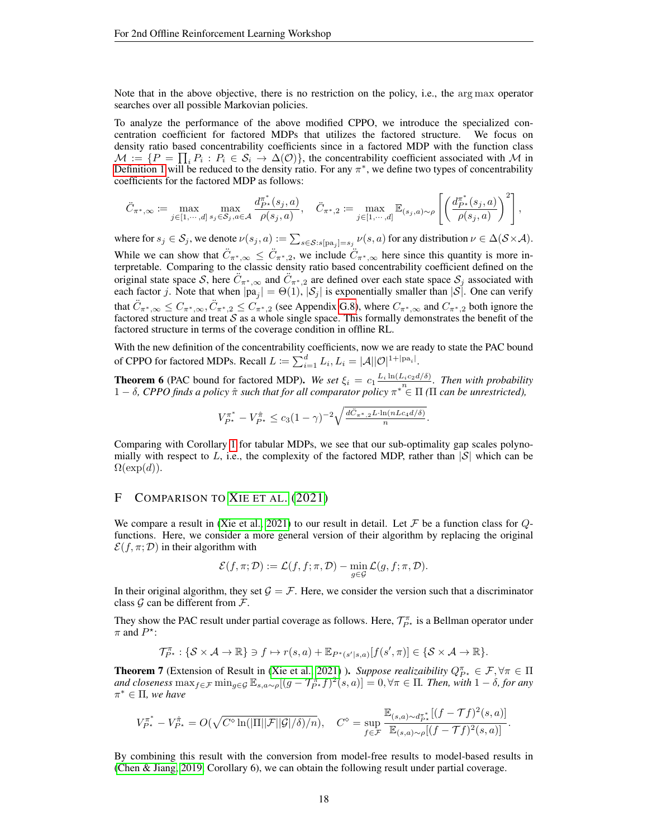Note that in the above objective, there is no restriction on the policy, i.e., the arg max operator searches over all possible Markovian policies.

To analyze the performance of the above modified CPPO, we introduce the specialized concentration coefficient for factored MDPs that utilizes the factored structure. We focus on density ratio based concentrability coefficients since in a factored MDP with the function class  $\mathcal{M} := \{P = \prod_i P_i : P_i \in \mathcal{S}_i \to \Delta(\mathcal{O})\}\$ , the concentrability coefficient associated with M in [Definition 1](#page-4-0) will be reduced to the density ratio. For any  $\pi^*$ , we define two types of concentrability coefficients for the factored MDP as follows:

$$
\ddot{C}_{\pi^*,\infty} \coloneqq \max_{j \in [1,\cdots,d]} \max_{s_j \in \mathcal{S}_j, a \in \mathcal{A}} \frac{d_{P^*}^{\pi^*}(s_j,a)}{\rho(s_j,a)}, \quad \ddot{C}_{\pi^*,2} \coloneqq \max_{j \in [1,\cdots,d]} \mathbb{E}_{(s_j,a) \sim \rho} \left[ \left( \frac{d_{P^*}^{\pi^*}(s_j,a)}{\rho(s_j,a)} \right)^2 \right],
$$

where for  $s_j \in \mathcal{S}_j$ , we denote  $\nu(s_j,a) := \sum_{s \in \mathcal{S}: s[\text{pa}_j] = s_j} \nu(s,a)$  for any distribution  $\nu \in \Delta(\mathcal{S} \times \mathcal{A})$ . While we can show that  $\ddot{C}_{\pi^*,\infty} \leq \ddot{C}_{\pi^*,2}$ , we include  $\ddot{C}_{\pi^*,\infty}$  here since this quantity is more interpretable. Comparing to the classic density ratio based concentrability coefficient defined on the original state space S, here  $\ddot{C}_{\pi^*,\infty}$  and  $\ddot{C}_{\pi^*,2}$  are defined over each state space  $S_j$  associated with each factor j. Note that when  $|pa_j| = \Theta(1)$ ,  $|S_j|$  is exponentially smaller than  $|S|$ . One can verify that  $\ddot{C}_{\pi^*,\infty} \leq C_{\pi^*,\infty}$ ,  $\ddot{C}_{\pi^*,2} \leq C_{\pi^*,2}$  (see Appendix [G.8\)](#page-32-0), where  $C_{\pi^*,\infty}$  and  $C_{\pi^*,2}$  both ignore the factored structure and treat  $S$  as a whole single space. This formally demonstrates the benefit of the factored structure in terms of the coverage condition in offline RL.

With the new definition of the concentrability coefficients, now we are ready to state the PAC bound of CPPO for factored MDPs. Recall  $L \coloneqq \sum_{i=1}^d L_i, L_i = |\mathcal{A}| |\mathcal{O}|^{1+|\text{pa}_i|}.$ 

<span id="page-17-0"></span>**Theorem 6** (PAC bound for factored MDP). We set  $\xi_i = c_1 \frac{L_i \ln(L_i c_2 d/\delta)}{n}$ . Then with probability 1 − δ*, CPPO finds a policy* πˆ *such that for all comparator policy* π <sup>∗</sup> ∈ Π *(*Π *can be unrestricted),*

$$
V_{P^{\star}}^{\pi^*} - V_{P^{\star}}^{\hat{\pi}} \le c_3 (1 - \gamma)^{-2} \sqrt{\frac{d \ddot{C}_{\pi^*,2} L \cdot \ln(nL c_4 d/\delta)}{n}}.
$$

Comparing with Corollary [1](#page-5-1) for tabular MDPs, we see that our sub-optimality gap scales polynomially with respect to L, i.e., the complexity of the factored MDP, rather than  $|\mathcal{S}|$  which can be  $\Omega(\exp(d)).$ 

#### <span id="page-17-1"></span>F COMPARISON TO X[IE ET AL](#page-11-2). [\(2021\)](#page-11-2)

We compare a result in [\(Xie et al., 2021\)](#page-11-2) to our result in detail. Let F be a function class for  $Q$ functions. Here, we consider a more general version of their algorithm by replacing the original  $\mathcal{E}(f, \pi; \mathcal{D})$  in their algorithm with

$$
\mathcal{E}(f,\pi;\mathcal{D}):=\mathcal{L}(f,f;\pi,\mathcal{D})-\min_{g\in\mathcal{G}}\mathcal{L}(g,f;\pi,\mathcal{D}).
$$

In their original algorithm, they set  $\mathcal{G} = \mathcal{F}$ . Here, we consider the version such that a discriminator class  $\mathcal G$  can be different from  $\mathcal F$ .

They show the PAC result under partial coverage as follows. Here,  $\mathcal{T}^{\pi}_{P^*}$  is a Bellman operator under  $\pi$  and  $P^*$ :

$$
\mathcal{T}_{P^{\star}}^{\pi}: \{ \mathcal{S} \times \mathcal{A} \to \mathbb{R} \} \ni f \mapsto r(s, a) + \mathbb{E}_{P^{\star}(s'|s, a)}[f(s', \pi)] \in \{ \mathcal{S} \times \mathcal{A} \to \mathbb{R} \}.
$$

<span id="page-17-2"></span>**Theorem 7** (Extension of Result in [\(Xie et al., 2021\)](#page-11-2)). *Suppose realizaibility*  $Q_{P^*}^{\pi} \in \mathcal{F}, \forall \pi \in \Pi$ and closeness  $\max_{f \in \mathcal{F}} \min_{g \in \mathcal{G}} \mathbb{E}_{s,a \sim \rho}[(g - \mathcal{T}_{P^*}^{\pi}f)^2(s,a)] = 0, \forall \pi \in \Pi$ . Then, with  $1 - \delta$ , for any π <sup>∗</sup> ∈ Π*, we have*

$$
V_{P^\star}^{\pi^\star} - V_{P^\star}^{\hat{\pi}} = O(\sqrt{C^\diamond \ln(|\Pi||\mathcal{F}||\mathcal{G}|/\delta)/n}), \quad C^\diamond = \sup_{f \in \mathcal{F}} \frac{\mathbb{E}_{(s,a) \sim d_{P^\star}^{\pi^\star}}[(f - \mathcal{T}f)^2(s,a)]}{\mathbb{E}_{(s,a) \sim \rho}[(f - \mathcal{T}f)^2(s,a)]}.
$$

By combining this result with the conversion from model-free results to model-based results in [\(Chen & Jiang, 2019,](#page-8-11) Corollary 6), we can obtain the following result under partial coverage.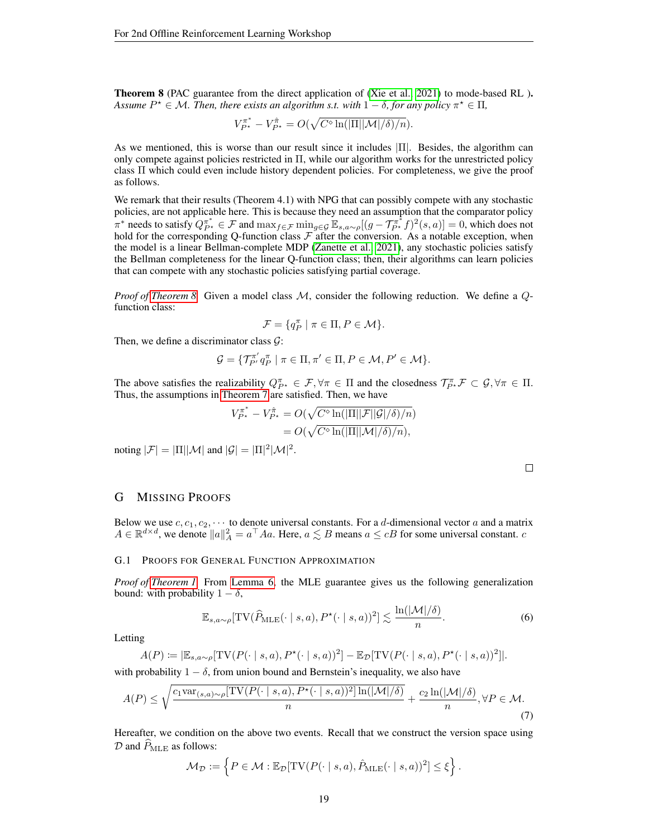<span id="page-18-1"></span>Theorem 8 (PAC guarantee from the direct application of [\(Xie et al., 2021\)](#page-11-2) to mode-based RL ). *Assume*  $P^* \in \mathcal{M}$ . Then, there exists an algorithm s.t. with  $1 - \delta$ , for any policy  $\pi^* \in \Pi$ ,

$$
V_{P^{\star}}^{\pi^*} - V_{P^{\star}}^{\hat{\pi}} = O(\sqrt{C^{\diamond} \ln(|\Pi| |\mathcal{M}| / \delta) / n}).
$$

As we mentioned, this is worse than our result since it includes  $|\Pi|$ . Besides, the algorithm can only compete against policies restricted in Π, while our algorithm works for the unrestricted policy class Π which could even include history dependent policies. For completeness, we give the proof as follows.

We remark that their results (Theorem 4.1) with NPG that can possibly compete with any stochastic policies, are not applicable here. This is because they need an assumption that the comparator policy  $\pi^*$  needs to satisfy  $Q_{P^*}^{\pi^*} \in \mathcal{F}$  and  $\max_{f \in \mathcal{F}} \min_{g \in \mathcal{G}} \mathbb{E}_{s,a \sim \rho}[(g - \mathcal{T}_{P^*}^{\pi^*} f)^2(s, a)] = 0$ , which does not hold for the corresponding Q-function class  $\mathcal F$  after the conversion. As a notable exception, when the model is a linear Bellman-complete MDP [\(Zanette et al., 2021\)](#page-11-3), any stochastic policies satisfy the Bellman completeness for the linear Q-function class; then, their algorithms can learn policies that can compete with any stochastic policies satisfying partial coverage.

*Proof of [Theorem 8.](#page-18-1)* Given a model class M, consider the following reduction. We define a Qfunction class:

$$
\mathcal{F} = \{ q_P^{\pi} \mid \pi \in \Pi, P \in \mathcal{M} \}.
$$

Then, we define a discriminator class  $G$ :

$$
\mathcal{G} = \{ \mathcal{T}_{P'}^{\pi'} q_P^{\pi} \mid \pi \in \Pi, \pi' \in \Pi, P \in \mathcal{M}, P' \in \mathcal{M} \}.
$$

The above satisfies the realizability  $Q_{P^*}^{\pi} \in \mathcal{F}, \forall \pi \in \Pi$  and the closedness  $\mathcal{T}_{P^*}^{\pi} \mathcal{F} \subset \mathcal{G}, \forall \pi \in \Pi$ . Thus, the assumptions in [Theorem 7](#page-17-2) are satisfied. Then, we have

$$
V_{P^*}^{\pi^*} - V_{P^*}^{\hat{\pi}} = O(\sqrt{C^\diamond \ln(|\Pi| |\mathcal{F}| |\mathcal{G}|/\delta)/n})
$$
  
= 
$$
O(\sqrt{C^\diamond \ln(|\Pi| |\mathcal{M}|/\delta)/n}),
$$

noting  $|\mathcal{F}| = |\Pi||\mathcal{M}|$  and  $|\mathcal{G}| = |\Pi|^2|\mathcal{M}|^2$ .

<span id="page-18-3"></span><span id="page-18-2"></span> $\Box$ 

## G MISSING PROOFS

Below we use  $c, c_1, c_2, \cdots$  to denote universal constants. For a d-dimensional vector a and a matrix  $A \in \mathbb{R}^{d \times d}$ , we denote  $||a||_A^2 = a^\top A a$ . Here,  $a \lesssim B$  means  $a \leq cB$  for some universal constant.  $c$ 

#### <span id="page-18-0"></span>G.1 PROOFS FOR GENERAL FUNCTION APPROXIMATION

*Proof of [Theorem 1.](#page-4-1)* From [Lemma 6,](#page-35-1) the MLE guarantee gives us the following generalization bound: with probability  $1 - \delta$ ,

$$
\mathbb{E}_{s,a\sim\rho}[\text{TV}(\widehat{P}_{\text{MLE}}(\cdot \mid s,a), P^{\star}(\cdot \mid s,a))^2] \lesssim \frac{\ln(|\mathcal{M}|/\delta)}{n}.\tag{6}
$$

Letting

$$
A(P) \coloneqq |\mathbb{E}_{s,a\sim\rho}[\text{TV}(P(\cdot \mid s,a), P^{\star}(\cdot \mid s,a))^2] - \mathbb{E}_{\mathcal{D}}[\text{TV}(P(\cdot \mid s,a), P^{\star}(\cdot \mid s,a))^2]|.
$$

with probability  $1 - \delta$ , from union bound and Bernstein's inequality, we also have

$$
A(P) \le \sqrt{\frac{c_1 \text{var}_{(s,a)\sim \rho}[\text{TV}(P(\cdot \mid s,a), P^\star(\cdot \mid s,a))^2] \ln(|\mathcal{M}|/\delta)}{n}} + \frac{c_2 \ln(|\mathcal{M}|/\delta)}{n}, \forall P \in \mathcal{M}.
$$
\n(7)

Hereafter, we condition on the above two events. Recall that we construct the version space using  $\mathcal D$  and  $\hat P_{\text{MLE}}$  as follows:

$$
\mathcal{M}_{\mathcal{D}} := \left\{ P \in \mathcal{M} : \mathbb{E}_{\mathcal{D}}[\mathrm{TV}(P(\cdot \mid s, a), \hat{P}_{\mathrm{MLE}}(\cdot \mid s, a))^2] \leq \xi \right\}.
$$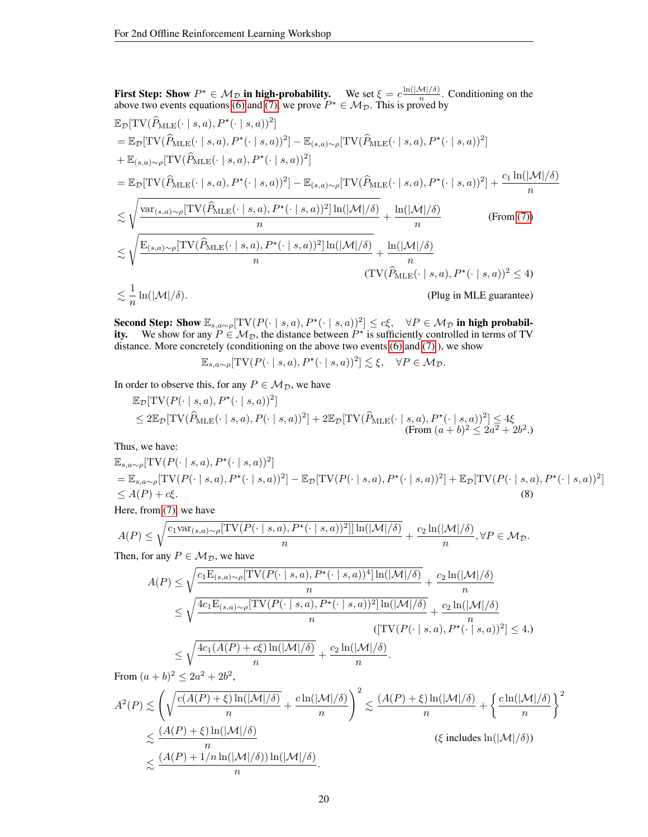First Step: Show  $P^* \in M_{\mathcal{D}}$  in high-probability. We set  $\xi = c \frac{\ln(|\mathcal{M}|/\delta)}{n}$  $\frac{\nu_1}{n}$ . Conditioning on the above two events equations [\(6\)](#page-18-2) and [\(7\),](#page-18-3) we prove  $P^* \in M_{\mathcal{D}}$ . This is proved by  $\mathbb{E}_{\mathcal{D}}[\text{TV}(\widehat{P}_{\text{MLE}}(\cdot \mid s, a), P^{\star}(\cdot \mid s, a))^2]$  $=\mathbb{E}_{\mathcal{D}}[\text{TV}(\widehat{P}_{\text{MLE}}(\cdot \mid s, a), P^{\star}(\cdot \mid s, a))^2] - \mathbb{E}_{(s, a) \sim \rho}[\text{TV}(\widehat{P}_{\text{MLE}}(\cdot \mid s, a), P^{\star}(\cdot \mid s, a))^2]$  $+ \mathbb{E}_{(s,a)\sim\rho}[\text{TV}(\widehat{P}_{\text{MLE}}(\cdot \mid s, a), P^{\star}(\cdot \mid s, a))^2]$  $=\mathbb{E}_{\mathcal{D}}[\text{TV}(\widehat{P}_{\text{MLE}}(\cdot \mid s, a), P^{\star}(\cdot \mid s, a))^2]-\mathbb{E}_{(s, a)\sim \rho}[\text{TV}(\widehat{P}_{\text{MLE}}(\cdot \mid s, a), P^{\star}(\cdot \mid s, a))^2]+\frac{c_1 \ln(|\mathcal{M}|/\delta)}{n}$  $\leq$  $\sqrt{\text{var}_{(s,a)\sim\rho}[\text{TV}(\widehat{P}_{\text{MLE}}(\cdot \mid s, a), P^{\star}(\cdot \mid s, a))^2]\ln(|\mathcal{M}|/\delta)}$  $\frac{1}{n}$   $\frac{1}{n}$   $\frac{1}{n}$   $\frac{1}{n}$   $\frac{1}{n}$   $\frac{1}{n}$   $\frac{1}{n}$   $\frac{1}{n}$   $\frac{1}{n}$   $\frac{1}{n}$   $\frac{1}{n}$   $\frac{1}{n}$ n (From [\(7\)\)](#page-18-3)  $\lt$  $\sqrt{\text{E}_{(s,a)\sim\rho}[\text{TV}(\widehat{P}_{\text{MLE}}(\cdot \mid s, a), P^{\star}(\cdot \mid s, a))^2]\ln(|\mathcal{M}|/\delta)}$  $\frac{(n)}{n} \frac{(n-1)(n-1)}{n} + \frac{\ln(|\mathcal{M}|/\delta)}{n}$ n  $(TV(\widehat{P}_{MLE}(\cdot | s, a), P^{\star}(\cdot | s, a))^2 \leq 4)$  $\lt \frac{1}{\cdot}$ n (Plug in MLE guarantee)

Second Step: Show  $\mathbb{E}_{s,a\sim\rho}[\text{TV}(P(\cdot \mid s,a), P^{\star}(\cdot \mid s,a))^2] \leq c\xi$ ,  $\forall P \in \mathcal{M}_{\mathcal{D}}$  in high probability. We show for any  $P \in M_{\mathcal{D}}$ , the distance between  $P^*$  is sufficiently controlled in terms of TV distance. More concretely (conditioning on the above two events [\(6\)](#page-18-2) and [\(7\)](#page-18-3) ), we show

<span id="page-19-0"></span> $\mathbb{E}_{s,a\sim \rho}[\text{TV}(P(\cdot \mid s,a), P^{\star}(\cdot \mid s,a))^2] \lesssim \xi, \quad \forall P \in \mathcal{M}_{\mathcal{D}}.$ 

In order to observe this, for any  $P \in \mathcal{M}_{\mathcal{D}}$ , we have

$$
\mathbb{E}_{\mathcal{D}}[\text{TV}(P(\cdot \mid s, a), P^{\star}(\cdot \mid s, a))^2]
$$
  
\n
$$
\leq 2\mathbb{E}_{\mathcal{D}}[\text{TV}(\widehat{P}_{\text{MLE}}(\cdot \mid s, a), P(\cdot \mid s, a))^2] + 2\mathbb{E}_{\mathcal{D}}[\text{TV}(\widehat{P}_{\text{MLE}}(\cdot \mid s, a), P^{\star}(\cdot \mid s, a))^2] \leq 4\xi
$$
  
\n(From  $(a + b)^2 \leq 2a^2 + 2b^2$ .)

Thus, we have:

$$
\mathbb{E}_{s,a\sim\rho}[\text{TV}(P(\cdot \mid s,a), P^{\star}(\cdot \mid s,a))^2]
$$
\n
$$
= \mathbb{E}_{s,a\sim\rho}[\text{TV}(P(\cdot \mid s,a), P^{\star}(\cdot \mid s,a))^2] - \mathbb{E}_{\mathcal{D}}[\text{TV}(P(\cdot \mid s,a), P^{\star}(\cdot \mid s,a))^2] + \mathbb{E}_{\mathcal{D}}[\text{TV}(P(\cdot \mid s,a), P^{\star}(\cdot \mid s,a))^2]
$$
\n
$$
\leq A(P) + c\xi.
$$
\n(8)

Here, from [\(7\),](#page-18-3) we have

$$
A(P) \le \sqrt{\frac{c_1 \text{var}_{(s,a)\sim \rho}[\text{TV}(P(\cdot \mid s,a), P^\star(\cdot \mid s,a))^2]] \ln(|\mathcal{M}|/\delta)}{n}} + \frac{c_2 \ln(|\mathcal{M}|/\delta)}{n}, \forall P \in \mathcal{M}_{\mathcal{D}}.
$$

Then, for any  $P \in \mathcal{M}_{\mathcal{D}}$ , we have

$$
A(P) \leq \sqrt{\frac{c_1 \mathcal{E}_{(s,a)\sim\rho}[\text{TV}(P(\cdot \mid s, a), P^{\star}(\cdot \mid s, a))^4] \ln(|\mathcal{M}|/\delta)}{n}} + \frac{c_2 \ln(|\mathcal{M}|/\delta)}{n}
$$
  
\n
$$
\leq \sqrt{\frac{4c_1 \mathcal{E}_{(s,a)\sim\rho}[\text{TV}(P(\cdot \mid s, a), P^{\star}(\cdot \mid s, a))^2] \ln(|\mathcal{M}|/\delta)}{n}} + \frac{c_2 \ln(|\mathcal{M}|/\delta)}{n}
$$
  
\n
$$
\leq \sqrt{\frac{4c_1(A(P) + c\xi) \ln(|\mathcal{M}|/\delta)}{n}} + \frac{c_2 \ln(|\mathcal{M}|/\delta)}{n}.
$$

From 
$$
(a + b)^2 \le 2a^2 + 2b^2
$$
,  
\n
$$
A^2(P) \lesssim \left(\sqrt{\frac{c(A(P) + \xi) \ln(|\mathcal{M}|/\delta)}{n}} + \frac{c \ln(|\mathcal{M}|/\delta)}{n}\right)^2 \lesssim \frac{(A(P) + \xi) \ln(|\mathcal{M}|/\delta)}{n} + \left\{\frac{c \ln(|\mathcal{M}|/\delta)}{n}\right\}^2
$$
\n
$$
\lesssim \frac{(A(P) + \xi) \ln(|\mathcal{M}|/\delta)}{n} \lesssim \frac{(A(P) + 1/n \ln(|\mathcal{M}|/\delta)) \ln(|\mathcal{M}|/\delta)}{n}.
$$
\n
$$
\lesssim \frac{(A(P) + 1/n \ln(|\mathcal{M}|/\delta)) \ln(|\mathcal{M}|/\delta)}{n}.
$$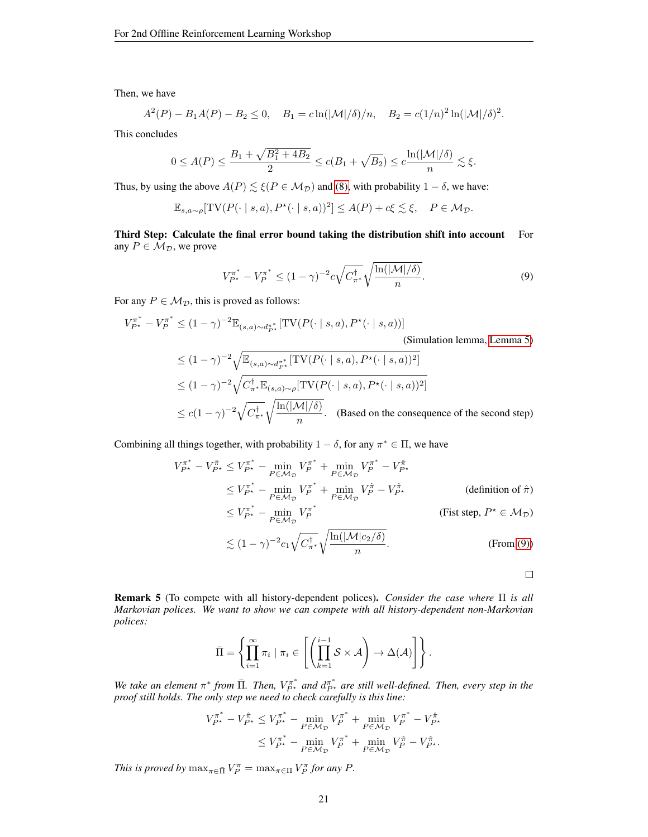Then, we have

$$
A^2(P) - B_1 A(P) - B_2 \le 0
$$
,  $B_1 = c \ln(|\mathcal{M}|/\delta)/n$ ,  $B_2 = c(1/n)^2 \ln(|\mathcal{M}|/\delta)^2$ .

This concludes

$$
0 \le A(P) \le \frac{B_1 + \sqrt{B_1^2 + 4B_2}}{2} \le c(B_1 + \sqrt{B_2}) \le c \frac{\ln(|\mathcal{M}|/\delta)}{n} \lesssim \xi.
$$

Thus, by using the above  $A(P) \le \xi(P \in M_{\mathcal{D}})$  and [\(8\),](#page-19-0) with probability  $1 - \delta$ , we have:

$$
\mathbb{E}_{s,a\sim\rho}[\text{TV}(P(\cdot \mid s,a), P^{\star}(\cdot \mid s,a))^2] \leq A(P) + c\xi \lesssim \xi, \quad P \in \mathcal{M}_{\mathcal{D}}.
$$

Third Step: Calculate the final error bound taking the distribution shift into account For any  $P \in M_{\mathcal{D}}$ , we prove

<span id="page-20-1"></span>
$$
V_{P^*}^{\pi^*} - V_P^{\pi^*} \le (1 - \gamma)^{-2} c \sqrt{C_{\pi^*}^{\dagger}} \sqrt{\frac{\ln(|\mathcal{M}|/\delta)}{n}}.
$$
 (9)

For any  $P \in M_{\mathcal{D}}$ , this is proved as follows:

$$
V_{P^{\star}}^{\pi^*} - V_P^{\pi^*} \le (1 - \gamma)^{-2} \mathbb{E}_{(s,a) \sim d_{P^{\star}}^{\pi^*}} [\text{TV}(P(\cdot \mid s, a), P^{\star}(\cdot \mid s, a))]
$$
\n(Simulation lemma, Lemma 5)\n
$$
\le (1 - \gamma)^{-2} \sqrt{\mathbb{E}_{(s,a) \sim d_{P^{\star}}^{\pi^*}} [\text{TV}(P(\cdot \mid s, a), P^{\star}(\cdot \mid s, a))^2]}
$$
\n
$$
\le (1 - \gamma)^{-2} \sqrt{C_{\pi^*}^{\dagger} \mathbb{E}_{(s,a) \sim \rho} [\text{TV}(P(\cdot \mid s, a), P^{\star}(\cdot \mid s, a))^2]}
$$

 $\leq c(1-\gamma)^{-2}\sqrt{C_{\pi^*}^{\dagger}}$  $\sqrt{\ln(|\mathcal{M}|/\delta)}$  $\frac{n!}{n}$ . (Based on the consequence of the second step)

Combining all things together, with probability  $1 - \delta$ , for any  $\pi^* \in \Pi$ , we have

$$
V_{P^*}^{\pi^*} - V_{P^*}^{\hat{\pi}} \leq V_{P^*}^{\pi^*} - \min_{P \in \mathcal{M}_{\mathcal{D}}} V_P^{\pi^*} + \min_{P \in \mathcal{M}_{\mathcal{D}}} V_P^{\pi^*} - V_{P^*}^{\hat{\pi}}
$$
  
\n
$$
\leq V_{P^*}^{\pi^*} - \min_{P \in \mathcal{M}_{\mathcal{D}}} V_P^{\pi^*} + \min_{P \in \mathcal{M}_{\mathcal{D}}} V_P^{\hat{\pi}} - V_{P^*}^{\hat{\pi}}
$$
 (definition of  $\hat{\pi}$ )  
\n
$$
\leq V_{P^*}^{\pi^*} - \min_{P \in \mathcal{M}_{\mathcal{D}}} V_P^{\pi^*}
$$
 (Fist step,  $P^* \in \mathcal{M}_{\mathcal{D}}$ )  
\n
$$
\lesssim (1 - \gamma)^{-2} c_1 \sqrt{C_{\pi^*}^{\dagger}} \sqrt{\frac{\ln(|\mathcal{M}|c_2/\delta)}{n}}.
$$
 (From (9))

<span id="page-20-0"></span>Remark 5 (To compete with all history-dependent polices). *Consider the case where* Π *is all Markovian polices. We want to show we can compete with all history-dependent non-Markovian polices:*

$$
\bar{\Pi} = \left\{ \prod_{i=1}^{\infty} \pi_i \mid \pi_i \in \left[ \left( \prod_{k=1}^{i-1} S \times \mathcal{A} \right) \to \Delta(\mathcal{A}) \right] \right\}.
$$

We take an element  $\pi^*$  from  $\bar{\Pi}$ . Then,  $V_{P^*}^{\pi^*}$  and  $d_{P^*}^{\pi^*}$  are still well-defined. Then, every step in the *proof still holds. The only step we need to check carefully is this line:*

$$
\begin{aligned} V_{P^{\star}}^{\pi^*} - V_{P^{\star}}^{\hat{\pi}} &\leq V_{P^{\star}}^{\pi^*} - \min_{P \in \mathcal{M}_{\mathcal{D}}} V_P^{\pi^*} + \min_{P \in \mathcal{M}_{\mathcal{D}}} V_P^{\pi^*} - V_{P^{\star}}^{\hat{\pi}} \\ &\leq V_{P^{\star}}^{\pi^*} - \min_{P \in \mathcal{M}_{\mathcal{D}}} V_P^{\pi^*} + \min_{P \in \mathcal{M}_{\mathcal{D}}} V_P^{\hat{\pi}} - V_{P^{\star}}^{\hat{\pi}}. \end{aligned}
$$

*This is proved by*  $\max_{\pi \in \bar{\Pi}} V_P^{\pi} = \max_{\pi \in \Pi} V_P^{\pi}$  *for any P*.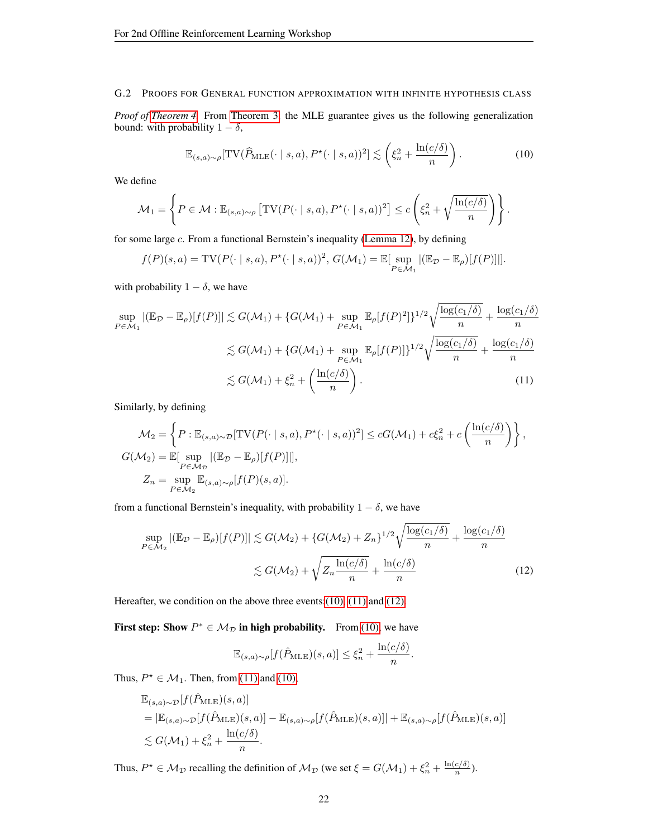# G.2 PROOFS FOR GENERAL FUNCTION APPROXIMATION WITH INFINITE HYPOTHESIS CLASS

*Proof of [Theorem 4.](#page-12-2)* From [Theorem 3,](#page-12-3) the MLE guarantee gives us the following generalization bound: with probability  $1 - \delta$ ,

<span id="page-21-0"></span>
$$
\mathbb{E}_{(s,a)\sim\rho}[\text{TV}(\widehat{P}_{\text{MLE}}(\cdot \mid s, a), P^{\star}(\cdot \mid s, a))^2] \lesssim \left(\xi_n^2 + \frac{\ln(c/\delta)}{n}\right). \tag{10}
$$

We define

$$
\mathcal{M}_1 = \left\{ P \in \mathcal{M} : \mathbb{E}_{(s,a)\sim\rho} \left[ \mathrm{TV}(P(\cdot \mid s,a), P^*(\cdot \mid s,a))^2 \right] \le c \left( \xi_n^2 + \sqrt{\frac{\ln(c/\delta)}{n}} \right) \right\}.
$$

for some large c. From a functional Bernstein's inequality [\(Lemma 12\)](#page-37-0), by defining

<span id="page-21-1"></span>
$$
f(P)(s,a) = \text{TV}(P(\cdot \mid s,a), P^*(\cdot \mid s,a))^2, G(\mathcal{M}_1) = \mathbb{E}[\sup_{P \in \mathcal{M}_1} |(\mathbb{E}_{\mathcal{D}} - \mathbb{E}_{\rho})[f(P)]|].
$$

with probability  $1 - \delta$ , we have

$$
\sup_{P \in \mathcal{M}_1} |(\mathbb{E}_{\mathcal{D}} - \mathbb{E}_{\rho})[f(P)]| \lesssim G(\mathcal{M}_1) + \{G(\mathcal{M}_1) + \sup_{P \in \mathcal{M}_1} \mathbb{E}_{\rho}[f(P)^2]\}^{1/2} \sqrt{\frac{\log(c_1/\delta)}{n}} + \frac{\log(c_1/\delta)}{n}
$$
  

$$
\lesssim G(\mathcal{M}_1) + \{G(\mathcal{M}_1) + \sup_{P \in \mathcal{M}_1} \mathbb{E}_{\rho}[f(P)]\}^{1/2} \sqrt{\frac{\log(c_1/\delta)}{n}} + \frac{\log(c_1/\delta)}{n}
$$
  

$$
\lesssim G(\mathcal{M}_1) + \xi_n^2 + \left(\frac{\ln(c/\delta)}{n}\right).
$$
 (11)

Similarly, by defining

$$
\mathcal{M}_2 = \left\{ P : \mathbb{E}_{(s,a)\sim\mathcal{D}}[\text{TV}(P(\cdot \mid s, a), P^{\star}(\cdot \mid s, a))^2] \le cG(\mathcal{M}_1) + c\xi_n^2 + c\left(\frac{\ln(c/\delta)}{n}\right) \right\},
$$
  
\n
$$
G(\mathcal{M}_2) = \mathbb{E}[\sup_{P \in \mathcal{M}_2} |(\mathbb{E}_{\mathcal{D}} - \mathbb{E}_{\rho})[f(P)]|],
$$
  
\n
$$
Z_n = \sup_{P \in \mathcal{M}_2} \mathbb{E}_{(s,a)\sim\rho}[f(P)(s,a)].
$$

from a functional Bernstein's inequality, with probability  $1 - \delta$ , we have

$$
\sup_{P \in \mathcal{M}_2} |(\mathbb{E}_{\mathcal{D}} - \mathbb{E}_{\rho})[f(P)]| \lesssim G(\mathcal{M}_2) + \{G(\mathcal{M}_2) + Z_n\}^{1/2} \sqrt{\frac{\log(c_1/\delta)}{n}} + \frac{\log(c_1/\delta)}{n}
$$

$$
\lesssim G(\mathcal{M}_2) + \sqrt{Z_n \frac{\ln(c/\delta)}{n}} + \frac{\ln(c/\delta)}{n}
$$
(12)

Hereafter, we condition on the above three events: (10), [\(11\)](#page-21-1) and [\(12\).](#page-21-2)

First step: Show  $P^* \in M_{\mathcal{D}}$  in high probability. From [\(10\),](#page-21-0) we have

<span id="page-21-2"></span>
$$
\mathbb{E}_{(s,a)\sim\rho}[f(\hat{P}_{\mathrm{MLE}})(s,a)] \leq \xi_n^2 + \frac{\ln(c/\delta)}{n}.
$$

Thus,  $P^* \in \mathcal{M}_1$ . Then, from [\(11\)](#page-21-1) and [\(10\),](#page-21-0)

$$
\mathbb{E}_{(s,a)\sim\mathcal{D}}[f(\hat{P}_{\text{MLE}})(s,a)]
$$
  
=  $|\mathbb{E}_{(s,a)\sim\mathcal{D}}[f(\hat{P}_{\text{MLE}})(s,a)] - \mathbb{E}_{(s,a)\sim\rho}[f(\hat{P}_{\text{MLE}})(s,a)]| + \mathbb{E}_{(s,a)\sim\rho}[f(\hat{P}_{\text{MLE}})(s,a)]$   
 $\lesssim G(\mathcal{M}_1) + \xi_n^2 + \frac{\ln(c/\delta)}{n}.$ 

Thus,  $P^* \in M_{\mathcal{D}}$  recalling the definition of  $M_{\mathcal{D}}$  (we set  $\xi = G(M_1) + \xi_n^2 + \frac{\ln(c/\delta)}{n}$  $\frac{c(\sigma)}{n}$ ).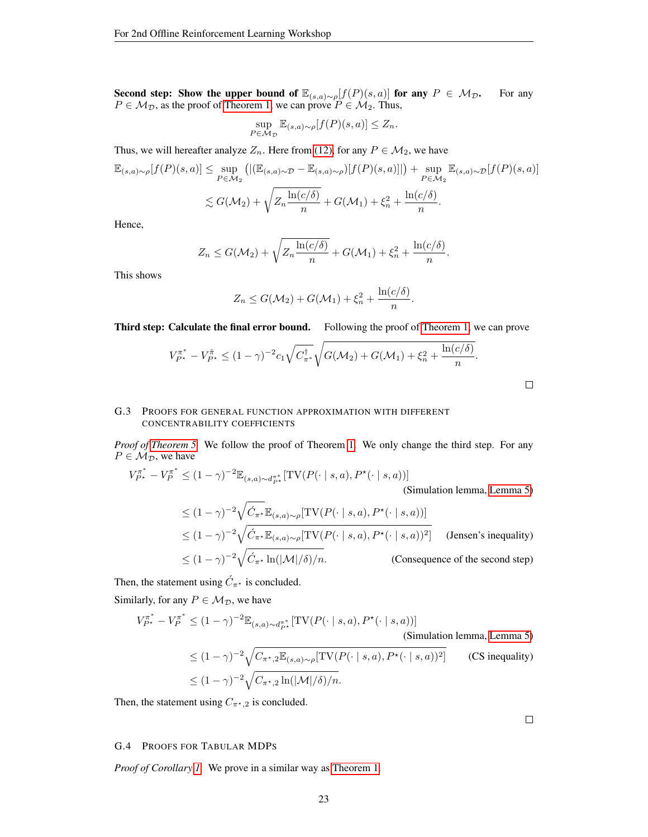Second step: Show the upper bound of  $\mathbb{E}_{(s,a)\sim\rho}[f(P)(s,a)]$  for any  $P \in \mathcal{M}_{\mathcal{D}}$ . For any  $P \in M_{\mathcal{D}}$ , as the proof of [Theorem 1,](#page-4-1) we can prove  $P \in M_2$ . Thus,

$$
\sup_{P \in \mathcal{M}_{\mathcal{D}}} \mathbb{E}_{(s,a)\sim\rho}[f(P)(s,a)] \le Z_n.
$$

Thus, we will hereafter analyze  $Z_n$ . Here from [\(12\),](#page-21-2) for any  $P \in \mathcal{M}_2$ , we have

$$
\mathbb{E}_{(s,a)\sim\rho}[f(P)(s,a)] \leq \sup_{P \in \mathcal{M}_2} \left( |(\mathbb{E}_{(s,a)\sim\mathcal{D}} - \mathbb{E}_{(s,a)\sim\rho})[f(P)(s,a)]| \right) + \sup_{P \in \mathcal{M}_2} \mathbb{E}_{(s,a)\sim\mathcal{D}}[f(P)(s,a)]
$$
  

$$
\lesssim G(\mathcal{M}_2) + \sqrt{Z_n \frac{\ln(c/\delta)}{n}} + G(\mathcal{M}_1) + \xi_n^2 + \frac{\ln(c/\delta)}{n}.
$$

Hence,

$$
Z_n \leq G(\mathcal{M}_2) + \sqrt{Z_n \frac{\ln(c/\delta)}{n}} + G(\mathcal{M}_1) + \xi_n^2 + \frac{\ln(c/\delta)}{n}.
$$

This shows

$$
Z_n \leq G(\mathcal{M}_2) + G(\mathcal{M}_1) + \xi_n^2 + \frac{\ln(c/\delta)}{n}.
$$

Third step: Calculate the final error bound. Following the proof of [Theorem 1,](#page-4-1) we can prove

$$
V_{P^*}^{\pi^*} - V_{P^*}^{\hat{\pi}} \le (1 - \gamma)^{-2} c_1 \sqrt{C_{\pi^*}^{\dagger}} \sqrt{G(\mathcal{M}_2) + G(\mathcal{M}_1) + \xi_n^2 + \frac{\ln(c/\delta)}{n}}.
$$

# G.3 PROOFS FOR GENERAL FUNCTION APPROXIMATION WITH DIFFERENT CONCENTRABILITY COEFFICIENTS

*Proof of [Theorem 5.](#page-16-2)* We follow the proof of Theorem [1.](#page-4-1) We only change the third step. For any  $P \in \mathcal{M}_{\mathcal{D}}$ , we have

$$
V_{P^*}^{\pi^*} - V_P^{\pi^*} \le (1 - \gamma)^{-2} \mathbb{E}_{(s,a) \sim d_{P^*}^{\pi^*}} [\text{TV}(P(\cdot \mid s, a), P^*(\cdot \mid s, a))]
$$
\n(Simulation lemma, Lemma 5)

\n
$$
\le (1 - \gamma)^{-2} \sqrt{\hat{C}_{\pi^*} \mathbb{E}_{(s,a) \sim \rho} [\text{TV}(P(\cdot \mid s, a), P^*(\cdot \mid s, a))]}
$$
\n
$$
\le (1 - \gamma)^{-2} \sqrt{\hat{C}_{\pi^*} \mathbb{E}_{(s,a) \sim \rho} [\text{TV}(P(\cdot \mid s, a), P^*(\cdot \mid s, a))^2]}
$$
\n(Jensen's inequality)

\n
$$
\le (1 - \gamma)^{-2} \sqrt{\hat{C}_{\pi^*} \ln(|\mathcal{M}|/\delta)/n}.
$$
\n(Consequence of the second step)

Then, the statement using  $\acute{C}_{\pi^*}$  is concluded.

Similarly, for any  $P \in \mathcal{M}_{\mathcal{D}}$ , we have

$$
V_{P^{\star}}^{\pi^*} - V_P^{\pi^*} \le (1 - \gamma)^{-2} \mathbb{E}_{(s,a) \sim d_{P^{\star}}^{\pi^*}} [\text{TV}(P(\cdot \mid s, a), P^{\star}(\cdot \mid s, a))]
$$
\n(Simulation lemma, Lemma 5)

\n
$$
\le (1 - \gamma)^{-2} \sqrt{C_{\pi^*, 2} \mathbb{E}_{(s,a) \sim \rho} [\text{TV}(P(\cdot \mid s, a), P^{\star}(\cdot \mid s, a))^2]}
$$
\n(CS inequality)

\n
$$
\le (1 - \gamma)^{-2} \sqrt{C_{\pi^*, 2} \ln(|\mathcal{M}|/\delta)/n}.
$$

Then, the statement using  $C_{\pi^*,2}$  is concluded.

 $\Box$ 

 $\Box$ 

# G.4 PROOFS FOR TABULAR MDPS

*Proof of Corollary [1.](#page-5-1)* We prove in a similar way as [Theorem 1.](#page-4-1)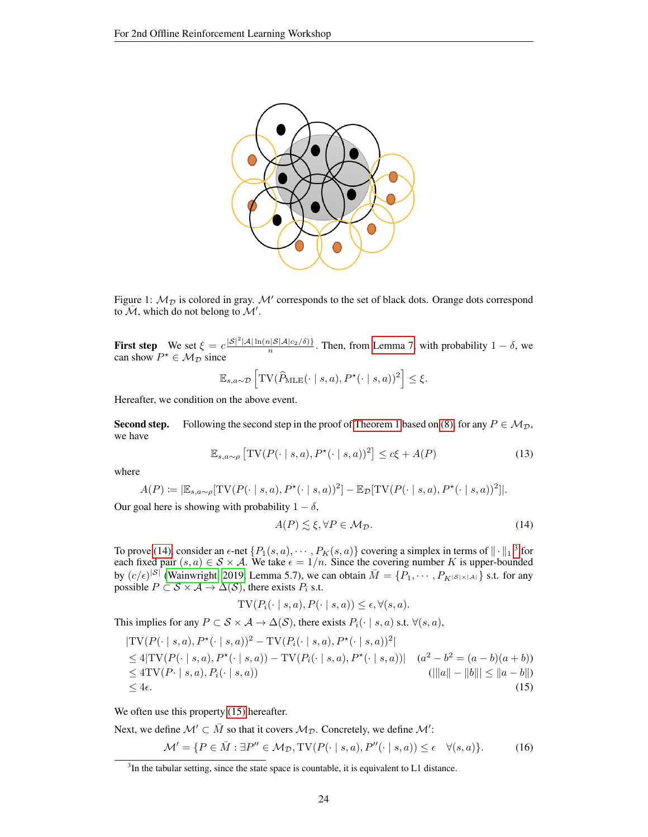

Figure 1:  $M_{\mathcal{D}}$  is colored in gray. M' corresponds to the set of black dots. Orange dots correspond to  $\overline{\mathcal{M}}$ , which do not belong to  $\mathcal{M}'$ .

**First step** We set  $\xi = c \frac{|\mathcal{S}|^2 |\mathcal{A}| \ln(n |\mathcal{S}|\mathcal{A}|c_2/\delta)}{n}$ . Then, from [Lemma 7,](#page-35-2) with probability  $1 - \delta$ , we can show  $P^* \in \mathcal{M}_{\mathcal{D}}$  since

<span id="page-23-3"></span>
$$
\mathbb{E}_{s,a\sim\mathcal{D}}\left[\text{TV}(\widehat{P}_{\text{MLE}}(\cdot \mid s,a), P^{\star}(\cdot \mid s,a))^2\right] \leq \xi.
$$

Hereafter, we condition on the above event.

**Second step.** Following the second step in the proof of [Theorem 1](#page-4-1) based on [\(8\),](#page-19-0) for any  $P \in M_{\mathcal{D}}$ , we have

$$
\mathbb{E}_{s,a \sim \rho} \left[ \text{TV}(P(\cdot \mid s, a), P^{\star}(\cdot \mid s, a))^2 \right] \le c\xi + A(P) \tag{13}
$$

where

$$
A(P) \coloneqq |\mathbb{E}_{s,a \sim \rho}[\text{TV}(P(\cdot \mid s,a), P^{\star}(\cdot \mid s,a))^2] - \mathbb{E}_{\mathcal{D}}[\text{TV}(P(\cdot \mid s,a), P^{\star}(\cdot \mid s,a))^2]|.
$$

Our goal here is showing with probability  $1 - \delta$ ,

<span id="page-23-5"></span><span id="page-23-0"></span>
$$
A(P) \lesssim \xi, \forall P \in \mathcal{M}_{\mathcal{D}}.\tag{14}
$$

To prove [\(14\),](#page-23-0) consider an  $\epsilon$ -net  $\{P_1(s, a), \cdots, P_K(s, a)\}$  covering a simplex in terms of  $\|\cdot\|_1^{-3}$  $\|\cdot\|_1^{-3}$  $\|\cdot\|_1^{-3}$  for each fixed pair  $(s, a) \in S \times A$ . We take  $\epsilon = 1/n$ . Since the covering number K is upper-bounded by  $(c/\epsilon)^{|\mathcal{S}|}$  [\(Wainwright, 2019,](#page-10-13) Lemma 5.7), we can obtain  $\overline{M} = \{P_1, \dots, P_{K^{|\mathcal{S}| \times |\mathcal{A}|}}\}$  s.t. for any possible  $P \subset \mathcal{S} \times \mathcal{A} \rightarrow \Delta(\mathcal{S})$ , there exists  $P_i$  s.t.

<span id="page-23-4"></span><span id="page-23-2"></span>
$$
TV(P_i(\cdot \mid s, a), P(\cdot \mid s, a)) \le \epsilon, \forall (s, a).
$$

This implies for any  $P \subset \mathcal{S} \times \mathcal{A} \to \Delta(\mathcal{S})$ , there exists  $P_i(\cdot | s, a)$  s.t.  $\forall (s, a)$ ,

$$
|\text{TV}(P(\cdot \mid s, a), P^*(\cdot \mid s, a))^2 - \text{TV}(P_i(\cdot \mid s, a), P^*(\cdot \mid s, a))^2|
$$
  
\n
$$
\leq 4|\text{TV}(P(\cdot \mid s, a), P^*(\cdot \mid s, a)) - \text{TV}(P_i(\cdot \mid s, a), P^*(\cdot \mid s, a))| \quad (a^2 - b^2 = (a - b)(a + b))
$$
  
\n
$$
\leq 4\text{TV}(P \cdot \mid s, a), P_i(\cdot \mid s, a))
$$
  
\n
$$
\leq 4\epsilon.
$$
  
\n(15)

We often use this property  $(15)$  hereafter.

Next, we define  $\mathcal{M}' \subset \bar{M}$  so that it covers  $\mathcal{M}_{\mathcal{D}}$ . Concretely, we define  $\mathcal{M}'$ :

$$
\mathcal{M}' = \{ P \in \bar{M} : \exists P'' \in \mathcal{M}_{\mathcal{D}}, \text{TV}(P(\cdot \mid s, a), P''(\cdot \mid s, a)) \le \epsilon \quad \forall (s, a) \}. \tag{16}
$$

<span id="page-23-1"></span> $3$ In the tabular setting, since the state space is countable, it is equivalent to L1 distance.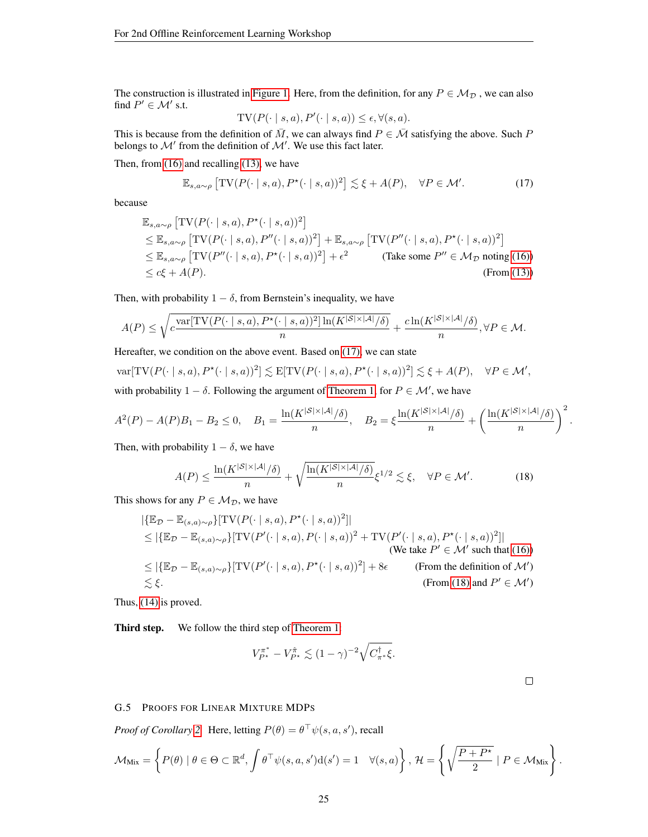The construction is illustrated in [Figure 1.](#page-23-3) Here, from the definition, for any  $P \in M_{\mathcal{D}}$ , we can also find  $P' \in \mathcal{M}'$  s.t.

<span id="page-24-0"></span>
$$
TV(P(\cdot | s, a), P'(\cdot | s, a)) \le \epsilon, \forall (s, a).
$$

This is because from the definition of  $\overline{M}$ , we can always find  $P \in \overline{\mathcal{M}}$  satisfying the above. Such P belongs to  $\mathcal{M}'$  from the definition of  $\mathcal{M}'$ . We use this fact later.

Then, from [\(16\)](#page-23-4) and recalling [\(13\),](#page-23-5) we have

$$
\mathbb{E}_{s,a\sim\rho} \left[ \text{TV}(P(\cdot \mid s,a), P^{\star}(\cdot \mid s,a))^2 \right] \lesssim \xi + A(P), \quad \forall P \in \mathcal{M}'. \tag{17}
$$

because

$$
\mathbb{E}_{s,a\sim\rho} \left[ \text{TV}(P(\cdot \mid s, a), P^{\star}(\cdot \mid s, a))^2 \right] \n\leq \mathbb{E}_{s,a\sim\rho} \left[ \text{TV}(P(\cdot \mid s, a), P''(\cdot \mid s, a))^2 \right] + \mathbb{E}_{s,a\sim\rho} \left[ \text{TV}(P''(\cdot \mid s, a), P^{\star}(\cdot \mid s, a))^2 \right] \n\leq \mathbb{E}_{s,a\sim\rho} \left[ \text{TV}(P''(\cdot \mid s, a), P^{\star}(\cdot \mid s, a))^2 \right] + \epsilon^2 \n\tag{Take some } P'' \in \mathcal{M}_{\mathcal{D}} \text{ noting (16)} \n\leq c\xi + A(P). \n\tag{From (13)}
$$

Then, with probability  $1 - \delta$ , from Bernstein's inequality, we have

$$
A(P) \le \sqrt{c \frac{\text{var}[TV(P(\cdot \mid s, a), P^\star(\cdot \mid s, a))^2] \ln(K^{|\mathcal{S}| \times |\mathcal{A}|} / \delta)}{n}} + \frac{c \ln(K^{|\mathcal{S}| \times |\mathcal{A}|} / \delta)}{n}, \forall P \in \mathcal{M}.
$$

Hereafter, we condition on the above event. Based on [\(17\),](#page-24-0) we can state

 $\text{var}[TV(P(\cdot | s, a), P^{\star}(\cdot | s, a))^2] \lesssim \text{E}[TV(P(\cdot | s, a), P^{\star}(\cdot | s, a))^2] \lesssim \xi + A(P), \quad \forall P \in \mathcal{M}',$ 

with probability  $1 - \delta$ . Following the argument of [Theorem 1,](#page-4-1) for  $P \in \mathcal{M}'$ , we have

$$
A^{2}(P) - A(P)B_{1} - B_{2} \le 0, \quad B_{1} = \frac{\ln(K^{|S| \times |A|} / \delta)}{n}, \quad B_{2} = \xi \frac{\ln(K^{|S| \times |A|} / \delta)}{n} + \left(\frac{\ln(K^{|S| \times |A|} / \delta)}{n}\right)^{2}.
$$

Then, with probability  $1 - \delta$ , we have

$$
A(P) \le \frac{\ln(K^{|S| \times |\mathcal{A}|} / \delta)}{n} + \sqrt{\frac{\ln(K^{|S| \times |\mathcal{A}|} / \delta)}{n}} \xi^{1/2} \lesssim \xi, \quad \forall P \in \mathcal{M}'.\tag{18}
$$

This shows for any  $P \in \mathcal{M}_{\mathcal{D}}$ , we have

$$
|\{\mathbb{E}_{\mathcal{D}} - \mathbb{E}_{(s,a)\sim\rho}\}[\text{TV}(P(\cdot \mid s, a), P^{\star}(\cdot \mid s, a))^2]|
$$
  
\n
$$
\leq |\{\mathbb{E}_{\mathcal{D}} - \mathbb{E}_{(s,a)\sim\rho}\}[\text{TV}(P'(\cdot \mid s, a), P(\cdot \mid s, a))^2 + \text{TV}(P'(\cdot \mid s, a), P^{\star}(\cdot \mid s, a))^2]|
$$
  
\n(We take  $P' \in \mathcal{M}'$  such that (16))  
\n
$$
\leq |\{\mathbb{E}_{\mathcal{D}} - \mathbb{E}_{(s,a)\sim\rho}\}[\text{TV}(P'(\cdot \mid s, a), P^{\star}(\cdot \mid s, a))^2] + 8\epsilon
$$
  
\n(From the definition of  $\mathcal{M}'$ )  
\n
$$
\lesssim \xi.
$$
  
\n(From (18) and  $P' \in \mathcal{M}'$ )

Thus, [\(14\)](#page-23-0) is proved.

Third step. We follow the third step of [Theorem 1:](#page-4-1)

$$
V_{P^*}^{\pi^*} - V_{P^*}^{\hat{\pi}} \lesssim (1 - \gamma)^{-2} \sqrt{C_{\pi^*}^{\dagger} \xi}.
$$

<span id="page-24-1"></span>

#### G.5 PROOFS FOR LINEAR MIXTURE MDPS

*Proof of Corollary* [2.](#page-6-0) Here, letting  $P(\theta) = \theta^{\top} \psi(s, a, s')$ , recall

$$
\mathcal{M}_{\text{Mix}} = \left\{ P(\theta) \mid \theta \in \Theta \subset \mathbb{R}^d, \int \theta^\top \psi(s, a, s') d(s') = 1 \quad \forall (s, a) \right\}, \, \mathcal{H} = \left\{ \sqrt{\frac{P + P^\star}{2}} \mid P \in \mathcal{M}_{\text{Mix}} \right\}.
$$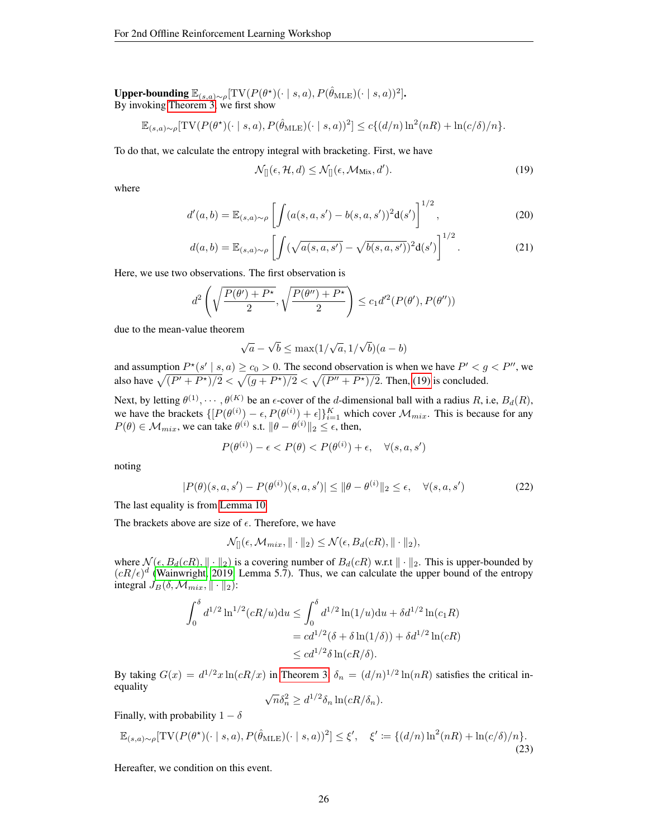Upper-bounding  $\mathbb{E}_{(s,a)\sim \rho}[\text{TV}(P(\theta^\star)(\cdot \mid s,a), P(\hat{\theta}_\text{MLE})(\cdot \mid s,a))^2]$ . By invoking [Theorem 3,](#page-12-3) we first show

$$
\mathbb{E}_{(s,a)\sim\rho}[\text{TV}(P(\theta^{\star})(\cdot \mid s,a), P(\hat{\theta}_{\text{MLE}})(\cdot \mid s,a))^2] \le c\{(d/n)\ln^2(nR) + \ln(c/\delta)/n\}.
$$

To do that, we calculate the entropy integral with bracketing. First, we have

<span id="page-25-0"></span>
$$
\mathcal{N}_{[]}(\epsilon, \mathcal{H}, d) \le \mathcal{N}_{[]}(\epsilon, \mathcal{M}_{\text{Mix}}, d'). \tag{19}
$$

where

$$
d'(a,b) = \mathbb{E}_{(s,a)\sim\rho} \left[ \int (a(s,a,s') - b(s,a,s'))^2 \mathrm{d}(s') \right]^{1/2},\tag{20}
$$

$$
d(a,b) = \mathbb{E}_{(s,a)\sim\rho} \left[ \int (\sqrt{a(s,a,s')} - \sqrt{b(s,a,s')})^2 d(s') \right]^{1/2}.
$$
 (21)

Here, we use two observations. The first observation is

$$
d^2\left(\sqrt{\frac{P(\theta') + P^{\star}}{2}}, \sqrt{\frac{P(\theta'') + P^{\star}}{2}}\right) \leq c_1 d'^2(P(\theta'), P(\theta''))
$$

due to the mean-value theorem

$$
\sqrt{a} - \sqrt{b} \le \max(1/\sqrt{a}, 1/\sqrt{b})(a - b)
$$

and assumption  $P^*(s' \mid s, a) \ge c_0 > 0$ . The second observation is when we have  $P' < g < P''$ , we also have  $\sqrt{(P'+P^*)/2} < \sqrt{(g+P^*)/2} < \sqrt{(P''+P^*)/2}$ . Then, [\(19\)](#page-25-0) is concluded.

Next, by letting  $\theta^{(1)}, \cdots, \theta^{(K)}$  be an  $\epsilon$ -cover of the *d*-dimensional ball with a radius *R*, i.e,  $B_d(R)$ , we have the brackets  $\{ [P(\theta^{(i)}) - \epsilon, P(\theta^{(i)}) + \epsilon] \}_{i=1}^K$  which cover  $\mathcal{M}_{mix}$ . This is because for any  $P(\theta) \in \mathcal{M}_{mix}$ , we can take  $\theta^{(i)}$  s.t.  $\|\theta - \theta^{(i)}\|_2 \leq \epsilon$ , then,

$$
P(\theta^{(i)}) - \epsilon < P(\theta) < P(\theta^{(i)}) + \epsilon, \quad \forall (s, a, s')
$$

noting

$$
|P(\theta)(s, a, s') - P(\theta^{(i)})(s, a, s')| \le ||\theta - \theta^{(i)}||_2 \le \epsilon, \quad \forall (s, a, s')
$$
 (22)

The last equality is from [Lemma 10.](#page-35-0)

The brackets above are size of  $\epsilon$ . Therefore, we have

$$
\mathcal{N}_{[]}(\epsilon, \mathcal{M}_{mix}, \|\cdot\|_2) \leq \mathcal{N}(\epsilon, B_d(cR), \|\cdot\|_2),
$$

where  $\mathcal{N}(\epsilon, B_d(cR), || \cdot ||_2)$  is a covering number of  $B_d(cR)$  w.r.t  $|| \cdot ||_2$ . This is upper-bounded by  $(cR/\epsilon)^d$  [\(Wainwright, 2019,](#page-10-13) Lemma 5.7). Thus, we can calculate the upper bound of the entropy integral  $J_B(\delta, \mathcal{M}_{mix}, \|\cdot\|_2)$ :

$$
\int_0^{\delta} d^{1/2} \ln^{1/2} (cR/u) du \le \int_0^{\delta} d^{1/2} \ln(1/u) du + \delta d^{1/2} \ln(c_1 R)
$$
  
= 
$$
cd^{1/2} (\delta + \delta \ln(1/\delta)) + \delta d^{1/2} \ln(cR)
$$
  

$$
\le cd^{1/2} \delta \ln(cR/\delta).
$$

By taking  $G(x) = d^{1/2}x \ln(cR/x)$  in [Theorem 3,](#page-12-3)  $\delta_n = (d/n)^{1/2} \ln(nR)$  satisfies the critical inequality √

<span id="page-25-1"></span>
$$
\sqrt{n}\delta_n^2 \ge d^{1/2}\delta_n \ln(cR/\delta_n).
$$

Finally, with probability  $1 - \delta$ 

$$
\mathbb{E}_{(s,a)\sim\rho}[\text{TV}(P(\theta^*)(\cdot \mid s,a), P(\hat{\theta}_{\text{MLE}})(\cdot \mid s,a))^2] \le \xi', \quad \xi' := \{(d/n)\ln^2(nR) + \ln(c/\delta)/n\}.
$$
\n(23)

Hereafter, we condition on this event.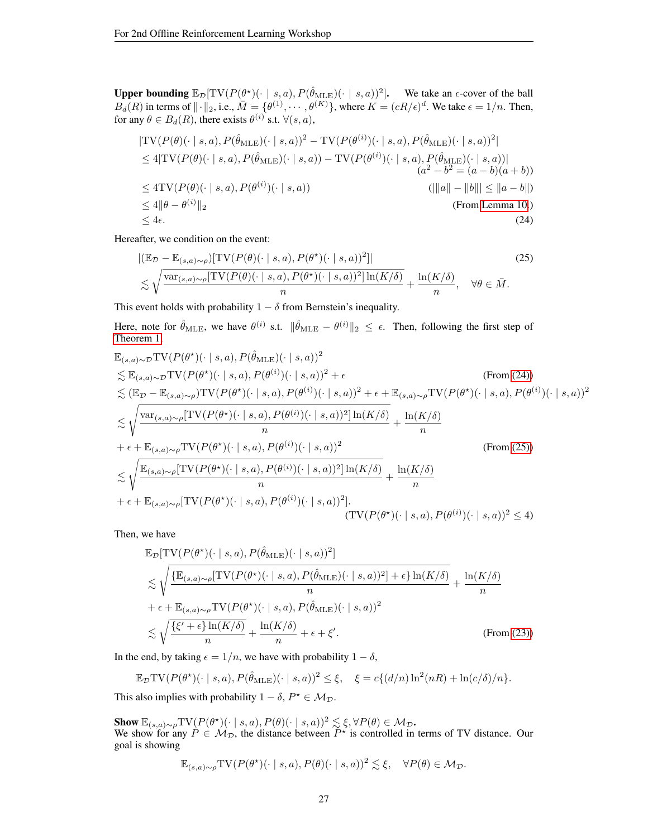Upper bounding  $\mathbb{E}_{\mathcal{D}}[\text{TV}(P(\theta^*))(\cdot \mid s, a), P(\hat{\theta}_{\text{MLE}})(\cdot \mid s, a))^2]$ . We take an  $\epsilon$ -cover of the ball  $B_d(R)$  in terms of  $\|\cdot\|_2$ , i.e.,  $\overline{M} = {\theta^{(1)}, \cdots, \theta^{(K)}}$ , where  $K = (cR/\epsilon)^d$ . We take  $\epsilon = 1/n$ . Then, for any  $\theta \in B_d(R)$ , there exists  $\theta^{(i)}$  s.t.  $\forall (s, a)$ ,

$$
|\text{TV}(P(\theta)(\cdot \mid s, a), P(\hat{\theta}_{\text{MLE}})(\cdot \mid s, a))^2 - \text{TV}(P(\theta^{(i)})(\cdot \mid s, a), P(\hat{\theta}_{\text{MLE}})(\cdot \mid s, a))^2|
$$
  
\n
$$
\leq 4|\text{TV}(P(\theta)(\cdot \mid s, a), P(\hat{\theta}_{\text{MLE}})(\cdot \mid s, a)) - \text{TV}(P(\theta^{(i)})(\cdot \mid s, a), P(\hat{\theta}_{\text{MLE}})(\cdot \mid s, a))|
$$
  
\n
$$
\leq 4\text{TV}(P(\theta)(\cdot \mid s, a), P(\theta^{(i)})(\cdot \mid s, a))
$$
  
\n
$$
\leq 4\|\theta - \theta^{(i)}\|_2
$$
  
\n
$$
\leq 4\epsilon.
$$
  
\n
$$
(24)
$$

Hereafter, we condition on the event:

<span id="page-26-1"></span><span id="page-26-0"></span>
$$
\begin{split} \left| \left( \mathbb{E}_{\mathcal{D}} - \mathbb{E}_{(s,a)\sim\rho} \right) [\text{TV}(P(\theta)(\cdot \mid s, a), P(\theta^*)(\cdot \mid s, a))^2] \right| \\ &\lesssim \sqrt{\frac{\text{var}_{(s,a)\sim\rho} [\text{TV}(P(\theta)(\cdot \mid s, a), P(\theta^*)(\cdot \mid s, a))^2] \ln(K/\delta)}{n}} + \frac{\ln(K/\delta)}{n}, \quad \forall \theta \in \bar{M}. \end{split} \tag{25}
$$

This event holds with probability  $1 - \delta$  from Bernstein's inequality.

Here, note for  $\hat{\theta}_{\text{MLE}}$ , we have  $\theta^{(i)}$  s.t.  $\|\hat{\theta}_{\text{MLE}} - \theta^{(i)}\|_2 \leq \epsilon$ . Then, following the first step of [Theorem 1,](#page-4-1)

$$
\mathbb{E}_{(s,a)\sim\mathcal{D}}\text{TV}(P(\theta^*)(\cdot | s, a), P(\hat{\theta}_{MLE})(\cdot | s, a))^{2} \leq \mathbb{E}_{(s,a)\sim\mathcal{D}}\text{TV}(P(\theta^*)(\cdot | s, a), P(\theta^{(i)})(\cdot | s, a))^{2} + \epsilon \quad (\text{From (24)})
$$
\n
$$
\leq (\mathbb{E}_{\mathcal{D}} - \mathbb{E}_{(s,a)\sim\rho})\text{TV}(P(\theta^*)(\cdot | s, a), P(\theta^{(i)})(\cdot | s, a))^{2} + \epsilon + \mathbb{E}_{(s,a)\sim\rho}\text{TV}(P(\theta^*)(\cdot | s, a), P(\theta^{(i)})(\cdot | s, a))^{2}
$$
\n
$$
\leq \sqrt{\frac{\text{var}_{(s,a)\sim\rho}[\text{TV}(P(\theta^*)(\cdot | s, a), P(\theta^{(i)})(\cdot | s, a))^{2}]\ln(K/\delta)}{n}} + \frac{\ln(K/\delta)}{n}
$$
\n
$$
+ \epsilon + \mathbb{E}_{(s,a)\sim\mathcal{D}}\text{TV}(P(\theta^*)(\cdot | s, a), P(\theta^{(i)})(\cdot | s, a))^{2} \quad (\text{From (25)})
$$
\n
$$
\leq \sqrt{\frac{\mathbb{E}_{(s,a)\sim\rho}[\text{TV}(P(\theta^*)(\cdot | s, a), P(\theta^{(i)})(\cdot | s, a))^{2}]\ln(K/\delta)}{n}} + \frac{\ln(K/\delta)}{n}
$$
\n
$$
+ \epsilon + \mathbb{E}_{(s,a)\sim\rho}[\text{TV}(P(\theta^*)(\cdot | s, a), P(\theta^{(i)})(\cdot | s, a))^{2}].
$$
\n
$$
(\text{TV}(P(\theta^*)(\cdot | s, a), P(\theta^{(i)})(\cdot | s, a))^{2} \leq 4)
$$

Then, we have

$$
\mathbb{E}_{\mathcal{D}}[\text{TV}(P(\theta^*)(\cdot | s, a), P(\hat{\theta}_{\text{MLE}})(\cdot | s, a))^2]
$$
\n
$$
\lesssim \sqrt{\frac{\{\mathbb{E}_{(s,a)\sim\rho}[\text{TV}(P(\theta^*)(\cdot | s, a), P(\hat{\theta}_{\text{MLE}})(\cdot | s, a))^2] + \epsilon\}\ln(K/\delta)}{n}} + \epsilon + \mathbb{E}_{(s,a)\sim\rho}\text{TV}(P(\theta^*)(\cdot | s, a), P(\hat{\theta}_{\text{MLE}})(\cdot | s, a))^2
$$
\n
$$
\lesssim \sqrt{\frac{\{\xi' + \epsilon\}\ln(K/\delta)}{n}} + \frac{\ln(K/\delta)}{n} + \epsilon + \xi'.
$$
\n(From (23))

In the end, by taking  $\epsilon = 1/n$ , we have with probability  $1 - \delta$ ,

$$
\mathbb{E}_{\mathcal{D}} \text{TV}(P(\theta^*)(\cdot \mid s, a), P(\hat{\theta}_{\text{MLE}})(\cdot \mid s, a))^2 \leq \xi, \quad \xi = c\{(d/n)\ln^2(nR) + \ln(c/\delta)/n\}.
$$

This also implies with probability  $1 - \delta$ ,  $P^* \in \mathcal{M}_{\mathcal{D}}$ .

**Show**  $\mathbb{E}_{(s,a)\sim\rho} \text{TV}(P(\theta^{\star})(\cdot \mid s, a), P(\theta)(\cdot \mid s, a))^2 \lesssim \xi, \forall P(\theta) \in \mathcal{M}_{\mathcal{D}}$ . We show for any  $P \in M_{\mathcal{D}}$ , the distance between  $P^*$  is controlled in terms of TV distance. Our goal is showing

$$
\mathbb{E}_{(s,a)\sim\rho} \text{TV}(P(\theta^*)(\cdot \mid s,a), P(\theta)(\cdot \mid s,a))^2 \lesssim \xi, \quad \forall P(\theta) \in \mathcal{M}_{\mathcal{D}}.
$$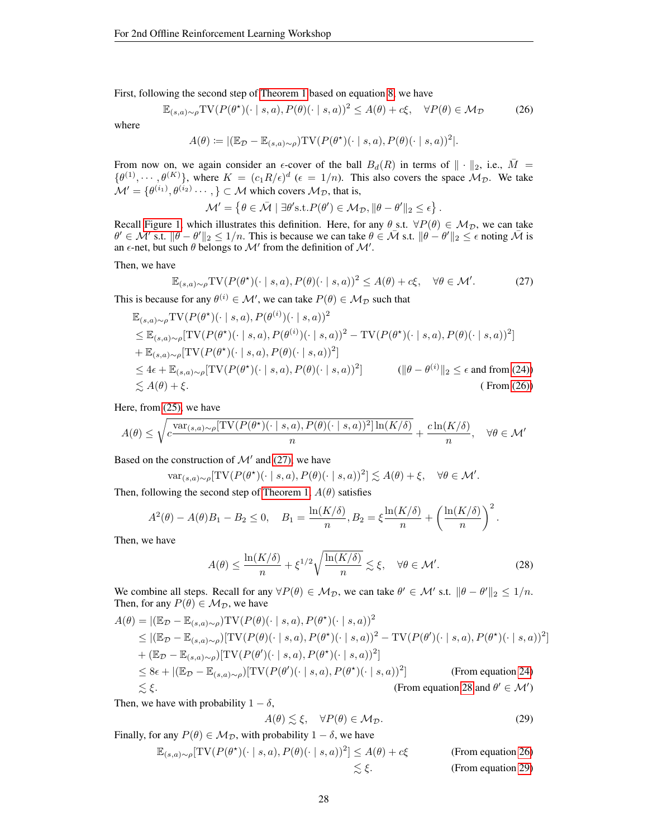First, following the second step of [Theorem 1](#page-4-1) based on equation [8,](#page-19-0) we have

$$
\mathbb{E}_{(s,a)\sim\rho} \text{TV}(P(\theta^{\star})(\cdot \mid s, a), P(\theta)(\cdot \mid s, a))^2 \le A(\theta) + c\xi, \quad \forall P(\theta) \in \mathcal{M}_{\mathcal{D}} \tag{26}
$$

where

$$
A(\theta) \coloneqq |(\mathbb{E}_{\mathcal{D}} - \mathbb{E}_{(s,a)\sim\rho}) \text{TV}(P(\theta^{\star})(\cdot \mid s, a), P(\theta)(\cdot \mid s, a))^2|.
$$

From now on, we again consider an  $\epsilon$ -cover of the ball  $B_d(R)$  in terms of  $\|\cdot\|_2$ , i.e.,  $\bar{M} =$  $\{\theta^{(1)}, \cdots, \theta^{(K)}\}$ , where  $K = (c_1 R/\epsilon)^d$  ( $\epsilon = 1/n$ ). This also covers the space  $\mathcal{M}_{\mathcal{D}}$ . We take  $\mathcal{M}' = \{\theta^{(i_1)}, \theta^{(i_2)} \cdots, \} \subset \mathcal{M}$  which covers  $\mathcal{M}_{\mathcal{D}}$ , that is,

<span id="page-27-1"></span><span id="page-27-0"></span> $\mathcal{M}' = \left\{ \theta \in \bar{\mathcal{M}} \mid \exists \theta' \text{s.t.} P(\theta') \in \mathcal{M}_{\mathcal{D}}, \|\theta - \theta'\|_2 \leq \epsilon \right\}.$ 

Recall [Figure 1,](#page-23-3) which illustrates this definition. Here, for any  $\theta$  s.t.  $\forall P(\theta) \in M_{\mathcal{D}}$ , we can take  $\theta' \in \mathcal{M}'$  s.t.  $\|\theta - \theta'\|_2 \leq 1/n$ . This is because we can take  $\theta \in \bar{\mathcal{M}}$  s.t.  $\|\theta - \theta'\|_2 \leq \epsilon$  noting  $\bar{\mathcal{M}}$  is an  $\epsilon$ -net, but such  $\theta$  belongs to  $\mathcal{M}'$  from the definition of  $\mathcal{M}'$ .

Then, we have

$$
\mathbb{E}_{(s,a)\sim\rho} \text{TV}(P(\theta^{\star})(\cdot \mid s,a), P(\theta)(\cdot \mid s,a))^2 \le A(\theta) + c\xi, \quad \forall \theta \in \mathcal{M}'.
$$
 (27)

This is because for any  $\theta^{(i)} \in \mathcal{M}'$ , we can take  $P(\theta) \in \mathcal{M}_{\mathcal{D}}$  such that

$$
\mathbb{E}_{(s,a)\sim\rho} \text{TV}(P(\theta^*)(\cdot | s, a), P(\theta^{(i)}) (\cdot | s, a))^2
$$
\n
$$
\leq \mathbb{E}_{(s,a)\sim\rho} [\text{TV}(P(\theta^*)(\cdot | s, a), P(\theta^{(i)}) (\cdot | s, a))^2 - \text{TV}(P(\theta^*)(\cdot | s, a), P(\theta)(\cdot | s, a))^2]
$$
\n
$$
+ \mathbb{E}_{(s,a)\sim\rho} [\text{TV}(P(\theta^*)(\cdot | s, a), P(\theta)(\cdot | s, a))^2]
$$
\n
$$
\leq 4\epsilon + \mathbb{E}_{(s,a)\sim\rho} [\text{TV}(P(\theta^*)(\cdot | s, a), P(\theta)(\cdot | s, a))^2]
$$
\n
$$
(\|\theta - \theta^{(i)}\|_2 \leq \epsilon \text{ and from (24)})
$$
\n
$$
\leq A(\theta) + \xi. \qquad (\text{From (26)})
$$

Here, from [\(25\),](#page-26-1) we have

$$
A(\theta) \le \sqrt{c \frac{\text{var}_{(s,a)\sim\rho}[\text{TV}(P(\theta^{\star})(\cdot \mid s,a), P(\theta)(\cdot \mid s,a))^2] \ln(K/\delta)}{n}} + \frac{c \ln(K/\delta)}{n}, \quad \forall \theta \in \mathcal{M}'
$$

Based on the construction of  $\mathcal{M}'$  and [\(27\),](#page-27-1) we have

$$
\text{var}_{(s,a)\sim\rho}[\text{TV}(P(\theta^{\star})(\cdot \mid s,a), P(\theta)(\cdot \mid s,a))^2] \lesssim A(\theta) + \xi, \quad \forall \theta \in \mathcal{M}'.
$$

Then, following the second step of [Theorem 1,](#page-4-1)  $A(\theta)$  satisfies

$$
A^{2}(\theta) - A(\theta)B_{1} - B_{2} \le 0, \quad B_{1} = \frac{\ln(K/\delta)}{n}, B_{2} = \xi \frac{\ln(K/\delta)}{n} + \left(\frac{\ln(K/\delta)}{n}\right)^{2}.
$$

Then, we have

$$
A(\theta) \le \frac{\ln(K/\delta)}{n} + \xi^{1/2} \sqrt{\frac{\ln(K/\delta)}{n}} \lesssim \xi, \quad \forall \theta \in \mathcal{M}'.
$$
 (28)

We combine all steps. Recall for any  $\forall P(\theta) \in M_{\mathcal{D}}$ , we can take  $\theta' \in M'$  s.t.  $\|\theta - \theta'\|_2 \leq 1/n$ . Then, for any  $P(\theta) \in M_{\mathcal{D}}$ , we have

$$
A(\theta) = |(\mathbb{E}_{\mathcal{D}} - \mathbb{E}_{(s,a)\sim\rho})\text{TV}(P(\theta)(\cdot \mid s, a), P(\theta^*)(\cdot \mid s, a))^2
$$
  
\n
$$
\leq |(\mathbb{E}_{\mathcal{D}} - \mathbb{E}_{(s,a)\sim\rho})[\text{TV}(P(\theta)(\cdot \mid s, a), P(\theta^*)(\cdot \mid s, a))^2 - \text{TV}(P(\theta')(\cdot \mid s, a), P(\theta^*)(\cdot \mid s, a))^2]
$$
  
\n
$$
+ (\mathbb{E}_{\mathcal{D}} - \mathbb{E}_{(s,a)\sim\rho})[\text{TV}(P(\theta')(\cdot \mid s, a), P(\theta^*)(\cdot \mid s, a))^2]
$$
  
\n
$$
\leq 8\epsilon + |(\mathbb{E}_{\mathcal{D}} - \mathbb{E}_{(s,a)\sim\rho})[\text{TV}(P(\theta')(\cdot \mid s, a), P(\theta^*)(\cdot \mid s, a))^2]
$$
 (From equation 24)  
\n
$$
\lesssim \xi.
$$
 (From equation 28 and  $\theta' \in \mathcal{M}'$ )

Then, we have with probability  $1 - \delta$ ,

<span id="page-27-3"></span><span id="page-27-2"></span>
$$
A(\theta) \lesssim \xi, \quad \forall P(\theta) \in \mathcal{M}_{\mathcal{D}}.\tag{29}
$$

Finally, for any  $P(\theta) \in M_{\mathcal{D}}$ , with probability  $1 - \delta$ , we have

$$
\mathbb{E}_{(s,a)\sim\rho}[\text{TV}(P(\theta^*)(\cdot \mid s, a), P(\theta)(\cdot \mid s, a))^2] \le A(\theta) + c\xi \qquad \text{(From equation 26)}
$$
  

$$
\lesssim \xi. \qquad \text{(From equation 29)}
$$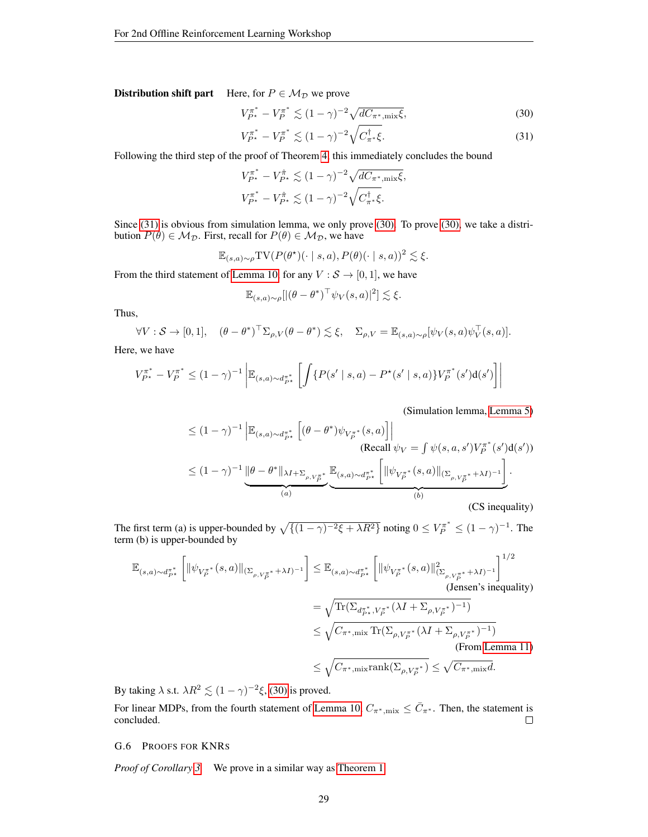**Distribution shift part** Here, for  $P \in \mathcal{M}_{\mathcal{D}}$  we prove

$$
V_{P^*}^{\pi^*} - V_P^{\pi^*} \lesssim (1 - \gamma)^{-2} \sqrt{dC_{\pi^*,\text{mix}}\xi},\tag{30}
$$

<span id="page-28-2"></span><span id="page-28-1"></span>
$$
V_{P^*}^{\pi^*} - V_P^{\pi^*} \lesssim (1 - \gamma)^{-2} \sqrt{C_{\pi^*}^{\dagger} \xi}.
$$
 (31)

Following the third step of the proof of Theorem [4,](#page-12-2) this immediately concludes the bound

$$
V_{P^{\star}}^{\pi^*} - V_{P^{\star}}^{\hat{\pi}} \lesssim (1 - \gamma)^{-2} \sqrt{d C_{\pi^*, \text{mix}} \xi},
$$
  

$$
V_{P^{\star}}^{\pi^*} - V_{P^{\star}}^{\hat{\pi}} \lesssim (1 - \gamma)^{-2} \sqrt{C_{\pi^*}^{\dagger} \xi}.
$$

Since [\(31\)](#page-28-1) is obvious from simulation lemma, we only prove [\(30\).](#page-28-2) To prove [\(30\),](#page-28-2) we take a distribution  $P(\theta) \in M_{\mathcal{D}}$ . First, recall for  $P(\theta) \in M_{\mathcal{D}}$ , we have

$$
\mathbb{E}_{(s,a)\sim\rho} \text{TV}(P(\theta^\star)(\cdot \mid s,a), P(\theta)(\cdot \mid s,a))^2 \lesssim \xi.
$$

From the third statement of [Lemma 10,](#page-35-0) for any  $V : \mathcal{S} \to [0, 1]$ , we have

$$
\mathbb{E}_{(s,a)\sim\rho}[|(\theta-\theta^*)^{\top}\psi_V(s,a)|^2] \lesssim \xi.
$$

Thus,

$$
\forall V : \mathcal{S} \to [0,1], \quad (\theta - \theta^*)^{\top} \Sigma_{\rho,V} (\theta - \theta^*) \lesssim \xi, \quad \Sigma_{\rho,V} = \mathbb{E}_{(s,a)\sim \rho} [\psi_V(s,a)\psi_V^{\top}(s,a)].
$$

Here, we have

$$
V_{P^{\star}}^{\pi^*} - V_P^{\pi^*} \le (1 - \gamma)^{-1} \left| \mathbb{E}_{(s,a) \sim d_{P^{\star}}^{\pi^*}} \left[ \int \{ P(s' \mid s, a) - P^{\star}(s' \mid s, a) \} V_P^{\pi^*}(s') d(s') \right] \right|
$$

(Simulation lemma, [Lemma 5\)](#page-34-1)

$$
\leq (1 - \gamma)^{-1} \left| \mathbb{E}_{(s,a) \sim d_{P^*}^{\pi^*}} \left[ (\theta - \theta^*) \psi_{V_P^{\pi^*}}(s, a) \right] \right|
$$
\n(Recall  $\psi_V = \int \psi(s, a, s') V_P^{\pi^*}(s') d(s')$ )\n
$$
\leq (1 - \gamma)^{-1} \underbrace{\left\| \theta - \theta^* \right\|_{\lambda I + \Sigma_{\rho, V_P^{\pi^*}}}}_{(a)} \underbrace{\mathbb{E}_{(s,a) \sim d_{P^*}^{\pi^*}} \left[ \left\| \psi_{V_P^{\pi^*}}(s, a) \right\|_{(\Sigma_{\rho, V_P^{\pi^*}} + \lambda I)^{-1}} \right]}_{(b)}.
$$
\n(CS inequality)

The first term (a) is upper-bounded by  $\sqrt{\{(1 - \gamma)^{-2}\xi + \lambda R^2\}}$  noting  $0 \le V_P^{\pi^*} \le (1 - \gamma)^{-1}$ . The term (b) is upper-bounded by

$$
\mathbb{E}_{(s,a)\sim d_{P^*}^{\pi^*}}\left[\|\psi_{V_{P}^{\pi^*}}(s,a)\|_{(\Sigma_{\rho,V_{P}^{\pi^*}}+\lambda I)^{-1}}\right] \leq \mathbb{E}_{(s,a)\sim d_{P^*}^{\pi^*}}\left[\|\psi_{V_{P}^{\pi^*}}(s,a)\|_{(\Sigma_{\rho,V_{P}^{\pi^*}}+\lambda I)^{-1}}^2\right]^{1/2}
$$
\n(Jensen's inequality)  
\n
$$
=\sqrt{\text{Tr}(\Sigma_{d_{P^*}^{\pi^*},V_{P}^{\pi^*}}(\lambda I+\Sigma_{\rho,V_{P}^{\pi^*}})^{-1})}
$$
\n
$$
\leq \sqrt{C_{\pi^*,\text{mix}}\text{Tr}(\Sigma_{\rho,V_{P}^{\pi^*}}(\lambda I+\Sigma_{\rho,V_{P}^{\pi^*}})^{-1})}
$$
\n(From Lemma 11)  
\n
$$
\leq \sqrt{C_{\pi^*,\text{mix}}\text{rank}(\Sigma_{\rho,V_{P}^{\pi^*}})} \leq \sqrt{C_{\pi^*,\text{mix}}}.
$$

By taking  $\lambda$  s.t.  $\lambda R^2 \lesssim (1 - \gamma)^{-2} \xi$ , [\(30\)](#page-28-2) is proved.

For linear MDPs, from the fourth statement of [Lemma 10,](#page-35-0)  $C_{\pi^*,mix} \leq \overline{C}_{\pi^*}$ . Then, the statement is concluded.  $\Box$ 

# <span id="page-28-0"></span>G.6 PROOFS FOR KNRS

*Proof of Corollary [3.](#page-14-3)* We prove in a similar way as [Theorem 1.](#page-4-1)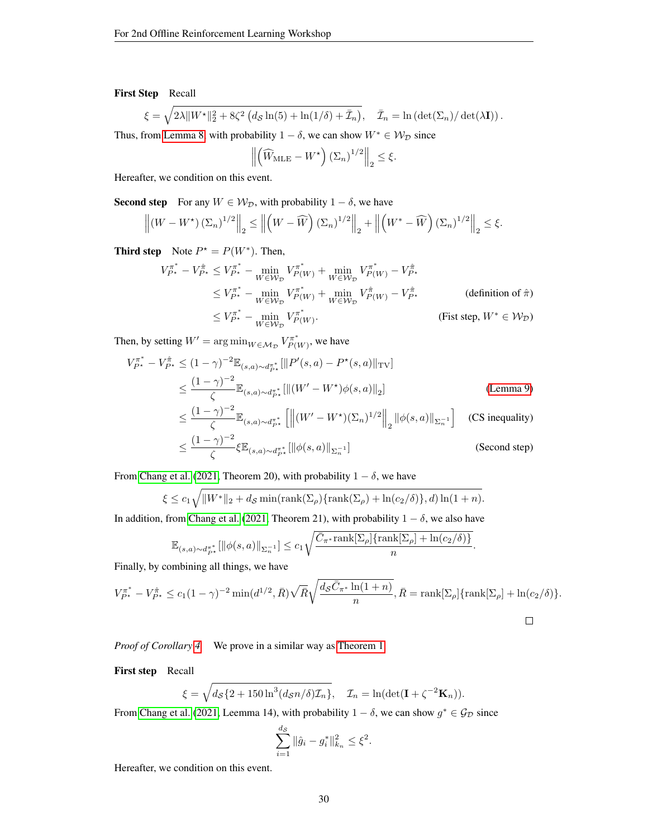# First Step Recall

$$
\xi = \sqrt{2\lambda \|W^{\star}\|_2^2 + 8\zeta^2 \left(d_{\mathcal{S}}\ln(5) + \ln(1/\delta) + \bar{\mathcal{I}}_n\right)}, \quad \bar{\mathcal{I}}_n = \ln\left(\det(\Sigma_n)/\det(\lambda \mathbf{I})\right).
$$

Thus, from [Lemma 8,](#page-35-3) with probability  $1 - \delta$ , we can show  $W^* \in \mathcal{W}_{\mathcal{D}}$  since

$$
\left\| \left( \widehat{W}_{\text{MLE}} - W^{\star} \right) (\Sigma_n)^{1/2} \right\|_2 \le \xi.
$$

Hereafter, we condition on this event.

**Second step** For any  $W \in W_{\mathcal{D}}$ , with probability  $1 - \delta$ , we have

$$
\left\| \left(W - W^{\star}\right) \left(\Sigma_n\right)^{1/2} \right\|_2 \le \left\| \left(W - \widehat{W}\right) \left(\Sigma_n\right)^{1/2} \right\|_2 + \left\| \left(W^{\star} - \widehat{W}\right) \left(\Sigma_n\right)^{1/2} \right\|_2 \le \xi.
$$

**Third step** Note  $P^* = P(W^*)$ . Then,

$$
V_{P^*}^{\pi^*} - V_{P^*}^{\hat{\pi}} \le V_{P^*}^{\pi^*} - \min_{W \in \mathcal{W}_{\mathcal{D}}} V_{P(W)}^{\pi^*} + \min_{W \in \mathcal{W}_{\mathcal{D}}} V_{P(W)}^{\pi^*} - V_{P^*}^{\hat{\pi}}
$$
  
\n
$$
\le V_{P^*}^{\pi^*} - \min_{W \in \mathcal{W}_{\mathcal{D}}} V_{P(W)}^{\pi^*} + \min_{W \in \mathcal{W}_{\mathcal{D}}} V_{P(W)}^{\hat{\pi}} - V_{P^*}^{\hat{\pi}}
$$
 (definition of  $\hat{\pi}$ )  
\n
$$
\le V_{P^*}^{\pi^*} - \min_{W \in \mathcal{W}_{\mathcal{D}}} V_{P(W)}^{\pi^*}.
$$
 (Fist step,  $W^* \in \mathcal{W}_{\mathcal{D}}$ )

Then, by setting  $W' = \arg \min_{W \in \mathcal{M_D}} V_{P(1)}^{\pi^*}$  $\chi_{P(W)}^{\pi^*}$ , we have

$$
V_{P*}^{\pi^*} - V_{P*}^{\hat{\pi}} \le (1 - \gamma)^{-2} \mathbb{E}_{(s,a) \sim d_{P*}^{\pi^*}} [\|P'(s,a) - P^*(s,a)\|_{\text{TV}}]
$$
  
\n
$$
\le \frac{(1 - \gamma)^{-2}}{\zeta} \mathbb{E}_{(s,a) \sim d_{P*}^{\pi^*}} [\|(W' - W^*)\phi(s,a)\|_2]
$$
  
\n
$$
\le \frac{(1 - \gamma)^{-2}}{\zeta} \mathbb{E}_{(s,a) \sim d_{P*}^{\pi^*}} [\|(W' - W^*)(\Sigma_n)^{1/2}\|_2 \|\phi(s,a)\|_{\Sigma_n^{-1}}] \quad \text{(CS inequality)}
$$
  
\n
$$
\le \frac{(1 - \gamma)^{-2}}{\zeta} \xi \mathbb{E}_{(s,a) \sim d_{P*}^{\pi^*}} [\|\phi(s,a)\|_{\Sigma_n^{-1}}] \quad \text{(Second step)}
$$

From [Chang et al.](#page-8-3) [\(2021,](#page-8-3) Theorem 20), with probability  $1 - \delta$ , we have

$$
\xi \le c_1 \sqrt{||W^*||_2 + d_{\mathcal{S}} \min(\text{rank}(\Sigma_\rho) \{\text{rank}(\Sigma_\rho) + \ln(c_2/\delta)\}, d) \ln(1+n)}.
$$

In addition, from [Chang et al.](#page-8-3) [\(2021,](#page-8-3) Theorem 21), with probability  $1 - \delta$ , we also have

$$
\mathbb{E}_{(s,a)\sim d_{P^*}^{\pi^*}}[\|\phi(s,a)\|_{\Sigma_n^{-1}}] \leq c_1 \sqrt{\frac{\bar{C}_{\pi^*} \text{rank}[\Sigma_\rho]\{\text{rank}[\Sigma_\rho]+\ln(c_2/\delta)\}}{n}}.
$$

Finally, by combining all things, we have

$$
V_{P^*}^{\pi^*} - V_{P^*}^{\hat{\pi}} \le c_1 (1 - \gamma)^{-2} \min(d^{1/2}, \bar{R}) \sqrt{\bar{R}} \sqrt{\frac{d_{\mathcal{S}} \bar{C}_{\pi^*} \ln(1 + n)}{n}}, \bar{R} = \text{rank}[\Sigma_{\rho}] {\text{rank}[\Sigma_{\rho}] + \ln(c_2/\delta)}.
$$

*Proof of Corollary [4.](#page-15-1)* We prove in a similar way as [Theorem 1.](#page-4-1)

First step Recall

$$
\xi = \sqrt{d_{\mathcal{S}}\{2 + 150\ln^3(d_{\mathcal{S}}n/\delta)\mathcal{I}_n\}}, \quad \mathcal{I}_n = \ln(\det(\mathbf{I} + \zeta^{-2}\mathbf{K}_n)).
$$

From [Chang et al.](#page-8-3) [\(2021,](#page-8-3) Leemma 14), with probability  $1 - \delta$ , we can show  $g^* \in \mathcal{G}_{\mathcal{D}}$  since

$$
\sum_{i=1}^{d_{\mathcal{S}}} \|\hat{g}_i - g_i^*\|_{k_n}^2 \leq \xi^2.
$$

Hereafter, we condition on this event.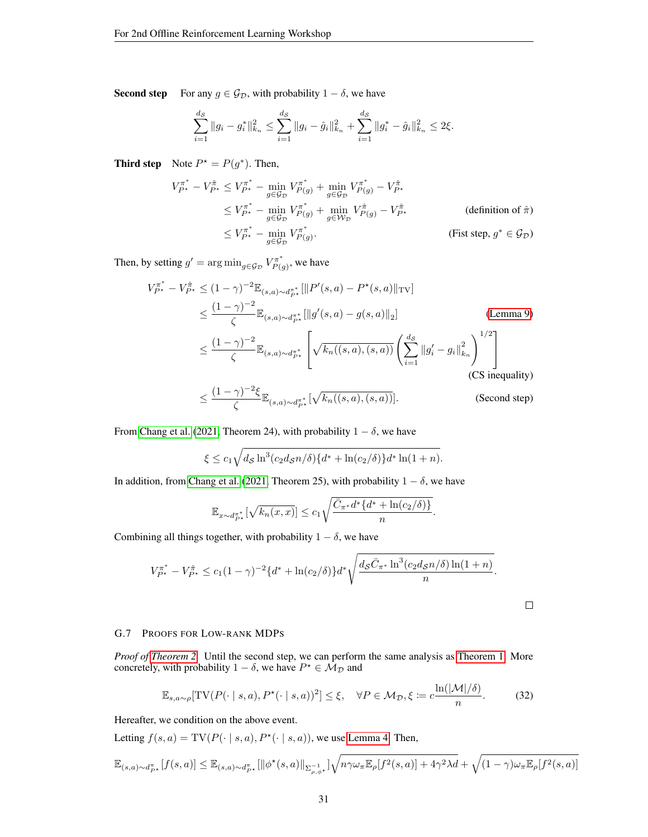**Second step** For any  $g \in \mathcal{G}_{\mathcal{D}}$ , with probability  $1 - \delta$ , we have

$$
\sum_{i=1}^{d_{\mathcal{S}}} \|g_i - g_i^*\|_{k_n}^2 \le \sum_{i=1}^{d_{\mathcal{S}}} \|g_i - \hat{g}_i\|_{k_n}^2 + \sum_{i=1}^{d_{\mathcal{S}}} \|g_i^* - \hat{g}_i\|_{k_n}^2 \le 2\xi.
$$

**Third step** Note  $P^* = P(g^*)$ . Then,

$$
V_{P^*}^{\pi^*} - V_{P^*}^{\hat{\pi}} \le V_{P^*}^{\pi^*} - \min_{g \in \mathcal{G}_D} V_{P(g)}^{\pi^*} + \min_{g \in \mathcal{G}_D} V_{P(g)}^{\pi^*} - V_{P^*}^{\hat{\pi}}
$$
  
\n
$$
\le V_{P^*}^{\pi^*} - \min_{g \in \mathcal{G}_D} V_{P(g)}^{\pi^*} + \min_{g \in \mathcal{W}_D} V_{P(g)}^{\hat{\pi}} - V_{P^*}^{\hat{\pi}}
$$
 (definition of  $\hat{\pi}$ )  
\n
$$
\le V_{P^*}^{\pi^*} - \min_{g \in \mathcal{G}_D} V_{P(g)}^{\pi^*}.
$$
 (Fist step,  $g^* \in \mathcal{G}_D$ )

Then, by setting  $g' = \arg \min_{g \in \mathcal{G}_{\mathcal{D}}} V_{P(g)}^{\pi^*}$  $\chi_{P(g)}^{\pi^*}$ , we have

$$
V_{P^*}^{\pi^*} - V_{P^*}^{\hat{\pi}} \le (1 - \gamma)^{-2} \mathbb{E}_{(s,a) \sim d_{P^*}^{\pi^*}} [\|P'(s,a) - P^*(s,a)\|_{\text{TV}}]
$$
  
\n
$$
\le \frac{(1 - \gamma)^{-2}}{\zeta} \mathbb{E}_{(s,a) \sim d_{P^*}^{\pi^*}} [\|g'(s,a) - g(s,a)\|_2]
$$
 (Lemma 9)  
\n
$$
\le \frac{(1 - \gamma)^{-2}}{\zeta} \mathbb{E}_{(s,a) \sim d_{P^*}^{\pi^*}} \left[ \sqrt{k_n((s,a),(s,a))} \left( \sum_{i=1}^{d_s} \|g'_i - g_i\|_{k_n}^2 \right)^{1/2} \right]
$$
  
\n(CS inequality)  
\n
$$
\le \frac{(1 - \gamma)^{-2} \xi}{\zeta} \mathbb{E}_{(s,a) \sim d_{P^*}^{\pi^*}} [\sqrt{k_n((s,a),(s,a))}].
$$

From [Chang et al.](#page-8-3) [\(2021,](#page-8-3) Theorem 24), with probability  $1 - \delta$ , we have

$$
\xi \le c_1 \sqrt{d_{\mathcal{S}} \ln^3(c_2 d_{\mathcal{S}} n/\delta) \{d^* + \ln(c_2/\delta)\} d^* \ln(1+n)}.
$$

In addition, from [Chang et al.](#page-8-3) [\(2021,](#page-8-3) Theorem 25), with probability  $1 - \delta$ , we have

$$
\mathbb{E}_{x \sim d_{P^*}^{\pi^*}}[\sqrt{k_n(x,x)}] \le c_1 \sqrt{\frac{\bar{C}_{\pi^*} d^* \{d^* + \ln(c_2/\delta)\}}{n}}.
$$

Combining all things together, with probability  $1 - \delta$ , we have

$$
V_{P^*}^{\pi^*} - V_{P^*}^{\hat{\pi}} \le c_1 (1 - \gamma)^{-2} \{d^* + \ln(c_2/\delta)\} d^* \sqrt{\frac{d_S \bar{C}_{\pi^*} \ln^3(c_2 d_S n/\delta) \ln(1 + n)}{n}}.
$$

<span id="page-30-0"></span> $\Box$ 

#### G.7 PROOFS FOR LOW-RANK MDPS

*Proof of [Theorem 2.](#page-7-0)* Until the second step, we can perform the same analysis as [Theorem 1.](#page-4-1) More concretely, with probability  $1 - \delta$ , we have  $P^* \in \mathcal{M}_{\mathcal{D}}$  and

$$
\mathbb{E}_{s,a\sim\rho}[\text{TV}(P(\cdot \mid s,a), P^{\star}(\cdot \mid s,a))^2] \le \xi, \quad \forall P \in \mathcal{M}_{\mathcal{D}}, \xi := c\frac{\ln(|\mathcal{M}|/\delta)}{n}.
$$
 (32)

Hereafter, we condition on the above event.

Letting  $f(s, a) = TV(P(\cdot | s, a), P^*(\cdot | s, a))$ , we use [Lemma 4.](#page-31-0) Then,

$$
\mathbb{E}_{(s,a)\sim d_{P^{\star}}^{\pi}}[f(s,a)] \leq \mathbb{E}_{(s,a)\sim d_{P^{\star}}^{\pi}}[\|\phi^{\star}(s,a)\|_{\Sigma_{\rho,\phi^{\star}}^{-1}}]\sqrt{n\gamma\omega_{\pi}\mathbb{E}_{\rho}[f^{2}(s,a)]+4\gamma^{2}\lambda d}+\sqrt{(1-\gamma)\omega_{\pi}\mathbb{E}_{\rho}[f^{2}(s,a)]}
$$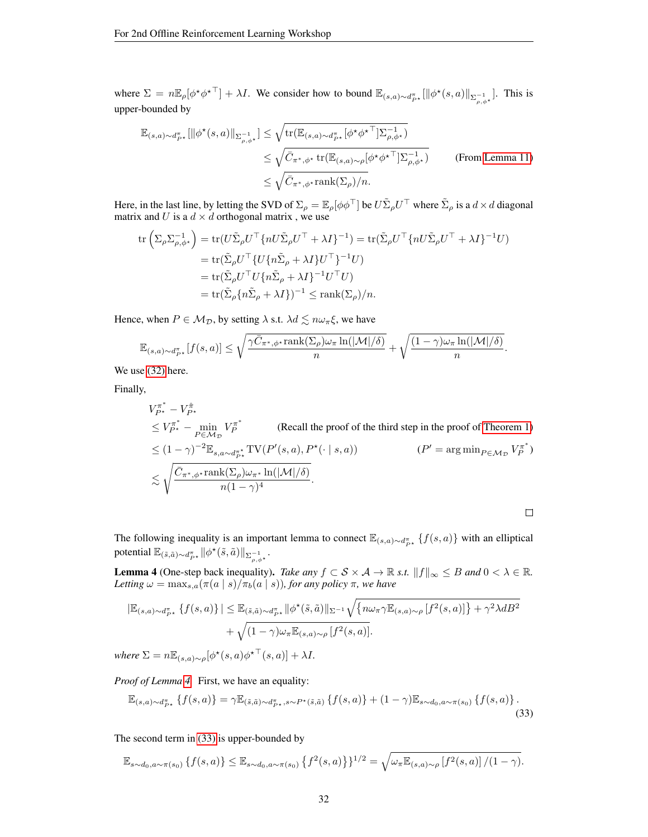where  $\Sigma = n \mathbb{E}_{\rho} [\phi^{\star} \phi^{\star \top}] + \lambda I$ . We consider how to bound  $\mathbb{E}_{(s,a) \sim d_{P^{\star}}^{\pi}} [\|\phi^{\star}(s,a)\|_{\Sigma_{\rho,\phi^{\star}}^{-1}}]$ . This is upper-bounded by

$$
\mathbb{E}_{(s,a)\sim d_{P^*}^{\pi}}[\|\phi^*(s,a)\|_{\Sigma_{\rho,\phi^*}^{-1}}] \leq \sqrt{\text{tr}(\mathbb{E}_{(s,a)\sim d_{P^*}^{\pi}}[\phi^*\phi^*\top]\Sigma_{\rho,\phi^*}^{-1})}
$$
\n
$$
\leq \sqrt{\bar{C}_{\pi^*,\phi^*}\text{tr}(\mathbb{E}_{(s,a)\sim\rho}[\phi^*\phi^*\top]\Sigma_{\rho,\phi^*}^{-1})}
$$
\n(From Lemma 11)\n
$$
\leq \sqrt{\bar{C}_{\pi^*,\phi^*}\text{rank}(\Sigma_{\rho})/n}.
$$

Here, in the last line, by letting the SVD of  $\Sigma_\rho = \mathbb{E}_\rho[\phi\phi^\top]$  be  $U\tilde{\Sigma}_\rho U^\top$  where  $\tilde{\Sigma}_\rho$  is a  $d \times d$  diagonal matrix and U is a  $d \times d$  orthogonal matrix, we use

$$
\begin{split} \text{tr}\left(\Sigma_{\rho}\Sigma_{\rho,\phi^{\star}}^{-1}\right) &= \text{tr}(U\tilde{\Sigma}_{\rho}U^{\top}\{nU\tilde{\Sigma}_{\rho}U^{\top} + \lambda I\}^{-1}) = \text{tr}(\tilde{\Sigma}_{\rho}U^{\top}\{nU\tilde{\Sigma}_{\rho}U^{\top} + \lambda I\}^{-1}U) \\ &= \text{tr}(\tilde{\Sigma}_{\rho}U^{\top}\{U\{n\tilde{\Sigma}_{\rho} + \lambda I\}U^{\top}\}^{-1}U) \\ &= \text{tr}(\tilde{\Sigma}_{\rho}U^{\top}U\{n\tilde{\Sigma}_{\rho} + \lambda I\}^{-1}U^{\top}U) \\ &= \text{tr}(\tilde{\Sigma}_{\rho}\{n\tilde{\Sigma}_{\rho} + \lambda I\})^{-1} \leq \text{rank}(\Sigma_{\rho})/n. \end{split}
$$

Hence, when  $P \in M_{\mathcal{D}}$ , by setting  $\lambda$  s.t.  $\lambda d \lesssim n \omega_{\pi} \xi$ , we have

$$
\mathbb{E}_{(s,a)\sim d_{P^\star}^\pi}[f(s,a)] \leq \sqrt{\frac{\gamma \bar{C}_{\pi^\ast,\phi^\star}\text{rank}(\Sigma_\rho)\omega_\pi\ln(|\mathcal{M}|/\delta)}{n}} + \sqrt{\frac{(1-\gamma)\omega_\pi\ln(|\mathcal{M}|/\delta)}{n}}.
$$

We use [\(32\)](#page-30-0) here.

Finally,

$$
V_{P^*}^{\pi^*} - V_{P^*}^{\hat{\pi}} \leq V_{P^*}^{\pi^*} - \min_{P \in \mathcal{M}_D} V_P^{\pi^*}
$$
 (Recall the proof of the third step in the proof of Theorem 1)  
\n
$$
\leq (1 - \gamma)^{-2} \mathbb{E}_{s, a \sim d_{P^*}^{\pi^*}} TV(P'(s, a), P^*(\cdot | s, a))
$$
  $(P' = \arg \min_{P \in \mathcal{M}_D} V_P^{\pi^*})$   
\n
$$
\lesssim \sqrt{\frac{\bar{C}_{\pi^*, \phi^*} \text{rank}(\Sigma_\rho) \omega_{\pi^*} \ln(|\mathcal{M}|/\delta)}{n(1 - \gamma)^4}}.
$$

The following inequality is an important lemma to connect  $\mathbb{E}_{(s,a)\sim d_{P^*}^{\pi}}\{f(s,a)\}\$  with an elliptical potential  $\mathbb{E}_{(\tilde{s}, \tilde{a}) \sim d_{P^{\star}}^{\pi}} ||\phi^{\star}(\tilde{s}, \tilde{a})||_{\Sigma_{\rho, \phi^{\star}}^{-1}}.$ 

<span id="page-31-0"></span>**Lemma 4** (One-step back inequality). *Take any*  $f \subset S \times A \rightarrow \mathbb{R}$  *s.t.*  $||f||_{\infty} \leq B$  *and*  $0 < \lambda \in \mathbb{R}$ *. Letting*  $\omega = \max_{s,a} (\pi(a \mid s) / \pi_b(a \mid s))$ *, for any policy*  $\pi$ *, we have* 

$$
|\mathbb{E}_{(s,a)\sim d_{P^*}^{\pi}}\left\{f(s,a)\right\}| \leq \mathbb{E}_{(\tilde{s},\tilde{a})\sim d_{P^*}^{\pi}}\|\phi^{\star}(\tilde{s},\tilde{a})\|_{\Sigma^{-1}}\sqrt{\{n\omega_{\pi}\gamma\mathbb{E}_{(s,a)\sim\rho}\left[f^2(s,a)\right]\}+\gamma^2\lambda dB^2}
$$

$$
+\sqrt{(1-\gamma)\omega_{\pi}\mathbb{E}_{(s,a)\sim\rho}\left[f^2(s,a)\right]}.
$$

 $where \ \Sigma = n \mathbb{E}_{(s,a)\sim \rho}[\phi^\star(s,a) {\phi^\star}^\top(s,a)] + \lambda I.$ 

*Proof of Lemma [4.](#page-31-0)* First, we have an equality:

<span id="page-31-1"></span>
$$
\mathbb{E}_{(s,a)\sim d_{P^{\star}}^{\pi}}\left\{f(s,a)\right\} = \gamma \mathbb{E}_{(\tilde{s},\tilde{a})\sim d_{P^{\star}}^{\pi},s\sim P^{\star}(\tilde{s},\tilde{a})}\left\{f(s,a)\right\} + (1-\gamma)\mathbb{E}_{s\sim d_0,a\sim\pi(s_0)}\left\{f(s,a)\right\}.
$$
\n(33)

The second term in [\(33\)](#page-31-1) is upper-bounded by

$$
\mathbb{E}_{s \sim d_0, a \sim \pi(s_0)} \left\{ f(s, a) \right\} \leq \mathbb{E}_{s \sim d_0, a \sim \pi(s_0)} \left\{ f^2(s, a) \right\}^{1/2} = \sqrt{\omega_{\pi} \mathbb{E}_{(s, a) \sim \rho} \left[ f^2(s, a) \right] / (1 - \gamma)}.
$$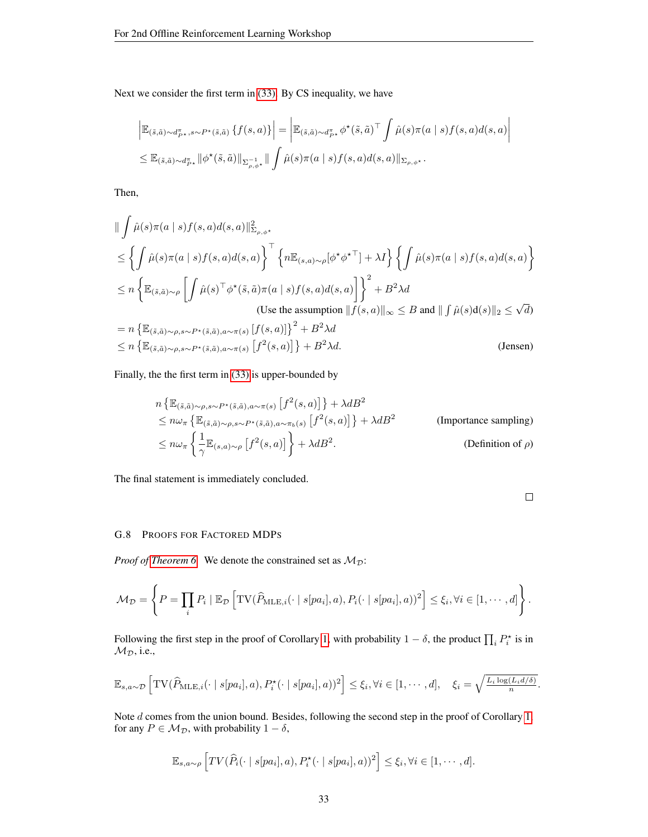Next we consider the first term in [\(33\).](#page-31-1) By CS inequality, we have

$$
\begin{split} & \left| \mathbb{E}_{(\tilde{s},\tilde{a}) \sim d_{P^{\star}}^{\pi}, s \sim P^{\star}(\tilde{s},\tilde{a})} \left\{ f(s,a) \right\} \right| = \left| \mathbb{E}_{(\tilde{s},\tilde{a}) \sim d_{P^{\star}}^{\pi}} \phi^{\star}(\tilde{s},\tilde{a})^{\top} \int \hat{\mu}(s) \pi(a \mid s) f(s,a) d(s,a) \right| \\ &\leq \mathbb{E}_{(\tilde{s},\tilde{a}) \sim d_{P^{\star}}^{\pi}} ||\phi^{\star}(\tilde{s},\tilde{a})||_{\Sigma_{\rho,\phi^{\star}}} || \int \hat{\mu}(s) \pi(a \mid s) f(s,a) d(s,a) ||_{\Sigma_{\rho,\phi^{\star}}} . \end{split}
$$

Then,

$$
\|\int \hat{\mu}(s)\pi(a \mid s)f(s, a)d(s, a)\|_{\Sigma_{\rho, \phi^*}}^2
$$
\n
$$
\leq \left\{\int \hat{\mu}(s)\pi(a \mid s)f(s, a)d(s, a)\right\}^\top \left\{n\mathbb{E}_{(s, a)\sim\rho}[\phi^\star\phi^{\star\top}] + \lambda I\right\} \left\{\int \hat{\mu}(s)\pi(a \mid s)f(s, a)d(s, a)\right\}
$$
\n
$$
\leq n \left\{\mathbb{E}_{(\tilde{s}, \tilde{a})\sim\rho} \left[\int \hat{\mu}(s)^\top\phi^\star(\tilde{s}, \tilde{a})\pi(a \mid s)f(s, a)d(s, a)\right]\right\}^2 + B^2 \lambda d
$$
\n(Use the assumption  $||f(s, a)||_{\infty} \leq B$  and  $||\int \hat{\mu}(s)d(s)||_2 \leq \sqrt{d}$ )\n
$$
= n \left\{\mathbb{E}_{(\tilde{s}, \tilde{a})\sim\rho, s\sim P^\star(\tilde{s}, \tilde{a}), a\sim\pi(s)} [f(s, a)]\right\}^2 + B^2 \lambda d
$$
\n
$$
\leq n \left\{\mathbb{E}_{(\tilde{s}, \tilde{a})\sim\rho, s\sim P^\star(\tilde{s}, \tilde{a}), a\sim\pi(s)} [f^2(s, a)]\right\} + B^2 \lambda d.
$$
\n(Jensen)

Finally, the the first term in [\(33\)](#page-31-1) is upper-bounded by

$$
n \left\{ \mathbb{E}_{(\tilde{s},\tilde{a})\sim\rho,s\sim P^{\star}(\tilde{s},\tilde{a}),a\sim\pi(s)} \left[ f^{2}(s,a) \right] \right\} + \lambda dB^{2}
$$
  
\n
$$
\leq n\omega_{\pi} \left\{ \mathbb{E}_{(\tilde{s},\tilde{a})\sim\rho,s\sim P^{\star}(\tilde{s},\tilde{a}),a\sim\pi_{b}(s)} \left[ f^{2}(s,a) \right] \right\} + \lambda dB^{2}
$$
 (Importance sampling)  
\n
$$
\leq n\omega_{\pi} \left\{ \frac{1}{\gamma} \mathbb{E}_{(s,a)\sim\rho} \left[ f^{2}(s,a) \right] \right\} + \lambda dB^{2}.
$$
 (Definition of  $\rho$ )

The final statement is immediately concluded.

| ____ |  |
|------|--|

#### <span id="page-32-0"></span>G.8 PROOFS FOR FACTORED MDPS

*Proof of [Theorem 6.](#page-17-0)* We denote the constrained set as  $M_{\mathcal{D}}$ :

$$
\mathcal{M}_{\mathcal{D}} = \left\{ P = \prod_i P_i \mid \mathbb{E}_{\mathcal{D}} \left[ \text{TV}(\widehat{P}_{\text{MLE},i}(\cdot \mid s[pa_i], a), P_i(\cdot \mid s[pa_i], a))^2 \right] \leq \xi_i, \forall i \in [1, \cdots, d] \right\}.
$$

Following the first step in the proof of Corollary [1,](#page-5-1) with probability  $1 - \delta$ , the product  $\prod_i P_i^*$  is in  $M_{\mathcal{D}}$ , i.e.,

$$
\mathbb{E}_{s,a\sim\mathcal{D}}\left[\text{TV}(\widehat{P}_{\text{MLE},i}(\cdot \mid s[pa_i], a), P_i^{\star}(\cdot \mid s[pa_i], a))^2\right] \leq \xi_i, \forall i \in [1,\cdots,d], \quad \xi_i = \sqrt{\frac{L_i \log(L_i d/\delta)}{n}}.
$$

Note d comes from the union bound. Besides, following the second step in the proof of Corollary [1,](#page-5-1) for any  $P \in \mathcal{M}_{\mathcal{D}}$ , with probability  $1 - \delta$ ,

$$
\mathbb{E}_{s,a\sim\rho}\left[TV(\widehat{P}_i(\cdot\mid s[pa_i],a),P_i^{\star}(\cdot\mid s[pa_i],a))^2\right] \leq \xi_i, \forall i \in [1,\cdots,d].
$$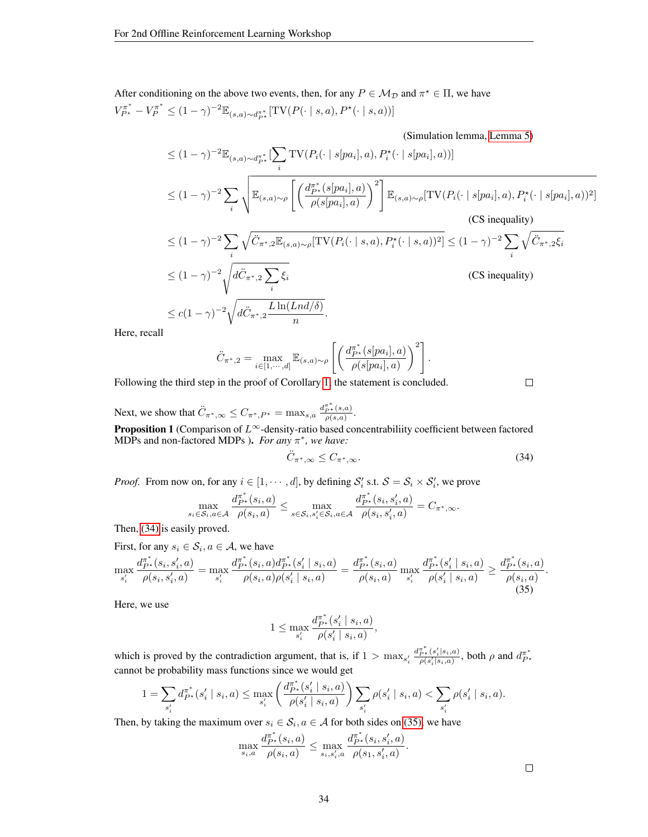After conditioning on the above two events, then, for any  $P \in \mathcal{M}_{\mathcal{D}}$  and  $\pi^* \in \Pi$ , we have  $V_{P^{\star}}^{\pi^{\ast}} - V_P^{\pi^{\ast}} \leq (1 - \gamma)^{-2} \mathbb{E}_{(s,a) \sim d_{P^{\star}}^{\pi^{\ast}}} [\text{TV}(P(\cdot \mid s,a), P^{\star}(\cdot \mid s,a))]$ 

(Simulation lemma, [Lemma 5\)](#page-34-1)

$$
\leq (1-\gamma)^{-2} \mathbb{E}_{(s,a)\sim d_{P^*}^{\pi^*}}[\sum_{i} \text{TV}(P_i(\cdot \mid s[pa_i], a), P_i^{\star}(\cdot \mid s[pa_i], a))]
$$
\n
$$
\leq (1-\gamma)^{-2} \sum_{i} \sqrt{\mathbb{E}_{(s,a)\sim\rho} \left[ \left( \frac{d_{P^*}^{\pi^*}(s[pa_i], a)}{\rho(s[pa_i], a)} \right)^2 \right]} \mathbb{E}_{(s,a)\sim\rho}[\text{TV}(P_i(\cdot \mid s[pa_i], a), P_i^{\star}(\cdot \mid s[pa_i], a))^2]
$$
\n(CS inequality)\n
$$
\leq (1-\gamma)^{-2} \sum_{i} \sqrt{\ddot{C}_{\pi^*, 2} \mathbb{E}_{(s,a)\sim\rho}[\text{TV}(P_i(\cdot \mid s, a), P_i^{\star}(\cdot \mid s, a))^2]} \leq (1-\gamma)^{-2} \sum_{i} \sqrt{\ddot{C}_{\pi^*, 2} \dot{\xi}_i}
$$
\n
$$
\leq (1-\gamma)^{-2} \sqrt{d\ddot{C}_{\pi^*, 2} \sum_{i} \dot{\xi}_i} \qquad \qquad \text{(CS inequality)}
$$

$$
\sqrt{\frac{i}{d\ddot{C}_{\pi^*,2} \frac{L\ln(Lnd/\delta)}{n}}}.
$$

Here, recall

$$
\ddot{C}_{\pi^*,2} = \max_{i \in [1,\cdots,d]} \mathbb{E}_{(s,a)\sim\rho} \left[ \left( \frac{d_{P^*}^*(s[p a_i], a)}{\rho(s[p a_i], a)} \right)^2 \right].
$$

Following the third step in the proof of Corollary [1,](#page-5-1) the statement is concluded.

Next, we show that  $\ddot{C}_{\pi^*,\infty} \leq C_{\pi^*,P^*} = \max_{s,a} \frac{d_{P^*,s}(s,a)}{\rho(s,a)}$ .

**Proposition 1** (Comparison of  $L^\infty$ -density-ratio based concentrabiliity coefficient between factored MDPs and non-factored MDPs ). *For any* π ∗ *, we have:*

$$
\ddot{C}_{\pi^*,\infty} \le C_{\pi^*,\infty}.\tag{34}
$$

*Proof.* From now on, for any  $i \in [1, \dots, d]$ , by defining  $S_i'$  s.t.  $S = S_i \times S_i'$ , we prove

$$
\max_{s_i \in \mathcal{S}_i, a \in \mathcal{A}} \frac{d_{P^*}^{\pi^*}(s_i, a)}{\rho(s_i, a)} \le \max_{s \in \mathcal{S}_i, s'_i \in \mathcal{S}_i, a \in \mathcal{A}} \frac{d_{P^*}^{\pi^*}(s_i, s'_i, a)}{\rho(s_i, s'_i, a)} = C_{\pi^*, \infty}.
$$

Then, [\(34\)](#page-33-0) is easily proved.

First, for any  $s_i \in \mathcal{S}_i, a \in \mathcal{A}$ , we have

$$
\max_{s'_i} \frac{d_{P^*}^{\pi^*}(s_i, s'_i, a)}{\rho(s_i, s'_i, a)} = \max_{s'_i} \frac{d_{P^*}^{\pi^*}(s_i, a) d_{P^*}^{\pi^*}(s'_i \mid s_i, a)}{\rho(s_i, a)\rho(s'_i \mid s_i, a)} = \frac{d_{P^*}^{\pi^*}(s_i, a)}{\rho(s_i, a)} \max_{s'_i} \frac{d_{P^*}^{\pi^*}(s'_i \mid s_i, a)}{\rho(s'_i \mid s_i, a)} \ge \frac{d_{P^*}^{\pi^*}(s_i, a)}{\rho(s_i, a)}.
$$
\n(35)

Here, we use

$$
1\leq \max_{s'_i}\frac{d_{P^\star}^{\pi^\ast}(s'_i\mid s_i, a)}{\rho(s'_i\mid s_i, a)},
$$

which is proved by the contradiction argument, that is, if  $1 > \max_{s_i}$  $d_{P^{\star}}^{\pi^{\ast}}(s'_{i}|s_{i},a)$  $\frac{p_{\tau}(s_i'|s_i,a)}{p(s_i'|s_i,a)}$ , both  $\rho$  and  $d_{P^*}^{\pi^*}$ cannot be probability mass functions since we would get

$$
1 = \sum_{s'_i} d_{P^*}^{\pi^*}(s'_i \mid s_i, a) \le \max_{s'_i} \left( \frac{d_{P^*}^*(s'_i \mid s_i, a)}{\rho(s'_i \mid s_i, a)} \right) \sum_{s'_i} \rho(s'_i \mid s_i, a) < \sum_{s'_i} \rho(s'_i \mid s_i, a).
$$

Then, by taking the maximum over  $s_i \in S_i$ ,  $a \in A$  for both sides on [\(35\),](#page-33-1) we have

$$
\max_{s_i,a}\frac{d_{P^{\star}}^{\pi^{\ast}}(s_i,a)}{\rho(s_i,a)}\leq \max_{s_i,s'_i,a}\frac{d_{P^{\star}}^{\pi^{\ast}}(s_i,s'_i,a)}{\rho(s_1,s'_i,a)}.
$$

<span id="page-33-1"></span> $\Box$ 

<span id="page-33-0"></span> $\Box$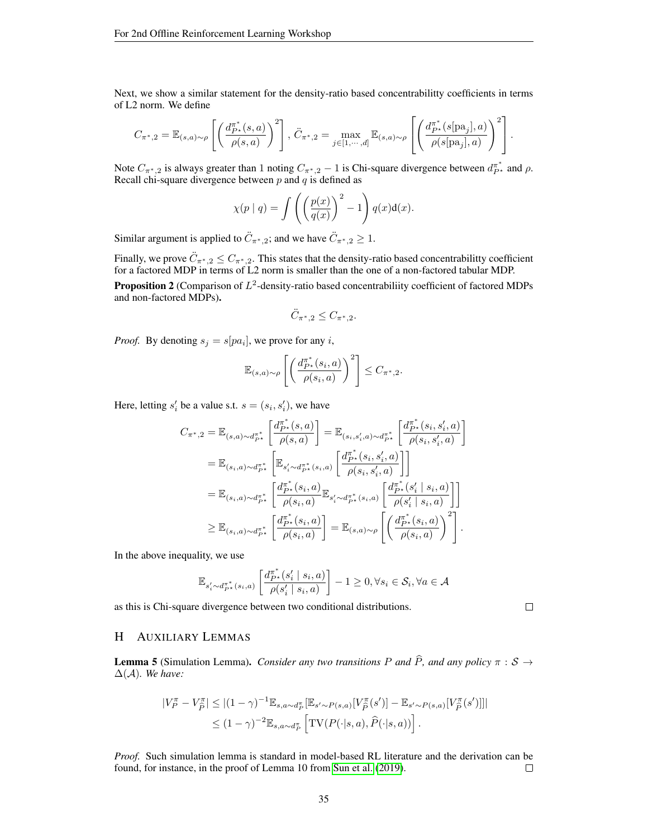Next, we show a similar statement for the density-ratio based concentrabilitty coefficients in terms of L2 norm. We define

$$
C_{\pi^*,2} = \mathbb{E}_{(s,a)\sim\rho}\left[\left(\frac{d_{P^*}^{\pi^*}(s,a)}{\rho(s,a)}\right)^2\right], \ \ddot{C}_{\pi^*,2} = \max_{j\in[1,\cdots,d]}\mathbb{E}_{(s,a)\sim\rho}\left[\left(\frac{d_{P^*}^{\pi^*}(s[\text{pa}_j],a)}{\rho(s[\text{pa}_j],a)}\right)^2\right].
$$

Note  $C_{\pi^*,2}$  is always greater than 1 noting  $C_{\pi^*,2} - 1$  is Chi-square divergence between  $d_{P^*}^{\pi^*}$  and  $\rho$ . Recall chi-square divergence between  $p$  and  $q$  is defined as

$$
\chi(p \mid q) = \int \left( \left( \frac{p(x)}{q(x)} \right)^2 - 1 \right) q(x) \mathrm{d}(x).
$$

Similar argument is applied to  $\ddot{C}_{\pi^*,2}$ ; and we have  $\ddot{C}_{\pi^*,2} \geq 1$ .

Finally, we prove  $\ddot{C}_{\pi^*,2} \leq C_{\pi^*,2}$ . This states that the density-ratio based concentrabilitty coefficient for a factored MDP in terms of L2 norm is smaller than the one of a non-factored tabular MDP.

**Proposition 2** (Comparison of  $L^2$ -density-ratio based concentrabiliity coefficient of factored MDPs and non-factored MDPs).

$$
\ddot{C}_{\pi^*,2} \leq C_{\pi^*,2}.
$$

*Proof.* By denoting  $s_j = s[pa_i]$ , we prove for any *i*,

$$
\mathbb{E}_{(s,a)\sim\rho}\left[\left(\frac{d_{P^*}^{\pi^*}(s_i,a)}{\rho(s_i,a)}\right)^2\right] \leq C_{\pi^*,2}.
$$

Here, letting  $s'_i$  be a value s.t.  $s = (s_i, s'_i)$ , we have

$$
C_{\pi^*,2} = \mathbb{E}_{(s,a)\sim d_{P^*}^{\pi^*}} \left[ \frac{d_{P^*}^{\pi^*}(s,a)}{\rho(s,a)} \right] = \mathbb{E}_{(s_i,s'_i,a)\sim d_{P^*}^{\pi^*}} \left[ \frac{d_{P^*}^{\pi^*}(s_i,s'_i,a)}{\rho(s_i,s'_i,a)} \right]
$$
  
\n
$$
= \mathbb{E}_{(s_i,a)\sim d_{P^*}^{\pi^*}} \left[ \mathbb{E}_{s'_i\sim d_{P^*}^{\pi^*}(s_i,a)} \left[ \frac{d_{P^*}^{\pi^*}(s_i,s'_i,a)}{\rho(s_i,s'_i,a)} \right] \right]
$$
  
\n
$$
= \mathbb{E}_{(s_i,a)\sim d_{P^*}^{\pi^*}} \left[ \frac{d_{P^*}^{\pi^*}(s_i,a)}{\rho(s_i,a)} \mathbb{E}_{s'_i\sim d_{P^*}^{\pi^*}(s_i,a)} \left[ \frac{d_{P^*}^{\pi^*}(s'_i|s_i,a)}{\rho(s'_i|s_i,a)} \right] \right]
$$
  
\n
$$
\geq \mathbb{E}_{(s_i,a)\sim d_{P^*}^{\pi^*}} \left[ \frac{d_{P^*}^{\pi^*}(s_i,a)}{\rho(s_i,a)} \right] = \mathbb{E}_{(s,a)\sim \rho} \left[ \left( \frac{d_{P^*}^{\pi^*}(s_i,a)}{\rho(s_i,a)} \right)^2 \right].
$$

In the above inequality, we use

$$
\mathbb{E}_{s_i' \sim d_{P^\star}^{\pi^\ast}(s_i, a)} \left[\frac{d_{P^\star}^{\pi^\ast}(s_i' \mid s_i, a)}{\rho(s_i' \mid s_i, a)}\right] - 1 \geq 0, \forall s_i \in \mathcal{S}_i, \forall a \in \mathcal{A}
$$

as this is Chi-square divergence between two conditional distributions.

# <span id="page-34-0"></span>H AUXILIARY LEMMAS

<span id="page-34-1"></span>**Lemma 5** (Simulation Lemma). *Consider any two transitions* P and  $\hat{P}$ *, and any policy*  $\pi : S \rightarrow$ ∆(A)*. We have:*

$$
\begin{split} |V_P^{\pi} - V_{\hat{P}}^{\pi}| &\leq |(1-\gamma)^{-1} \mathbb{E}_{s,a \sim d_P^{\pi}}[\mathbb{E}_{s' \sim P(s,a)}[V_{\hat{P}}^{\pi}(s')] - \mathbb{E}_{s' \sim P(s,a)}[V_{\hat{P}}^{\pi}(s')]]| \\ &\leq (1-\gamma)^{-2} \mathbb{E}_{s,a \sim d_P^{\pi}}\left[ \text{TV}(P(\cdot|s,a),\hat{P}(\cdot|s,a)) \right]. \end{split}
$$

*Proof.* Such simulation lemma is standard in model-based RL literature and the derivation can be found, for instance, in the proof of Lemma 10 from [Sun et al.](#page-10-17) [\(2019\)](#page-10-17).  $\Box$ 

 $\Box$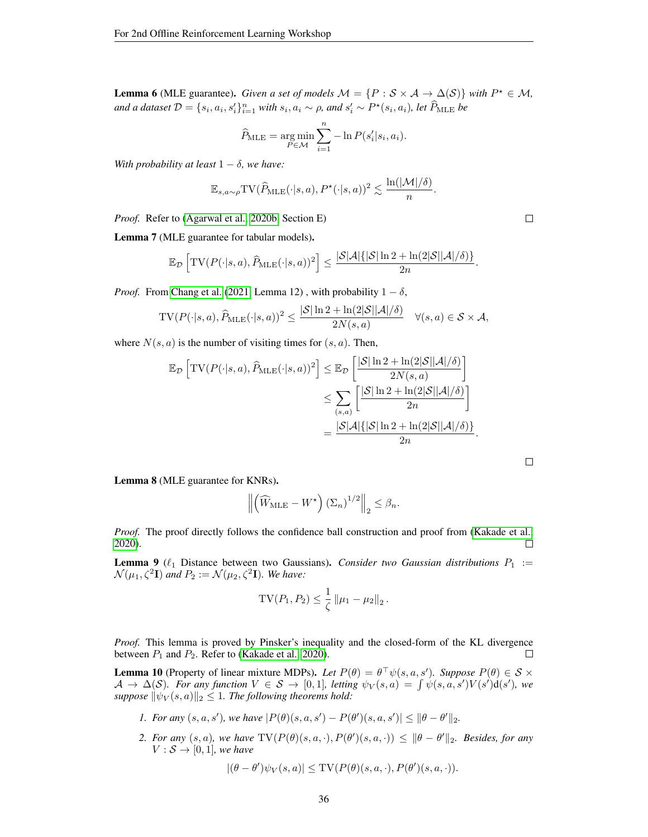<span id="page-35-1"></span>**Lemma 6** (MLE guarantee). *Given a set of models*  $M = \{P : S \times A \rightarrow \Delta(S)\}\$  *with*  $P^* \in M$ , and a dataset  $\mathcal{D} = \{s_i, a_i, s'_i\}_{i=1}^n$  with  $s_i, a_i \sim \rho$ , and  $s'_i \sim P^\star(s_i, a_i)$ , let  $\widehat{P}_{\text{MLE}}$  be

$$
\widehat{P}_{\text{MLE}} = \underset{P \in \mathcal{M}}{\arg \min} \sum_{i=1}^{n} -\ln P(s_i'|s_i, a_i).
$$

*With probability at least*  $1 - \delta$ *, we have:* 

$$
\mathbb{E}_{s,a\sim \rho} \text{TV}(\widehat{P}_{\text{MLE}}(\cdot|s,a), P^{\star}(\cdot|s,a))^2 \lesssim \frac{\ln(|\mathcal{M}|/\delta)}{n}.
$$

*Proof.* Refer to [\(Agarwal et al., 2020b,](#page-8-14) Section E)

<span id="page-35-2"></span>Lemma 7 (MLE guarantee for tabular models).

$$
\mathbb{E}_{\mathcal{D}}\left[\text{TV}(P(\cdot|s,a), \widehat{P}_{\text{MLE}}(\cdot|s,a))^2\right] \le \frac{|\mathcal{S}|\mathcal{A}| \{|\mathcal{S}| \ln 2 + \ln(2|\mathcal{S}||\mathcal{A}|/\delta)\}}{2n}.
$$

*Proof.* From [Chang et al.](#page-8-3) [\(2021,](#page-8-3) Lemma 12), with probability  $1 - \delta$ ,

$$
\mathrm{TV}(P(\cdot|s,a), \widehat{P}_{\mathrm{MLE}}(\cdot|s,a))^2 \leq \frac{|\mathcal{S}| \ln 2 + \ln(2|\mathcal{S}||\mathcal{A}|/\delta)}{2N(s,a)} \quad \forall (s,a) \in \mathcal{S} \times \mathcal{A},
$$

where  $N(s, a)$  is the number of visiting times for  $(s, a)$ . Then,

$$
\mathbb{E}_{\mathcal{D}}\left[\text{TV}(P(\cdot|s,a), \widehat{P}_{\text{MLE}}(\cdot|s,a))^2\right] \leq \mathbb{E}_{\mathcal{D}}\left[\frac{|\mathcal{S}|\ln 2 + \ln(2|\mathcal{S}||\mathcal{A}|/\delta)}{2N(s,a)}\right]
$$

$$
\leq \sum_{(s,a)} \left[\frac{|\mathcal{S}|\ln 2 + \ln(2|\mathcal{S}||\mathcal{A}|/\delta)}{2n}\right]
$$

$$
= \frac{|\mathcal{S}|\mathcal{A}|\{|\mathcal{S}|\ln 2 + \ln(2|\mathcal{S}||\mathcal{A}|/\delta)\}}{2n}.
$$

<span id="page-35-3"></span>Lemma 8 (MLE guarantee for KNRs).

$$
\left\| \left( \widehat{W}_{\text{MLE}} - W^{\star} \right) \left( \Sigma_n \right)^{1/2} \right\|_2 \leq \beta_n.
$$

*Proof.* The proof directly follows the confidence ball construction and proof from [\(Kakade et al.,](#page-9-6) [2020\)](#page-9-6). П

<span id="page-35-4"></span>**Lemma 9** ( $\ell_1$  Distance between two Gaussians). *Consider two Gaussian distributions*  $P_1 :=$  $\mathcal{N}(\mu_1, \zeta^2 \mathbf{I})$  and  $P_2 := \mathcal{N}(\mu_2, \zeta^2 \mathbf{I})$ *. We have:* 

$$
TV(P_1, P_2) \leq \frac{1}{\zeta} \|\mu_1 - \mu_2\|_2.
$$

*Proof.* This lemma is proved by Pinsker's inequality and the closed-form of the KL divergence between  $P_1$  and  $P_2$ . Refer to [\(Kakade et al., 2020\)](#page-9-6). П

<span id="page-35-0"></span>**Lemma 10** (Property of linear mixture MDPs). Let  $P(\theta) = \theta^{\top} \psi(s, a, s')$ . Suppose  $P(\theta) \in S \times$  $\mathcal{A} \to \Delta(\mathcal{S})$ *. For any function*  $V \in \mathcal{S} \to [0,1]$ *, letting*  $\psi_V(s,a) = \int \psi(s,a,s')V(s')d(s')$ *, we suppose*  $\|\psi_V(s, a)\|_2 \leq 1$ . The following theorems hold:

- *1. For any*  $(s, a, s')$ , we have  $|P(\theta)(s, a, s') P(\theta')(s, a, s')| \leq ||\theta \theta'||_2$ .
- 2. *For any*  $(s, a)$ , we have  $TV(P(\theta)(s, a, \cdot), P(\theta')(s, a, \cdot)) \leq ||\theta \theta'||_2$ . *Besides, for any*  $V : \mathcal{S} \rightarrow [0, 1]$ *, we have*

$$
|(\theta - \theta')\psi_V(s, a)| \le \mathrm{TV}(P(\theta)(s, a, \cdot), P(\theta')(s, a, \cdot)).
$$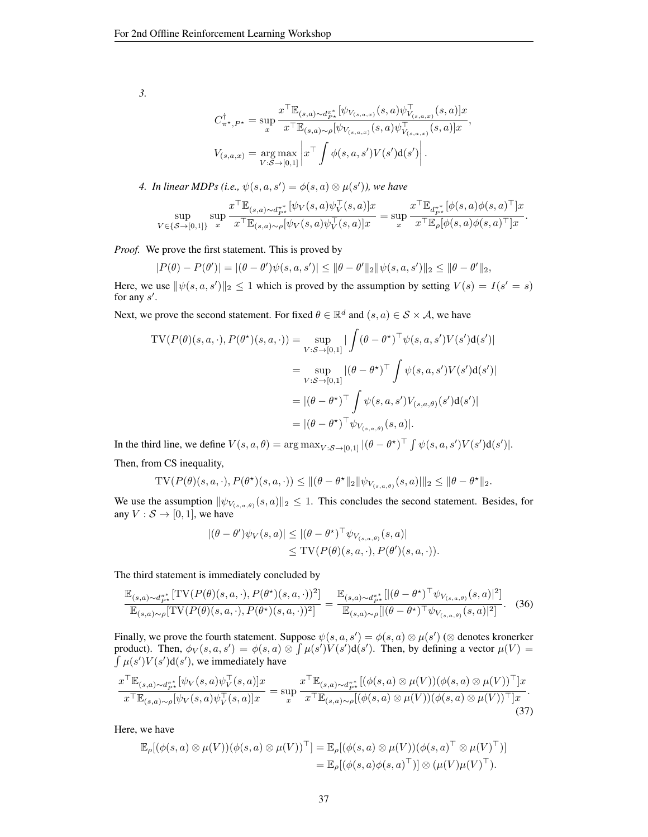*3.*

$$
C_{\pi^\star,P^\star}^\dagger = \sup_x \frac{x^\top \mathbb{E}_{(s,a)\sim d_{P^\star}^{\pi^\star}}[\psi_{V_{(s,a,x)}}(s,a)\psi^{\top}_{V_{(s,a,x)}}(s,a)]x}{x^\top \mathbb{E}_{(s,a)\sim \rho}[\psi_{V_{(s,a,x)}}(s,a)\psi^{\top}_{V_{(s,a,x)}}(s,a)]x}
$$

$$
V_{(s,a,x)} = \underset{V:S \rightarrow [0,1]}{\arg \max} \left| x^\top \int \phi(s,a,s')V(s') \mathrm{d}(s') \right|.
$$

,

4. In linear MDPs (i.e.,  $\psi(s, a, s') = \phi(s, a) \otimes \mu(s')$ ), we have

$$
\sup_{V\in\{ \mathcal{S}\rightarrow [0,1]\}}\sup_x \frac{x^{\top} \mathbb{E}_{(s,a)\sim d_{P^{\star}}^{\pi^*}}[\psi_V(s,a)\psi_V^{\top}(s,a)]x}{x^{\top} \mathbb{E}_{(s,a)\sim \rho}[\psi_V(s,a)\psi_V^{\top}(s,a)]x}=\sup_x \frac{x^{\top} \mathbb{E}_{d_{P^{\star}}^{\pi^*}}[\phi(s,a)\phi(s,a)^{\top}]x}{x^{\top} \mathbb{E}_{\rho}[\phi(s,a)\phi(s,a)^{\top}]x}.
$$

*Proof.* We prove the first statement. This is proved by

$$
|P(\theta) - P(\theta')| = |(\theta - \theta')\psi(s, a, s')| \le ||\theta - \theta'||_2||\psi(s, a, s')||_2 \le ||\theta - \theta'||_2,
$$

Here, we use  $\|\psi(s, a, s')\|_2 \leq 1$  which is proved by the assumption by setting  $V(s) = I(s' = s)$ for any  $s'$ .

Next, we prove the second statement. For fixed  $\theta \in \mathbb{R}^d$  and  $(s, a) \in \mathcal{S} \times \mathcal{A}$ , we have

$$
TV(P(\theta)(s, a, \cdot), P(\theta^{\star})(s, a, \cdot)) = \sup_{V:S \to [0,1]} |\int (\theta - \theta^{\star})^{\top} \psi(s, a, s')V(s')d(s')|
$$
  

$$
= \sup_{V:S \to [0,1]} |(\theta - \theta^{\star})^{\top} \int \psi(s, a, s')V(s')d(s')|
$$
  

$$
= |(\theta - \theta^{\star})^{\top} \int \psi(s, a, s')V_{(s, a, \theta)}(s')d(s')|
$$
  

$$
= |(\theta - \theta^{\star})^{\top} \psi_{V_{(s, a, \theta)}}(s, a)|.
$$

In the third line, we define  $V(s, a, \theta) = \arg \max_{V : S \to [0,1]} |(\theta - \theta^{\star})^{\top} \int \psi(s, a, s') V(s') d(s')|$ . Then, from CS inequality,

TV
$$
(P(\theta)(s, a, \cdot), P(\theta^*)(s, a, \cdot)) \le ||(\theta - \theta^*||_2 ||\psi_{V_{(s, a, \theta)}}(s, a)||_2 \le ||\theta - \theta^*||_2.
$$

We use the assumption  $\|\psi_{V_{(s,a,\theta)}}(s, a)\|_2 \leq 1$ . This concludes the second statement. Besides, for any  $V : \mathcal{S} \to [0, 1]$ , we have

<span id="page-36-0"></span>
$$
|(\theta - \theta')\psi_V(s, a)| \le |(\theta - \theta^*)^\top \psi_{V_{(s,a,\theta)}}(s, a)|
$$
  
\n
$$
\le \text{TV}(P(\theta)(s, a, \cdot), P(\theta')(s, a, \cdot)).
$$

The third statement is immediately concluded by

$$
\frac{\mathbb{E}_{(s,a)\sim d_{P^*}^*}[\text{TV}(P(\theta)(s,a,\cdot), P(\theta^*)(s,a,\cdot))^2]}{\mathbb{E}_{(s,a)\sim\rho}[\text{TV}(P(\theta)(s,a,\cdot), P(\theta^*)(s,a,\cdot))^2]} = \frac{\mathbb{E}_{(s,a)\sim d_{P^*}^*}[|(\theta-\theta^*)^\top \psi_{V_{(s,a,\theta)}}(s,a)|^2]}{\mathbb{E}_{(s,a)\sim\rho}[|(\theta-\theta^*)^\top \psi_{V_{(s,a,\theta)}}(s,a)|^2]}.
$$
(36)

Finally, we prove the fourth statement. Suppose  $\psi(s, a, s') = \phi(s, a) \otimes \mu(s')$  ( $\otimes$  denotes kronerker product). Then,  $\phi_V(s, a, s') = \phi(s, a) \otimes \int \mu(s') \dot{V}(s') d(s')$ . Then, by defining a vector  $\mu(V) =$  $\int \mu(s')V(s')d(s')$ , we immediately have

$$
\frac{x^{\top} \mathbb{E}_{(s,a)\sim d_{P^*}^{\pi^*}}[\psi_V(s,a)\psi_V^{\top}(s,a)]x}{x^{\top} \mathbb{E}_{(s,a)\sim\rho}[\psi_V(s,a)\psi_V^{\top}(s,a)]x} = \sup_x \frac{x^{\top} \mathbb{E}_{(s,a)\sim d_{P^*}^{\pi^*}}[(\phi(s,a)\otimes\mu(V))(\phi(s,a)\otimes\mu(V))^{\top}]x}{x^{\top} \mathbb{E}_{(s,a)\sim\rho}[(\phi(s,a)\otimes\mu(V))(\phi(s,a)\otimes\mu(V))^{\top}]x}.
$$
\n(37)

Here, we have

$$
\mathbb{E}_{\rho}[(\phi(s, a) \otimes \mu(V))(\phi(s, a) \otimes \mu(V))^{\top}] = \mathbb{E}_{\rho}[(\phi(s, a) \otimes \mu(V))(\phi(s, a)^{\top} \otimes \mu(V)^{\top})] \n= \mathbb{E}_{\rho}[(\phi(s, a) \phi(s, a)^{\top})] \otimes (\mu(V) \mu(V)^{\top}).
$$